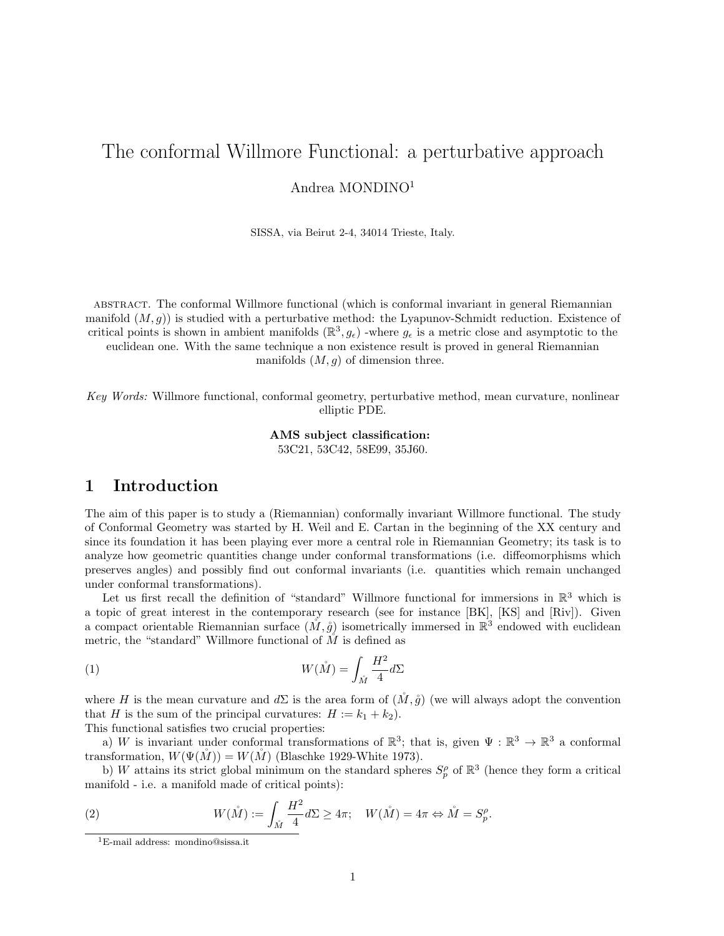# The conformal Willmore Functional: a perturbative approach

Andrea MONDINO<sup>1</sup>

SISSA, via Beirut 2-4, 34014 Trieste, Italy.

abstract. The conformal Willmore functional (which is conformal invariant in general Riemannian manifold  $(M, g)$  is studied with a perturbative method: the Lyapunov-Schmidt reduction. Existence of critical points is shown in ambient manifolds  $(\mathbb{R}^3, g_\epsilon)$  -where  $g_\epsilon$  is a metric close and asymptotic to the euclidean one. With the same technique a non existence result is proved in general Riemannian manifolds  $(M, g)$  of dimension three.

Key Words: Willmore functional, conformal geometry, perturbative method, mean curvature, nonlinear elliptic PDE.

> AMS subject classification: 53C21, 53C42, 58E99, 35J60.

# 1 Introduction

The aim of this paper is to study a (Riemannian) conformally invariant Willmore functional. The study of Conformal Geometry was started by H. Weil and E. Cartan in the beginning of the XX century and since its foundation it has been playing ever more a central role in Riemannian Geometry; its task is to analyze how geometric quantities change under conformal transformations (i.e. diffeomorphisms which preserves angles) and possibly find out conformal invariants (i.e. quantities which remain unchanged under conformal transformations).

Let us first recall the definition of "standard" Willmore functional for immersions in  $\mathbb{R}^3$  which is a topic of great interest in the contemporary research (see for instance [BK], [KS] and [Riv]). Given a compact orientable Riemannian surface  $(M, \mathring{g})$  isometrically immersed in  $\mathbb{R}^3$  endowed with euclidean metric, the "standard" Willmore functional of  $\tilde{M}$  is defined as

(1) 
$$
W(\stackrel{\circ}{M}) = \int_{\stackrel{\circ}{M}} \frac{H^2}{4} d\Sigma
$$

where H is the mean curvature and  $d\Sigma$  is the area form of  $(\check{M},\mathring{g})$  (we will always adopt the convention that H is the sum of the principal curvatures:  $H := k_1 + k_2$ .

This functional satisfies two crucial properties:

a) W is invariant under conformal transformations of  $\mathbb{R}^3$ ; that is, given  $\Psi : \mathbb{R}^3 \to \mathbb{R}^3$  a conformal transformation,  $W(\Psi(\tilde{M})) = W(\tilde{M})$  (Blaschke 1929-White 1973).

b) W attains its strict global minimum on the standard spheres  $S_p^{\rho}$  of  $\mathbb{R}^3$  (hence they form a critical manifold - i.e. a manifold made of critical points):

(2) 
$$
W(\mathring{M}) := \int_{\mathring{M}} \frac{H^2}{4} d\Sigma \ge 4\pi; \quad W(\mathring{M}) = 4\pi \Leftrightarrow \mathring{M} = S_p^{\rho}.
$$

<sup>1</sup>E-mail address: mondino@sissa.it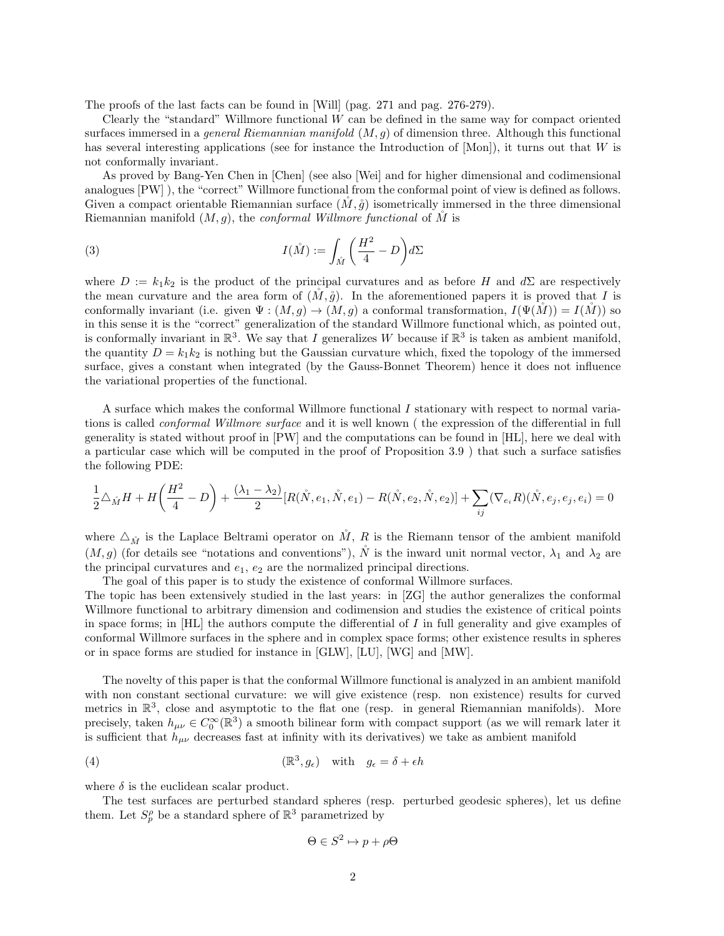The proofs of the last facts can be found in [Will] (pag. 271 and pag. 276-279).

Clearly the "standard" Willmore functional  $W$  can be defined in the same way for compact oriented surfaces immersed in a *general Riemannian manifold*  $(M, q)$  of dimension three. Although this functional has several interesting applications (see for instance the Introduction of  $[Mon]$ ), it turns out that W is not conformally invariant.

As proved by Bang-Yen Chen in [Chen] (see also [Wei] and for higher dimensional and codimensional analogues [PW] ), the "correct" Willmore functional from the conformal point of view is defined as follows. Given a compact orientable Riemannian surface  $(M, \mathring{g})$  isometrically immersed in the three dimensional Riemannian manifold  $(M, g)$ , the *conformal Willmore functional* of M is

(3) 
$$
I(\stackrel{\circ}{M}) := \int_{\stackrel{\circ}{M}} \left(\frac{H^2}{4} - D\right) d\Sigma
$$

where  $D := k_1 k_2$  is the product of the principal curvatures and as before H and  $d\Sigma$  are respectively the mean curvature and the area form of  $(M, \mathring{g})$ . In the aforementioned papers it is proved that I is conformally invariant (i.e. given  $\Psi : (M, g) \to (M, g)$  a conformal transformation,  $I(\Psi(M)) = I(M)$ ) so in this sense it is the "correct" generalization of the standard Willmore functional which, as pointed out, is conformally invariant in  $\mathbb{R}^3$ . We say that I generalizes W because if  $\mathbb{R}^3$  is taken as ambient manifold, the quantity  $D = k_1 k_2$  is nothing but the Gaussian curvature which, fixed the topology of the immersed surface, gives a constant when integrated (by the Gauss-Bonnet Theorem) hence it does not influence the variational properties of the functional.

A surface which makes the conformal Willmore functional I stationary with respect to normal variations is called conformal Willmore surface and it is well known ( the expression of the differential in full generality is stated without proof in [PW] and the computations can be found in [HL], here we deal with a particular case which will be computed in the proof of Proposition 3.9 ) that such a surface satisfies the following PDE:

$$
\frac{1}{2}\triangle_{\mathring{M}}H + H\bigg(\frac{H^2}{4}-D\bigg) + \frac{(\lambda_1-\lambda_2)}{2}[R(\mathring{N},e_1,\mathring{N},e_1) - R(\mathring{N},e_2,\mathring{N},e_2)] + \sum_{ij}(\nabla_{e_i}R)(\mathring{N},e_j,e_j,e_i) = 0
$$

where  $\Delta_{\mathring{M}}$  is the Laplace Beltrami operator on  $\mathring{M}$ , R is the Riemann tensor of the ambient manifold  $(M, g)$  (for details see "notations and conventions"),  $\tilde{N}$  is the inward unit normal vector,  $\lambda_1$  and  $\lambda_2$  are the principal curvatures and  $e_1, e_2$  are the normalized principal directions.

The goal of this paper is to study the existence of conformal Willmore surfaces.

The topic has been extensively studied in the last years: in [ZG] the author generalizes the conformal Willmore functional to arbitrary dimension and codimension and studies the existence of critical points in space forms; in  $[HL]$  the authors compute the differential of I in full generality and give examples of conformal Willmore surfaces in the sphere and in complex space forms; other existence results in spheres or in space forms are studied for instance in [GLW], [LU], [WG] and [MW].

The novelty of this paper is that the conformal Willmore functional is analyzed in an ambient manifold with non constant sectional curvature: we will give existence (resp. non existence) results for curved metrics in  $\mathbb{R}^3$ , close and asymptotic to the flat one (resp. in general Riemannian manifolds). More precisely, taken  $h_{\mu\nu} \in C_0^{\infty}(\mathbb{R}^3)$  a smooth bilinear form with compact support (as we will remark later it is sufficient that  $h_{\mu\nu}$  decreases fast at infinity with its derivatives) we take as ambient manifold

(4) 
$$
(\mathbb{R}^3, g_{\epsilon}) \quad \text{with} \quad g_{\epsilon} = \delta + \epsilon h
$$

where  $\delta$  is the euclidean scalar product.

The test surfaces are perturbed standard spheres (resp. perturbed geodesic spheres), let us define them. Let  $S_p^{\rho}$  be a standard sphere of  $\mathbb{R}^3$  parametrized by

$$
\Theta\in S^2\mapsto p+\rho\Theta
$$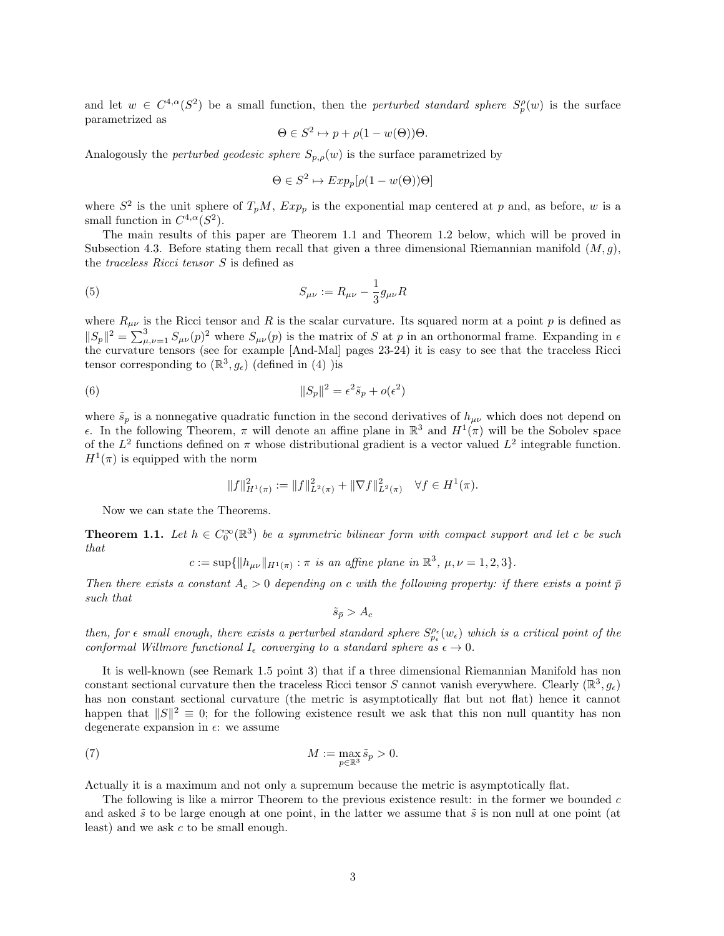and let  $w \in C^{4,\alpha}(S^2)$  be a small function, then the *perturbed standard sphere*  $S_p^{\rho}(w)$  is the surface parametrized as

$$
\Theta \in S^2 \mapsto p + \rho(1 - w(\Theta))\Theta.
$$

Analogously the *perturbed geodesic sphere*  $S_{p,\rho}(w)$  is the surface parametrized by

$$
\Theta \in S^2 \mapsto Exp_p[\rho(1 - w(\Theta))\Theta]
$$

where  $S^2$  is the unit sphere of  $T_pM$ ,  $Exp_p$  is the exponential map centered at p and, as before, w is a small function in  $C^{4,\alpha}(S^2)$ .

The main results of this paper are Theorem 1.1 and Theorem 1.2 below, which will be proved in Subsection 4.3. Before stating them recall that given a three dimensional Riemannian manifold  $(M, g)$ , the traceless Ricci tensor S is defined as

(5) 
$$
S_{\mu\nu} := R_{\mu\nu} - \frac{1}{3} g_{\mu\nu} R
$$

where  $R_{\mu\nu}$  is the Ricci tensor and R is the scalar curvature. Its squared norm at a point p is defined as  $||S_p||^2 = \sum_{\mu,\nu=1}^3 S_{\mu\nu}(p)^2$  where  $S_{\mu\nu}(p)$  is the matrix of S at p in an orthonormal frame. Expanding in  $\epsilon$ the curvature tensors (see for example [And-Mal] pages 23-24) it is easy to see that the traceless Ricci tensor corresponding to  $(\mathbb{R}^3, g_\epsilon)$  (defined in (4) )is

(6) 
$$
||S_p||^2 = \epsilon^2 \tilde{s}_p + o(\epsilon^2)
$$

where  $\tilde{s}_p$  is a nonnegative quadratic function in the second derivatives of  $h_{\mu\nu}$  which does not depend on ε. In the following Theorem, π will denote an affine plane in  $\mathbb{R}^3$  and  $H^1(\pi)$  will be the Sobolev space of the  $L^2$  functions defined on  $\pi$  whose distributional gradient is a vector valued  $L^2$  integrable function.  $H^1(\pi)$  is equipped with the norm

$$
||f||_{H^1(\pi)}^2 := ||f||_{L^2(\pi)}^2 + ||\nabla f||_{L^2(\pi)}^2 \quad \forall f \in H^1(\pi).
$$

Now we can state the Theorems.

**Theorem 1.1.** Let  $h \in C_0^{\infty}(\mathbb{R}^3)$  be a symmetric bilinear form with compact support and let c be such that

$$
c := \sup \{ ||h_{\mu\nu}||_{H^1(\pi)} : \pi \text{ is an affine plane in } \mathbb{R}^3, \mu, \nu = 1, 2, 3 \}.
$$

Then there exists a constant  $A_c > 0$  depending on c with the following property: if there exists a point  $\bar{p}$ such that

$$
\tilde{s}_{\bar{p}} > A_c
$$

then, for  $\epsilon$  small enough, there exists a perturbed standard sphere  $S_{p_{\epsilon}}^{\rho_{\epsilon}}(w_{\epsilon})$  which is a critical point of the conformal Willmore functional  $I_{\epsilon}$  converging to a standard sphere as  $\epsilon \to 0$ .

It is well-known (see Remark 1.5 point 3) that if a three dimensional Riemannian Manifold has non constant sectional curvature then the traceless Ricci tensor S cannot vanish everywhere. Clearly  $(\mathbb{R}^3, g_{\epsilon})$ has non constant sectional curvature (the metric is asymptotically flat but not flat) hence it cannot happen that  $||S||^2 \equiv 0$ ; for the following existence result we ask that this non null quantity has non degenerate expansion in  $\epsilon$ : we assume

(7) 
$$
M := \max_{p \in \mathbb{R}^3} \tilde{s}_p > 0.
$$

Actually it is a maximum and not only a supremum because the metric is asymptotically flat.

The following is like a mirror Theorem to the previous existence result: in the former we bounded c and asked  $\tilde{s}$  to be large enough at one point, in the latter we assume that  $\tilde{s}$  is non null at one point (at least) and we ask c to be small enough.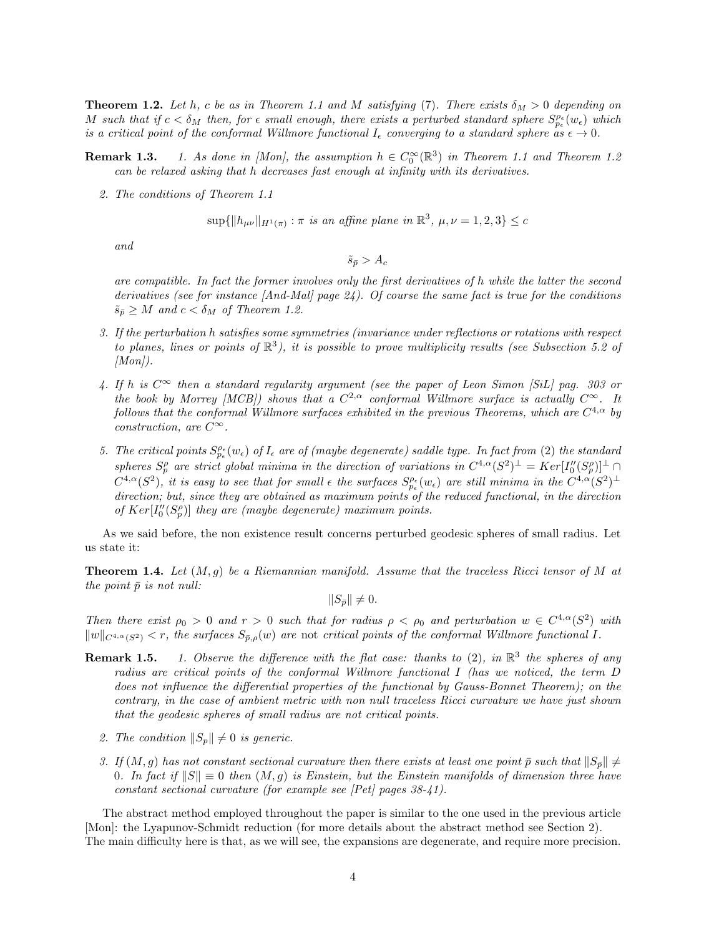**Theorem 1.2.** Let h, c be as in Theorem 1.1 and M satisfying (7). There exists  $\delta_M > 0$  depending on M such that if  $c < \delta_M$  then, for  $\epsilon$  small enough, there exists a perturbed standard sphere  $S_{p_\epsilon}^{\rho_\epsilon}(w_\epsilon)$  which is a critical point of the conformal Willmore functional  $I_{\epsilon}$  converging to a standard sphere as  $\epsilon \to 0$ .

- **Remark 1.3.** 1. As done in [Mon], the assumption  $h \in C_0^{\infty}(\mathbb{R}^3)$  in Theorem 1.1 and Theorem 1.2 can be relaxed asking that h decreases fast enough at infinity with its derivatives.
	- 2. The conditions of Theorem 1.1

$$
\sup\{\|h_{\mu\nu}\|_{H^1(\pi)} : \pi \text{ is an affine plane in } \mathbb{R}^3, \mu, \nu = 1, 2, 3\} \leq c
$$

and

 $\tilde{s}_{\bar{p}} > A_c$ 

are compatible. In fact the former involves only the first derivatives of h while the latter the second derivatives (see for instance  $[And-Mal]$  page 24). Of course the same fact is true for the conditions  $\tilde{s}_{\bar{p}} \geq M$  and  $c < \delta_M$  of Theorem 1.2.

- 3. If the perturbation h satisfies some symmetries (invariance under reflections or rotations with respect to planes, lines or points of  $\mathbb{R}^3$ ), it is possible to prove multiplicity results (see Subsection 5.2 of  $[Mon]$ .
- 4. If h is  $C^{\infty}$  then a standard regularity argument (see the paper of Leon Simon [SiL] pag. 303 or the book by Morrey [MCB]) shows that a  $C^{2,\alpha}$  conformal Willmore surface is actually  $C^{\infty}$ . It follows that the conformal Willmore surfaces exhibited in the previous Theorems, which are  $C^{4,\alpha}$  by construction, are  $C^{\infty}$ .
- 5. The critical points  $S_{p_{\epsilon}}^{\rho_{\epsilon}}(w_{\epsilon})$  of  $I_{\epsilon}$  are of (maybe degenerate) saddle type. In fact from (2) the standard spheres  $S_p^{\rho}$  are strict global minima in the direction of variations in  $C^{4,\alpha}(S^2)^{\perp} = Ker[I_0''(S_p^{\rho})]^{\perp} \cap$  $C^{4,\alpha}(S^2)$ , it is easy to see that for small  $\epsilon$  the surfaces  $S^{ \rho_\epsilon}_{p_\epsilon}(w_\epsilon)$  are still minima in the  $C^{4,\alpha}(S^2)^\perp$ direction; but, since they are obtained as maximum points of the reduced functional, in the direction of  $Ker[I''_0(S_p^{\rho})]$  they are (maybe degenerate) maximum points.

As we said before, the non existence result concerns perturbed geodesic spheres of small radius. Let us state it:

**Theorem 1.4.** Let  $(M, g)$  be a Riemannian manifold. Assume that the traceless Ricci tensor of M at the point  $\bar{p}$  is not null:

 $||S_{\bar{v}}|| \neq 0.$ 

Then there exist  $\rho_0 > 0$  and  $r > 0$  such that for radius  $\rho < \rho_0$  and perturbation  $w \in C^{4,\alpha}(S^2)$  with  $\|w\|_{C^{4,\alpha}(S^2)} < r$ , the surfaces  $S_{\bar{p},\rho}(w)$  are not critical points of the conformal Willmore functional I.

- **Remark 1.5.** 1. Observe the difference with the flat case: thanks to (2), in  $\mathbb{R}^3$  the spheres of any radius are critical points of the conformal Willmore functional I (has we noticed, the term D does not influence the differential properties of the functional by Gauss-Bonnet Theorem); on the contrary, in the case of ambient metric with non null traceless Ricci curvature we have just shown that the geodesic spheres of small radius are not critical points.
	- 2. The condition  $||S_p|| \neq 0$  is generic.
	- 3. If  $(M, g)$  has not constant sectional curvature then there exists at least one point  $\bar{p}$  such that  $||S_{\bar{p}}|| \neq$ 0. In fact if  $||S|| \equiv 0$  then  $(M, g)$  is Einstein, but the Einstein manifolds of dimension three have constant sectional curvature (for example see [Pet] pages 38-41).

The abstract method employed throughout the paper is similar to the one used in the previous article [Mon]: the Lyapunov-Schmidt reduction (for more details about the abstract method see Section 2). The main difficulty here is that, as we will see, the expansions are degenerate, and require more precision.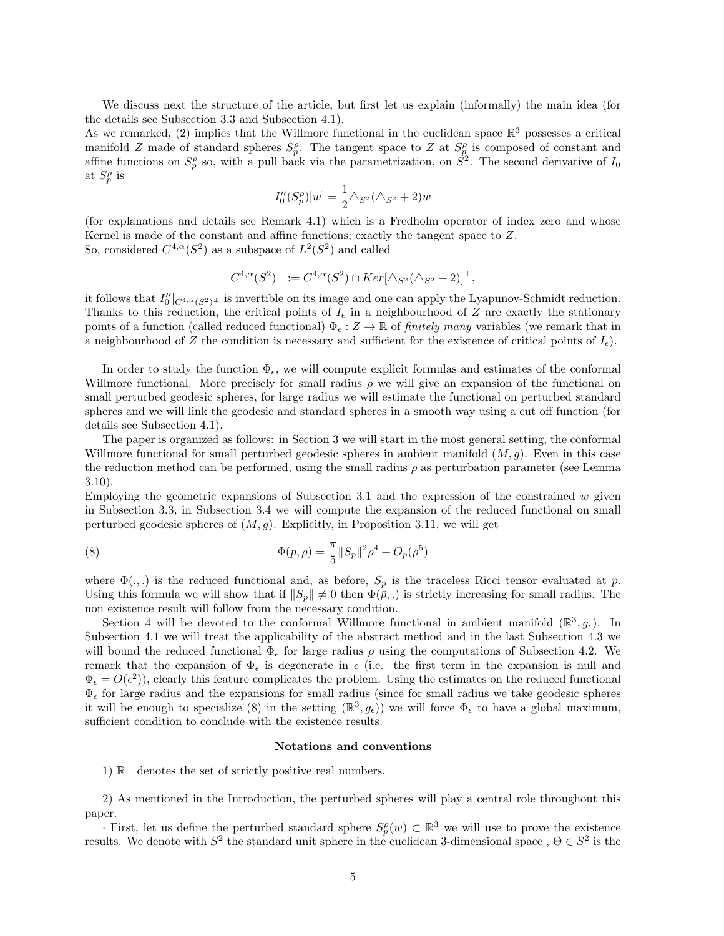We discuss next the structure of the article, but first let us explain (informally) the main idea (for the details see Subsection 3.3 and Subsection 4.1).

As we remarked, (2) implies that the Willmore functional in the euclidean space  $\mathbb{R}^3$  possesses a critical manifold Z made of standard spheres  $S_p^{\rho}$ . The tangent space to Z at  $S_p^{\rho}$  is composed of constant and affine functions on  $S_p^{\rho}$  so, with a pull back via the parametrization, on  $\dot{S}^2$ . The second derivative of  $I_0$ at  $S_p^{\rho}$  is

$$
I_0''(S_p^{\rho})[w] = \frac{1}{2} \triangle_{S^2} (\triangle_{S^2} + 2)w
$$

(for explanations and details see Remark 4.1) which is a Fredholm operator of index zero and whose Kernel is made of the constant and affine functions; exactly the tangent space to Z. So, considered  $C^{4,\alpha}(S^2)$  as a subspace of  $L^2(S^2)$  and called

$$
C^{4,\alpha}(S^2)^{\perp} := C^{4,\alpha}(S^2) \cap Ker[\Delta_{S^2}(\Delta_{S^2} + 2)]^{\perp},
$$

it follows that  $I_0''|_{C^{4,\alpha}(S^2)^{\perp}}$  is invertible on its image and one can apply the Lyapunov-Schmidt reduction. Thanks to this reduction, the critical points of  $I_{\epsilon}$  in a neighbourhood of Z are exactly the stationary points of a function (called reduced functional)  $\Phi_{\epsilon}: Z \to \mathbb{R}$  of *finitely many* variables (we remark that in a neighbourhood of Z the condition is necessary and sufficient for the existence of critical points of  $I_{\epsilon}$ .

In order to study the function  $\Phi_{\epsilon}$ , we will compute explicit formulas and estimates of the conformal Willmore functional. More precisely for small radius  $\rho$  we will give an expansion of the functional on small perturbed geodesic spheres, for large radius we will estimate the functional on perturbed standard spheres and we will link the geodesic and standard spheres in a smooth way using a cut off function (for details see Subsection 4.1).

The paper is organized as follows: in Section 3 we will start in the most general setting, the conformal Willmore functional for small perturbed geodesic spheres in ambient manifold  $(M, g)$ . Even in this case the reduction method can be performed, using the small radius  $\rho$  as perturbation parameter (see Lemma 3.10).

Employing the geometric expansions of Subsection 3.1 and the expression of the constrained  $w$  given in Subsection 3.3, in Subsection 3.4 we will compute the expansion of the reduced functional on small perturbed geodesic spheres of  $(M, g)$ . Explicitly, in Proposition 3.11, we will get

(8) 
$$
\Phi(p,\rho) = \frac{\pi}{5} ||S_p||^2 \rho^4 + O_p(\rho^5)
$$

where  $\Phi(.,.)$  is the reduced functional and, as before,  $S_p$  is the traceless Ricci tensor evaluated at p. Using this formula we will show that if  $||S_{\bar{p}}|| \neq 0$  then  $\Phi(\bar{p},.)$  is strictly increasing for small radius. The non existence result will follow from the necessary condition.

Section 4 will be devoted to the conformal Willmore functional in ambient manifold  $(\mathbb{R}^3, g_{\epsilon})$ . In Subsection 4.1 we will treat the applicability of the abstract method and in the last Subsection 4.3 we will bound the reduced functional  $\Phi_{\epsilon}$  for large radius  $\rho$  using the computations of Subsection 4.2. We remark that the expansion of  $\Phi_{\epsilon}$  is degenerate in  $\epsilon$  (i.e. the first term in the expansion is null and  $\Phi_{\epsilon} = O(\epsilon^2)$ , clearly this feature complicates the problem. Using the estimates on the reduced functional  $\Phi_{\epsilon}$  for large radius and the expansions for small radius (since for small radius we take geodesic spheres it will be enough to specialize (8) in the setting  $(\mathbb{R}^3, g_\epsilon)$ ) we will force  $\Phi_\epsilon$  to have a global maximum, sufficient condition to conclude with the existence results.

#### Notations and conventions

1)  $\mathbb{R}^+$  denotes the set of strictly positive real numbers.

2) As mentioned in the Introduction, the perturbed spheres will play a central role throughout this paper.

· First, let us define the perturbed standard sphere  $S_p^{\rho}(w)$  ⊂  $\mathbb{R}^3$  we will use to prove the existence results. We denote with  $S^2$  the standard unit sphere in the euclidean 3-dimensional space,  $\Theta \in S^2$  is the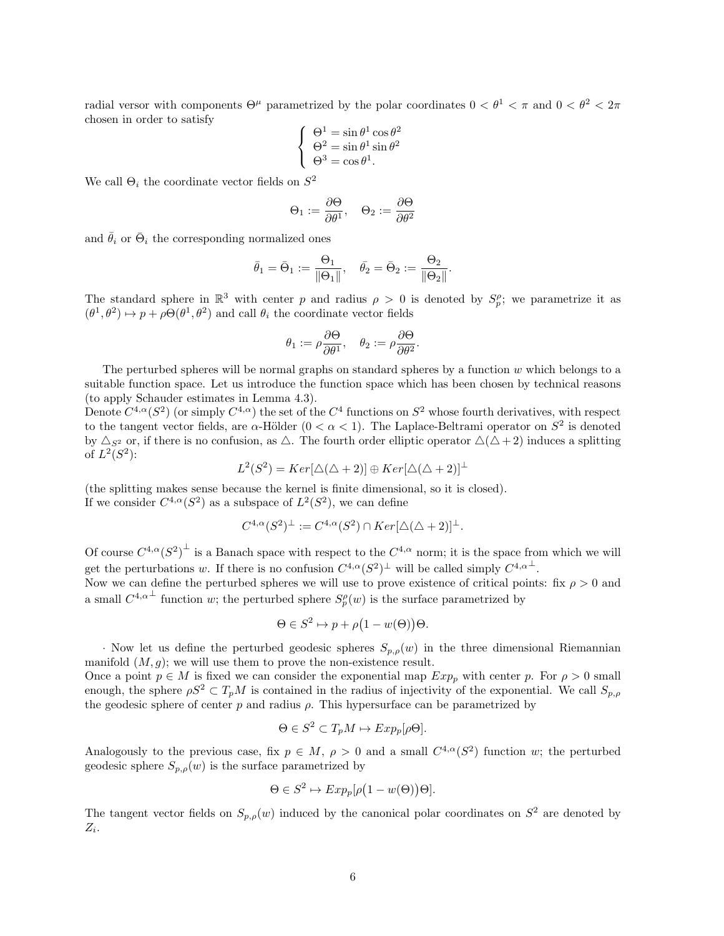radial versor with components  $\Theta^{\mu}$  parametrized by the polar coordinates  $0 < \theta^{1} < \pi$  and  $0 < \theta^{2} < 2\pi$ chosen in order to satisfy 2

$$
\begin{cases}\n\Theta^1 = \sin \theta^1 \cos \theta^2 \\
\Theta^2 = \sin \theta^1 \sin \theta^2 \\
\Theta^3 = \cos \theta^1.\n\end{cases}
$$

We call  $\Theta_i$  the coordinate vector fields on  $S^2$ 

$$
\Theta_1 := \frac{\partial \Theta}{\partial \theta^1}, \quad \Theta_2 := \frac{\partial \Theta}{\partial \theta^2}
$$

and  $\bar{\theta}_i$  or  $\bar{\Theta}_i$  the corresponding normalized ones

$$
\bar{\theta}_1 = \bar{\Theta}_1 := \frac{\Theta_1}{\|\Theta_1\|}, \quad \bar{\theta}_2 = \bar{\Theta}_2 := \frac{\Theta_2}{\|\Theta_2\|}.
$$

The standard sphere in  $\mathbb{R}^3$  with center p and radius  $\rho > 0$  is denoted by  $S_p^{\rho}$ ; we parametrize it as  $(\theta^1, \theta^2) \mapsto p + \rho \Theta(\theta^1, \theta^2)$  and call  $\theta_i$  the coordinate vector fields

$$
\theta_1:=\rho\frac{\partial\Theta}{\partial\theta^1},\quad \theta_2:=\rho\frac{\partial\Theta}{\partial\theta^2}.
$$

The perturbed spheres will be normal graphs on standard spheres by a function  $w$  which belongs to a suitable function space. Let us introduce the function space which has been chosen by technical reasons (to apply Schauder estimates in Lemma 4.3).

Denote  $C^{4,\alpha}(S^2)$  (or simply  $C^{4,\alpha}$ ) the set of the  $C^4$  functions on  $S^2$  whose fourth derivatives, with respect to the tangent vector fields, are  $\alpha$ -Hölder  $(0 < \alpha < 1)$ . The Laplace-Beltrami operator on  $S^2$  is denoted by  $\Delta_{S^2}$  or, if there is no confusion, as  $\Delta$ . The fourth order elliptic operator  $\Delta(\Delta+2)$  induces a splitting of  $L^2(S^2)$ :

$$
L^{2}(S^{2}) = Ker[\triangle(\triangle + 2)] \oplus Ker[\triangle(\triangle + 2)]^{\perp}
$$

(the splitting makes sense because the kernel is finite dimensional, so it is closed). If we consider  $C^{4,\alpha}(S^2)$  as a subspace of  $L^2(S^2)$ , we can define

$$
C^{4,\alpha}(S^2)^{\perp} := C^{4,\alpha}(S^2) \cap Ker[\triangle(\triangle + 2)]^{\perp}.
$$

Of course  $C^{4,\alpha}(S^2)^{\perp}$  is a Banach space with respect to the  $C^{4,\alpha}$  norm; it is the space from which we will get the perturbations w. If there is no confusion  $C^{4,\alpha}(S^2)^{\perp}$  will be called simply  $C^{4,\alpha^{\perp}}$ .

Now we can define the perturbed spheres we will use to prove existence of critical points: fix  $\rho > 0$  and a small  $C^{4,\alpha^{\perp}}$  function w; the perturbed sphere  $S^{\rho}_{p}(w)$  is the surface parametrized by

$$
\Theta \in S^2 \mapsto p + \rho \big( 1 - w(\Theta) \big) \Theta.
$$

· Now let us define the perturbed geodesic spheres  $S_{p,\rho}(w)$  in the three dimensional Riemannian manifold  $(M, g)$ ; we will use them to prove the non-existence result.

Once a point  $p \in M$  is fixed we can consider the exponential map  $Exp_p$  with center p. For  $\rho > 0$  small enough, the sphere  $\rho S^2 \subset T_pM$  is contained in the radius of injectivity of the exponential. We call  $S_{p,\rho}$ the geodesic sphere of center  $p$  and radius  $\rho$ . This hypersurface can be parametrized by

$$
\Theta \in S^2 \subset T_p M \mapsto Exp_p[\rho \Theta].
$$

Analogously to the previous case, fix  $p \in M$ ,  $\rho > 0$  and a small  $C^{4,\alpha}(S^2)$  function w; the perturbed geodesic sphere  $S_{p,\rho}(w)$  is the surface parametrized by

$$
\Theta \in S^2 \mapsto Exp_p[\rho(1 - w(\Theta))\Theta].
$$

The tangent vector fields on  $S_{p,\rho}(w)$  induced by the canonical polar coordinates on  $S^2$  are denoted by  $Z_i$ .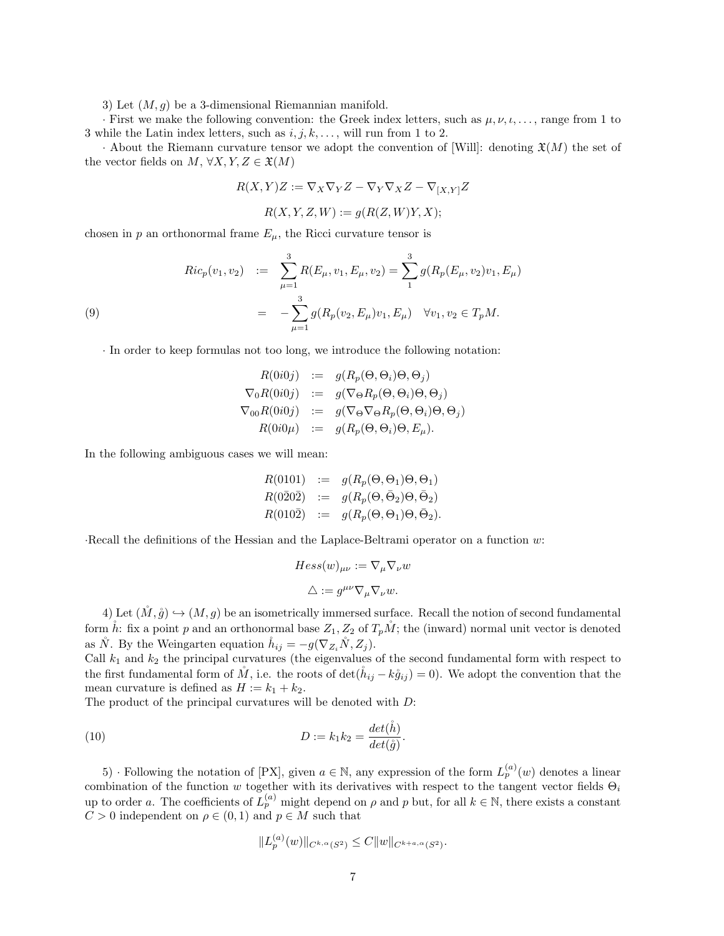3) Let  $(M, q)$  be a 3-dimensional Riemannian manifold.

· First we make the following convention: the Greek index letters, such as  $\mu, \nu, \iota, \ldots$ , range from 1 to 3 while the Latin index letters, such as  $i, j, k, \ldots$ , will run from 1 to 2.

· About the Riemann curvature tensor we adopt the convention of [Will]: denoting  $\mathfrak{X}(M)$  the set of the vector fields on  $M, \forall X, Y, Z \in \mathfrak{X}(M)$ 

$$
R(X,Y)Z := \nabla_X \nabla_Y Z - \nabla_Y \nabla_X Z - \nabla_{[X,Y]} Z
$$

$$
R(X, Y, Z, W) := g(R(Z, W)Y, X);
$$

chosen in p an orthonormal frame  $E_{\mu}$ , the Ricci curvature tensor is

(9)  
\n
$$
Ric_p(v_1, v_2) := \sum_{\mu=1}^3 R(E_{\mu}, v_1, E_{\mu}, v_2) = \sum_{1}^3 g(R_p(E_{\mu}, v_2)v_1, E_{\mu})
$$
\n
$$
= -\sum_{\mu=1}^3 g(R_p(v_2, E_{\mu})v_1, E_{\mu}) \quad \forall v_1, v_2 \in T_pM.
$$

· In order to keep formulas not too long, we introduce the following notation:

$$
R(0i0j) := g(R_p(\Theta, \Theta_i)\Theta, \Theta_j)
$$
  
\n
$$
\nabla_0 R(0i0j) := g(\nabla_{\Theta} R_p(\Theta, \Theta_i)\Theta, \Theta_j)
$$
  
\n
$$
\nabla_{00} R(0i0j) := g(\nabla_{\Theta} \nabla_{\Theta} R_p(\Theta, \Theta_i)\Theta, \Theta_j)
$$
  
\n
$$
R(0i0\mu) := g(R_p(\Theta, \Theta_i)\Theta, E_{\mu}).
$$

In the following ambiguous cases we will mean:

$$
R(0101) := g(R_p(\Theta, \Theta_1)\Theta, \Theta_1)
$$
  
\n
$$
R(0\overline{2}0\overline{2}) := g(R_p(\Theta, \overline{\Theta}_2)\Theta, \overline{\Theta}_2)
$$
  
\n
$$
R(010\overline{2}) := g(R_p(\Theta, \Theta_1)\Theta, \overline{\Theta}_2).
$$

·Recall the definitions of the Hessian and the Laplace-Beltrami operator on a function w:

$$
Hess(w)_{\mu\nu} := \nabla_{\mu} \nabla_{\nu} w
$$

$$
\triangle := g^{\mu\nu} \nabla_{\mu} \nabla_{\nu} w.
$$

4) Let  $(M, \hat{g}) \hookrightarrow (M, g)$  be an isometrically immersed surface. Recall the notion of second fundamental form h: fix a point p and an orthonormal base  $Z_1, Z_2$  of  $T_pM$ ; the (inward) normal unit vector is denoted as  $\check{N}$ . By the Weingarten equation  $\check{h}_{ij} = -g(\nabla_{Z_i}\check{N}, Z_i)$ .

Call  $k_1$  and  $k_2$  the principal curvatures (the eigenvalues of the second fundamental form with respect to the first fundamental form of  $\tilde{M}$ , i.e. the roots of det $(h_{ij} - k\tilde{g}_{ij}) = 0$ . We adopt the convention that the mean curvature is defined as  $H := k_1 + k_2$ .

The product of the principal curvatures will be denoted with D:

(10) 
$$
D := k_1 k_2 = \frac{\det(\mathring{h})}{\det(\mathring{g})}.
$$

5) · Following the notation of [PX], given  $a \in \mathbb{N}$ , any expression of the form  $L_p^{(a)}(w)$  denotes a linear combination of the function w together with its derivatives with respect to the tangent vector fields  $\Theta_i$ up to order a. The coefficients of  $L_p^{(a)}$  might depend on  $\rho$  and  $p$  but, for all  $k \in \mathbb{N}$ , there exists a constant  $C > 0$  independent on  $\rho \in (0, 1)$  and  $p \in M$  such that

$$
||L_p^{(a)}(w)||_{C^{k,\alpha}(S^2)} \leq C||w||_{C^{k+a,\alpha}(S^2)}.
$$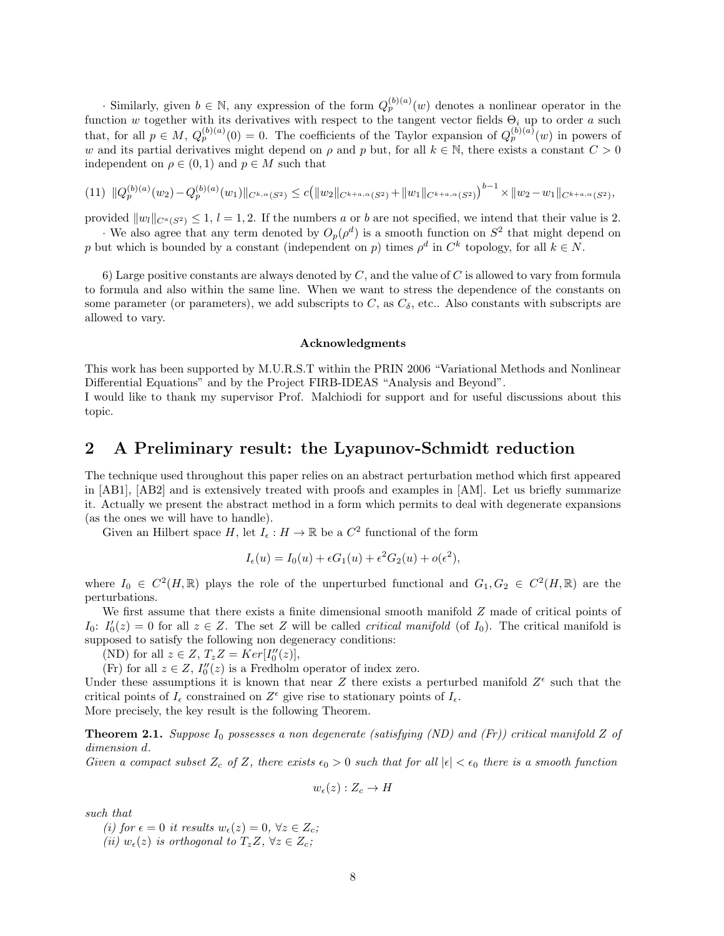· Similarly, given  $b \in \mathbb{N}$ , any expression of the form  $Q_p^{(b)(a)}(w)$  denotes a nonlinear operator in the function w together with its derivatives with respect to the tangent vector fields  $\Theta_i$  up to order a such that, for all  $p \in M$ ,  $Q_p^{(b)(a)}(0) = 0$ . The coefficients of the Taylor expansion of  $Q_p^{(b)(a)}(w)$  in powers of w and its partial derivatives might depend on  $\rho$  and p but, for all  $k \in \mathbb{N}$ , there exists a constant  $C > 0$ independent on  $\rho \in (0,1)$  and  $p \in M$  such that

$$
(11) \|Q_p^{(b)(a)}(w_2) - Q_p^{(b)(a)}(w_1)\|_{C^{k,\alpha}(S^2)} \le c \big( \|w_2\|_{C^{k+a,\alpha}(S^2)} + \|w_1\|_{C^{k+a,\alpha}(S^2)} \big)^{b-1} \times \|w_2 - w_1\|_{C^{k+a,\alpha}(S^2)},
$$

provided  $||w_l||_{C^a(S^2)} \leq 1$ ,  $l = 1, 2$ . If the numbers a or b are not specified, we intend that their value is 2. · We also agree that any term denoted by  $O_p(\rho^d)$  is a smooth function on  $S^2$  that might depend on

p but which is bounded by a constant (independent on p) times  $\rho^d$  in  $C^k$  topology, for all  $k \in N$ .

6) Large positive constants are always denoted by  $C$ , and the value of  $C$  is allowed to vary from formula to formula and also within the same line. When we want to stress the dependence of the constants on some parameter (or parameters), we add subscripts to  $C$ , as  $C_{\delta}$ , etc.. Also constants with subscripts are allowed to vary.

#### Acknowledgments

This work has been supported by M.U.R.S.T within the PRIN 2006 "Variational Methods and Nonlinear Differential Equations" and by the Project FIRB-IDEAS "Analysis and Beyond".

I would like to thank my supervisor Prof. Malchiodi for support and for useful discussions about this topic.

# 2 A Preliminary result: the Lyapunov-Schmidt reduction

The technique used throughout this paper relies on an abstract perturbation method which first appeared in [AB1], [AB2] and is extensively treated with proofs and examples in [AM]. Let us briefly summarize it. Actually we present the abstract method in a form which permits to deal with degenerate expansions (as the ones we will have to handle).

Given an Hilbert space H, let  $I_{\epsilon}: H \to \mathbb{R}$  be a  $C^2$  functional of the form

$$
I_{\epsilon}(u) = I_0(u) + \epsilon G_1(u) + \epsilon^2 G_2(u) + o(\epsilon^2),
$$

where  $I_0 \in C^2(H,\mathbb{R})$  plays the role of the unperturbed functional and  $G_1, G_2 \in C^2(H,\mathbb{R})$  are the perturbations.

We first assume that there exists a finite dimensional smooth manifold  $Z$  made of critical points of  $I_0: I'_0(z) = 0$  for all  $z \in Z$ . The set Z will be called *critical manifold* (of  $I_0$ ). The critical manifold is supposed to satisfy the following non degeneracy conditions:

(ND) for all  $z \in Z$ ,  $T_z Z = Ker[I_0''(z)],$ 

(Fr) for all  $z \in Z$ ,  $I_0''(z)$  is a Fredholm operator of index zero.

Under these assumptions it is known that near Z there exists a perturbed manifold  $Z^{\epsilon}$  such that the critical points of  $I_{\epsilon}$  constrained on  $Z^{\epsilon}$  give rise to stationary points of  $I_{\epsilon}$ .

More precisely, the key result is the following Theorem.

**Theorem 2.1.** Suppose  $I_0$  possesses a non degenerate (satisfying (ND) and (Fr)) critical manifold Z of dimension d.

Given a compact subset  $Z_c$  of Z, there exists  $\epsilon_0 > 0$  such that for all  $|\epsilon| < \epsilon_0$  there is a smooth function

$$
w_{\epsilon}(z):Z_c\to H
$$

such that

(i) for  $\epsilon = 0$  it results  $w_{\epsilon}(z) = 0, \forall z \in Z_c$ ;

(ii)  $w_{\epsilon}(z)$  is orthogonal to  $T_zZ$ ,  $\forall z \in Z_c$ ;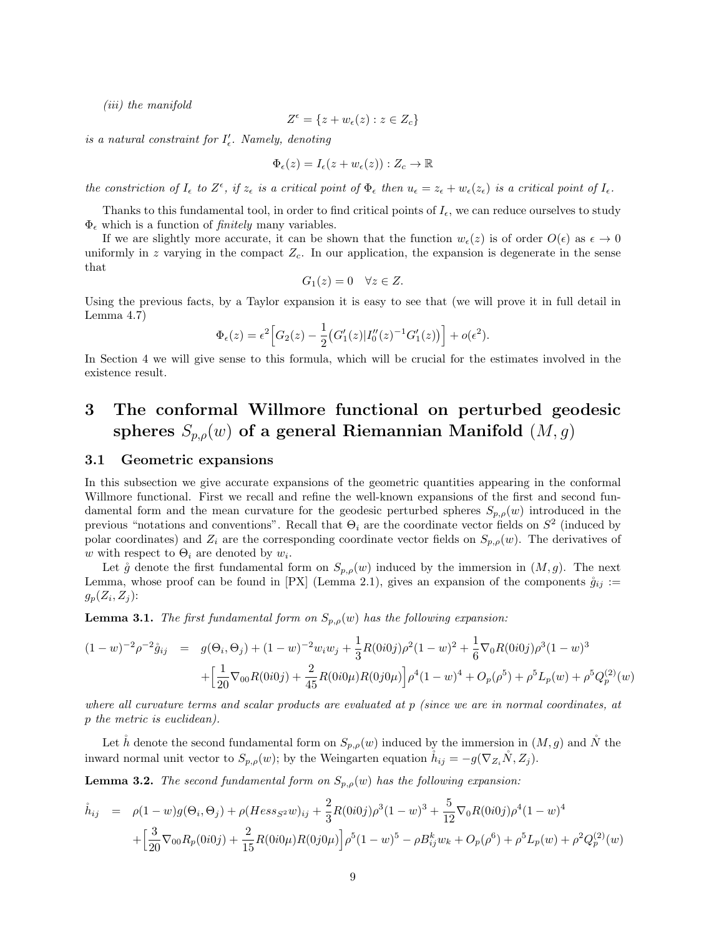(iii) the manifold

$$
Z^{\epsilon} = \{ z + w_{\epsilon}(z) : z \in Z_c \}
$$

is a natural constraint for  $I'_{\epsilon}$ . Namely, denoting

$$
\Phi_{\epsilon}(z) = I_{\epsilon}(z + w_{\epsilon}(z)) : Z_{c} \to \mathbb{R}
$$

the constriction of  $I_{\epsilon}$  to  $Z^{\epsilon}$ , if  $z_{\epsilon}$  is a critical point of  $\Phi_{\epsilon}$  then  $u_{\epsilon} = z_{\epsilon} + w_{\epsilon}(z_{\epsilon})$  is a critical point of  $I_{\epsilon}$ .

Thanks to this fundamental tool, in order to find critical points of  $I_{\epsilon}$ , we can reduce ourselves to study  $\Phi_{\epsilon}$  which is a function of *finitely* many variables.

If we are slightly more accurate, it can be shown that the function  $w_{\epsilon}(z)$  is of order  $O(\epsilon)$  as  $\epsilon \to 0$ uniformly in z varying in the compact  $Z_c$ . In our application, the expansion is degenerate in the sense that

$$
G_1(z) = 0 \quad \forall z \in Z.
$$

Using the previous facts, by a Taylor expansion it is easy to see that (we will prove it in full detail in Lemma 4.7)

$$
\Phi_{\epsilon}(z) = \epsilon^2 \Big[ G_2(z) - \frac{1}{2} \big( G_1'(z) |I_0''(z)^{-1} G_1'(z) \big) \Big] + o(\epsilon^2).
$$

In Section 4 we will give sense to this formula, which will be crucial for the estimates involved in the existence result.

# 3 The conformal Willmore functional on perturbed geodesic spheres  $S_{p,q}(w)$  of a general Riemannian Manifold  $(M, g)$

### 3.1 Geometric expansions

In this subsection we give accurate expansions of the geometric quantities appearing in the conformal Willmore functional. First we recall and refine the well-known expansions of the first and second fundamental form and the mean curvature for the geodesic perturbed spheres  $S_{p,\rho}(w)$  introduced in the previous "notations and conventions". Recall that  $\Theta_i$  are the coordinate vector fields on  $S^2$  (induced by polar coordinates) and  $Z_i$  are the corresponding coordinate vector fields on  $S_{p,\rho}(w)$ . The derivatives of w with respect to  $\Theta_i$  are denoted by  $w_i$ .

Let  $\mathring{g}$  denote the first fundamental form on  $S_{p,\rho}(w)$  induced by the immersion in  $(M, g)$ . The next Lemma, whose proof can be found in [PX] (Lemma 2.1), gives an expansion of the components  $\mathring{g}_{ij}$  :=  $g_p(Z_i, Z_j)$ :

**Lemma 3.1.** The first fundamental form on  $S_{p,\rho}(w)$  has the following expansion:

$$
(1 - w)^{-2} \rho^{-2} \mathring{g}_{ij} = g(\Theta_i, \Theta_j) + (1 - w)^{-2} w_i w_j + \frac{1}{3} R(0i0j) \rho^2 (1 - w)^2 + \frac{1}{6} \nabla_0 R(0i0j) \rho^3 (1 - w)^3
$$

$$
+ \left[ \frac{1}{20} \nabla_{00} R(0i0j) + \frac{2}{45} R(0i0\mu) R(0j0\mu) \right] \rho^4 (1 - w)^4 + O_p(\rho^5) + \rho^5 L_p(w) + \rho^5 Q_p^{(2)}(w)
$$

where all curvature terms and scalar products are evaluated at p (since we are in normal coordinates, at p the metric is euclidean).

Let h denote the second fundamental form on  $S_{p,\rho}(w)$  induced by the immersion in  $(M, g)$  and N the inward normal unit vector to  $S_{p,\rho}(w)$ ; by the Weingarten equation  $\dot{h}_{ij} = -g(\nabla_{Z_i}N, Z_j)$ .

**Lemma 3.2.** The second fundamental form on  $S_{p,\rho}(w)$  has the following expansion:

$$
\hat{h}_{ij} = \rho(1-w)g(\Theta_i, \Theta_j) + \rho(Hess_{S^2}w)_{ij} + \frac{2}{3}R(0i0j)\rho^3(1-w)^3 + \frac{5}{12}\nabla_0R(0i0j)\rho^4(1-w)^4
$$
  
+ 
$$
\left[\frac{3}{20}\nabla_{00}R_p(0i0j) + \frac{2}{15}R(0i0\mu)R(0j0\mu)\right]\rho^5(1-w)^5 - \rho B_{ij}^kw_k + O_p(\rho^6) + \rho^5L_p(w) + \rho^2Q_p^{(2)}(w)
$$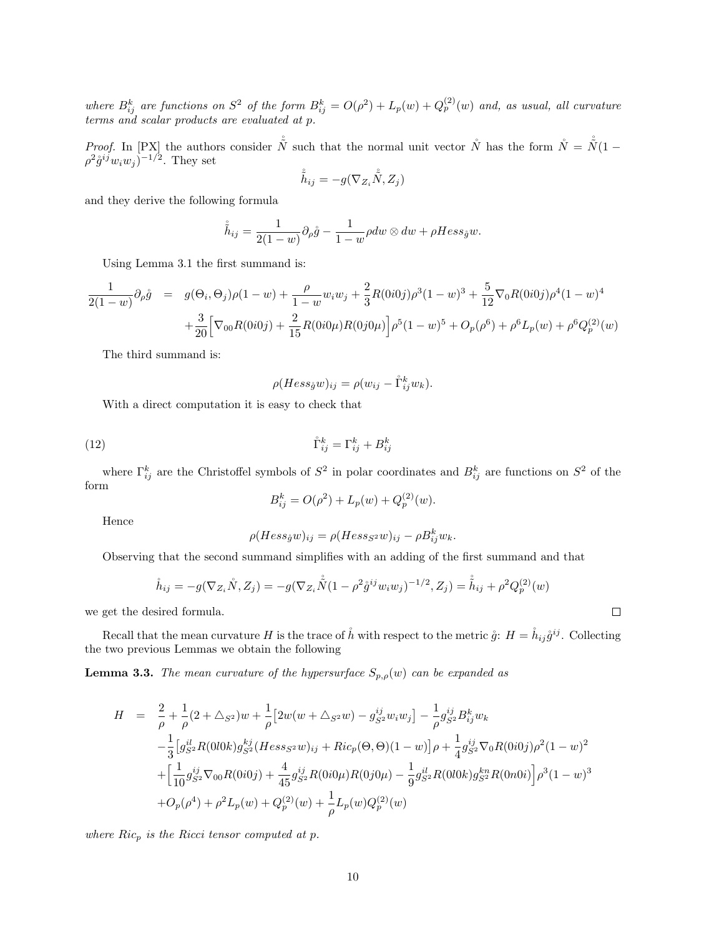where  $B_{ij}^k$  are functions on  $S^2$  of the form  $B_{ij}^k = O(\rho^2) + L_p(w) + Q_p^{(2)}(w)$  and, as usual, all curvature terms and scalar products are evaluated at p.

*Proof.* In [PX] the authors consider  $\stackrel{\circ}{N}$  such that the normal unit vector  $\stackrel{\circ}{N}$  has the form  $\stackrel{\circ}{N} = \stackrel{\circ}{N}(1 \rho^2 \mathring{g}^{ij} w_i w_j$ )<sup>-1/2</sup>. They set

$$
\hat{\tilde{h}}_{ij} = -g(\nabla_{Z_i} \mathring{\tilde{N}}, Z_j)
$$

and they derive the following formula

$$
\mathring{\tilde{h}}_{ij} = \frac{1}{2(1-w)} \partial_{\rho} \mathring{g} - \frac{1}{1-w} \rho dw \otimes dw + \rho Hess_{\mathring{g}} w.
$$

Using Lemma 3.1 the first summand is:

$$
\frac{1}{2(1-w)}\partial_{\rho}\mathring{g} = g(\Theta_i, \Theta_j)\rho(1-w) + \frac{\rho}{1-w}w_iw_j + \frac{2}{3}R(0i0j)\rho^3(1-w)^3 + \frac{5}{12}\nabla_0R(0i0j)\rho^4(1-w)^4
$$

$$
+ \frac{3}{20}\Big[\nabla_{00}R(0i0j) + \frac{2}{15}R(0i0\mu)R(0j0\mu)\Big]\rho^5(1-w)^5 + O_p(\rho^6) + \rho^6L_p(w) + \rho^6Q_p^{(2)}(w)
$$

The third summand is:

$$
\rho(Hess_{\mathring{g}}w)_{ij} = \rho(w_{ij} - \mathring{\Gamma}_{ij}^k w_k).
$$

With a direct computation it is easy to check that

$$
(12)\qquad \qquad \mathring{\Gamma}_{ij}^k = \Gamma_{ij}^k + B_{ij}^k
$$

where  $\Gamma_{ij}^k$  are the Christoffel symbols of  $S^2$  in polar coordinates and  $B_{ij}^k$  are functions on  $S^2$  of the form

$$
B_{ij}^{k} = O(\rho^{2}) + L_{p}(w) + Q_{p}^{(2)}(w).
$$

Hence

$$
\rho(Hess_{\mathring{g}}w)_{ij} = \rho(Hess_{S^2}w)_{ij} - \rho B_{ij}^k w_k.
$$

Observing that the second summand simplifies with an adding of the first summand and that

$$
\mathring{h}_{ij} = -g(\nabla_{Z_i}\mathring{N}, Z_j) = -g(\nabla_{Z_i}\mathring{\mathring{N}}(1 - \rho^2\mathring{g}^{ij}w_iw_j)^{-1/2}, Z_j) = \mathring{\mathring{h}}_{ij} + \rho^2 Q_p^{(2)}(w)
$$

we get the desired formula.

Recall that the mean curvature H is the trace of  $\mathring{h}$  with respect to the metric  $\mathring{g}: H = \mathring{h}_{ij}\mathring{g}^{ij}$ . Collecting the two previous Lemmas we obtain the following

**Lemma 3.3.** The mean curvature of the hypersurface  $S_{p,\rho}(w)$  can be expanded as

$$
H = \frac{2}{\rho} + \frac{1}{\rho} (2 + \Delta_{S^2}) w + \frac{1}{\rho} [2w(w + \Delta_{S^2} w) - g_{S^2}^{ij} w_i w_j] - \frac{1}{\rho} g_{S^2}^{ij} B_{ij}^k w_k
$$
  

$$
- \frac{1}{3} [g_{S^2}^{il} R(0l0k) g_{S^2}^{kj} (Hess_{S^2} w)_{ij} + Ric_p(\Theta, \Theta)(1 - w)] \rho + \frac{1}{4} g_{S^2}^{ij} \nabla_0 R(0i0j) \rho^2 (1 - w)^2
$$
  

$$
+ \left[ \frac{1}{10} g_{S^2}^{ij} \nabla_{00} R(0i0j) + \frac{4}{45} g_{S^2}^{ij} R(0i0\mu) R(0j0\mu) - \frac{1}{9} g_{S^2}^{il} R(0l0k) g_{S^2}^{kn} R(0n0i) \right] \rho^3 (1 - w)^3
$$
  

$$
+ O_p(\rho^4) + \rho^2 L_p(w) + Q_p^{(2)}(w) + \frac{1}{\rho} L_p(w) Q_p^{(2)}(w)
$$

where  $Ric_p$  is the Ricci tensor computed at p.

 $\Box$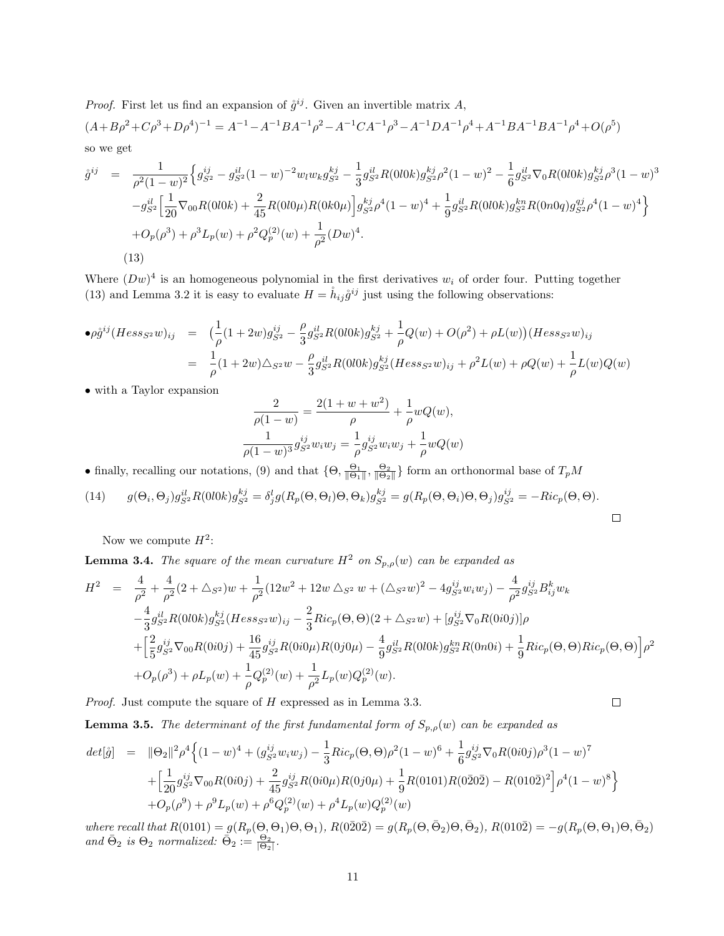*Proof.* First let us find an expansion of  $\hat{g}^{ij}$ . Given an invertible matrix A,  $(A+B\rho^2+C\rho^3+D\rho^4)^{-1}=A^{-1}-A^{-1}BA^{-1}\rho^2-A^{-1}CA^{-1}\rho^3-A^{-1}DA^{-1}\rho^4+A^{-1}BA^{-1}BA^{-1}\rho^4+O(\rho^5)$ so we get

$$
\dot{g}^{ij} = \frac{1}{\rho^2 (1 - w)^2} \Big\{ g_{S^2}^{ij} - g_{S^2}^{il} (1 - w)^{-2} w_l w_k g_{S^2}^{kj} - \frac{1}{3} g_{S^2}^{il} R(0 l 0 k) g_{S^2}^{kj} \rho^2 (1 - w)^2 - \frac{1}{6} g_{S^2}^{il} \nabla_0 R(0 l 0 k) g_{S^2}^{kj} \rho^3 (1 - w)^3 - g_{S^2}^{il} \Big[ \frac{1}{20} \nabla_{00} R(0 l 0 k) + \frac{2}{45} R(0 l 0 \mu) R(0 k 0 \mu) \Big] g_{S^2}^{kj} \rho^4 (1 - w)^4 + \frac{1}{9} g_{S^2}^{il} R(0 l 0 k) g_{S^2}^{kn} R(0 n 0 q) g_{S^2}^{qj} \rho^4 (1 - w)^4 \Big\} + O_p(\rho^3) + \rho^3 L_p(w) + \rho^2 Q_p^{(2)}(w) + \frac{1}{\rho^2} (Dw)^4.
$$
\n(13)

Where  $(Dw)^4$  is an homogeneous polynomial in the first derivatives  $w_i$  of order four. Putting together (13) and Lemma 3.2 it is easy to evaluate  $H = \hat{h}_{ij} \hat{g}^{ij}$  just using the following observations:

$$
\begin{array}{rcl}\n\bullet \rho \mathring{g}^{ij} (Hess_{S^2}w)_{ij} & = & \big(\frac{1}{\rho}(1+2w)g_{S^2}^{ij} - \frac{\rho}{3}g_{S^2}^{il}R(0l0k)g_{S^2}^{kj} + \frac{1}{\rho}Q(w) + O(\rho^2) + \rho L(w)\big)(Hess_{S^2}w)_{ij} \\
& = & \frac{1}{\rho}(1+2w)\triangle_{S^2}w - \frac{\rho}{3}g_{S^2}^{il}R(0l0k)g_{S^2}^{kj}(Hess_{S^2}w)_{ij} + \rho^2 L(w) + \rho Q(w) + \frac{1}{\rho}L(w)Q(w)\n\end{array}
$$

• with a Taylor expansion

$$
\frac{2}{\rho(1-w)} = \frac{2(1+w+w^2)}{\rho} + \frac{1}{\rho}wQ(w),
$$

$$
\frac{1}{\rho(1-w)^3} g_{S^2}^{ij} w_i w_j = \frac{1}{\rho} g_{S^2}^{ij} w_i w_j + \frac{1}{\rho} wQ(w)
$$

• finally, recalling our notations, (9) and that  $\{\Theta, \frac{\Theta_1}{\|\Theta_1\|}, \frac{\Theta_2}{\|\Theta_2\|}\}$  form an orthonormal base of  $T_pM$ 

(14) 
$$
g(\Theta_i, \Theta_j)g_{S^2}^{il}R(0l0k)g_{S^2}^{kj} = \delta_j^l g(R_p(\Theta, \Theta_l)\Theta, \Theta_k)g_{S^2}^{kj} = g(R_p(\Theta, \Theta_i)\Theta, \Theta_j)g_{S^2}^{ij} = -Ric_p(\Theta, \Theta).
$$

Now we compute  $H^2$ :

**Lemma 3.4.** The square of the mean curvature  $H^2$  on  $S_{p,\rho}(w)$  can be expanded as

$$
H^{2} = \frac{4}{\rho^{2}} + \frac{4}{\rho^{2}} (2 + \triangle_{S^{2}}) w + \frac{1}{\rho^{2}} (12w^{2} + 12w \triangle_{S^{2}} w + (\triangle_{S^{2}} w)^{2} - 4g_{S^{2}}^{ij} w_{i} w_{j}) - \frac{4}{\rho^{2}} g_{S^{2}}^{ij} B_{ij}^{k} w_{k}
$$
  

$$
- \frac{4}{3} g_{S^{2}}^{il} R(0 l 0 k) g_{S^{2}}^{kj} (Hess_{S^{2}} w)_{ij} - \frac{2}{3} Ric_{p}(\Theta, \Theta)(2 + \triangle_{S^{2}} w) + [g_{S^{2}}^{ij} \nabla_{0} R(0 i 0 j)] \rho
$$
  

$$
+ \left[ \frac{2}{5} g_{S^{2}}^{ij} \nabla_{00} R(0 i 0 j) + \frac{16}{45} g_{S^{2}}^{ij} R(0 i 0 \mu) R(0 j 0 \mu) - \frac{4}{9} g_{S^{2}}^{il} R(0 l 0 k) g_{S^{2}}^{kn} R(0 n 0 i) + \frac{1}{9} Ric_{p}(\Theta, \Theta) Ric_{p}(\Theta, \Theta) \right] \rho^{2}
$$
  

$$
+ O_{p}(\rho^{3}) + \rho L_{p}(w) + \frac{1}{\rho} Q_{p}^{(2)}(w) + \frac{1}{\rho^{2}} L_{p}(w) Q_{p}^{(2)}(w).
$$

Proof. Just compute the square of H expressed as in Lemma 3.3.

$$
\Box
$$

**Lemma 3.5.** The determinant of the first fundamental form of  $S_{p,\rho}(w)$  can be expanded as

$$
det[\hat{g}] = ||\Theta_2||^2 \rho^4 \Big\{ (1-w)^4 + (g_{S^2}^{ij} w_i w_j) - \frac{1}{3} Ric_p(\Theta, \Theta) \rho^2 (1-w)^6 + \frac{1}{6} g_{S^2}^{ij} \nabla_0 R(0i0j) \rho^3 (1-w)^7
$$
  
+ 
$$
\Big[\frac{1}{20} g_{S^2}^{ij} \nabla_{00} R(0i0j) + \frac{2}{45} g_{S^2}^{ij} R(0i0\mu) R(0j0\mu) + \frac{1}{9} R(0101) R(020\bar{2}) - R(010\bar{2})^2 \Big] \rho^4 (1-w)^8 \Big\}
$$
  
+ 
$$
O_p(\rho^9) + \rho^9 L_p(w) + \rho^6 Q_p^{(2)}(w) + \rho^4 L_p(w) Q_p^{(2)}(w)
$$

where recall that  $R(0101) = g(R_p(\Theta, \Theta_1)\Theta, \Theta_1), R(0\bar{2}0\bar{2}) = g(R_p(\Theta, \bar{\Theta}_2)\Theta, \bar{\Theta}_2), R(010\bar{2}) = -g(R_p(\Theta, \Theta_1)\Theta, \bar{\Theta}_2)$ and  $\bar{\Theta}_2$  is  $\Theta_2$  normalized:  $\bar{\Theta}_2 := \frac{\Theta_2}{|\Theta_2|}$ .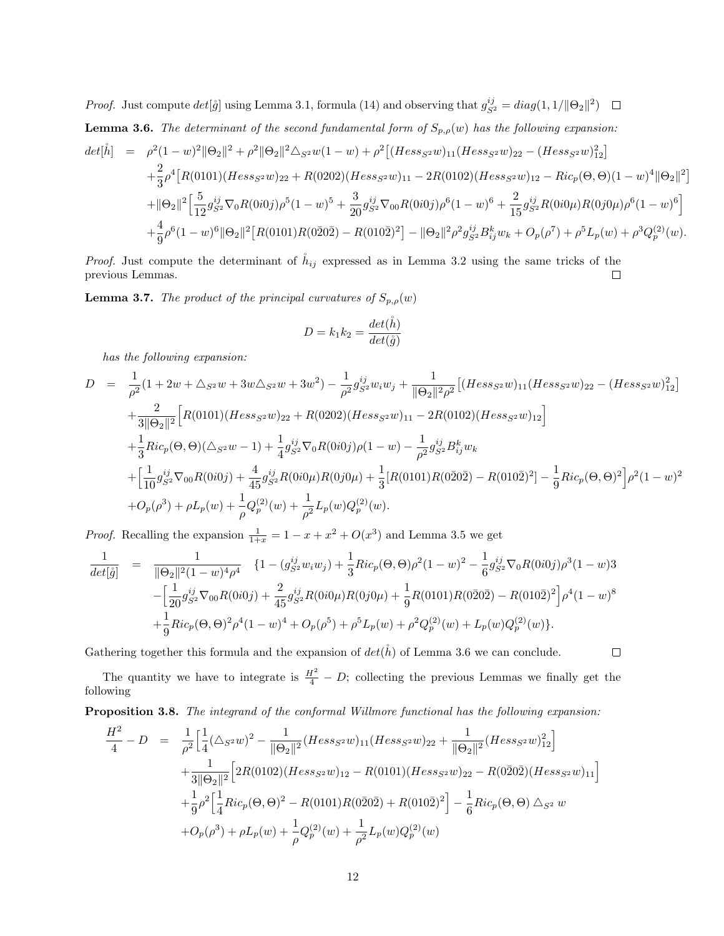*Proof.* Just compute  $det[\mathring{g}]$  using Lemma 3.1, formula (14) and observing that  $g_{S^2}^{ij} = diag(1, 1/||\Theta_2||^2)$ 

**Lemma 3.6.** The determinant of the second fundamental form of  $S_{p,\rho}(w)$  has the following expansion:

$$
det[\mathring{h}] = \rho^2 (1-w)^2 ||\Theta_2||^2 + \rho^2 ||\Theta_2||^2 \Delta_{S^2} w (1-w) + \rho^2 [(Hess_{S^2}w)_{11} (Hess_{S^2}w)_{22} - (Hess_{S^2}w)_{12}^2]
$$
  
+ 
$$
\frac{2}{3} \rho^4 [R(0101)(Hess_{S^2}w)_{22} + R(0202)(Hess_{S^2}w)_{11} - 2R(0102)(Hess_{S^2}w)_{12} - Ric_p(\Theta, \Theta)(1-w)^4 ||\Theta_2||^2]
$$
  
+ 
$$
||\Theta_2||^2 \Big[ \frac{5}{12} g_{S^2}^{ij} \nabla_0 R(0i0j) \rho^5 (1-w)^5 + \frac{3}{20} g_{S^2}^{ij} \nabla_{00} R(0i0j) \rho^6 (1-w)^6 + \frac{2}{15} g_{S^2}^{ij} R(0i0\mu) R(0j0\mu) \rho^6 (1-w)^6 \Big]
$$
  
+ 
$$
\frac{4}{9} \rho^6 (1-w)^6 ||\Theta_2||^2 [R(0101)R(0202) - R(0102)^2] - ||\Theta_2||^2 \rho^2 g_{S^2}^{ij} B_{ij}^k w_k + O_p(\rho^7) + \rho^5 L_p(w) + \rho^3 Q_p^{(2)}(w).
$$

*Proof.* Just compute the determinant of  $\hat{h}_{ij}$  expressed as in Lemma 3.2 using the same tricks of the previous Lemmas.  $\Box$ 

**Lemma 3.7.** The product of the principal curvatures of  $S_{p,\rho}(w)$ 

$$
D = k_1 k_2 = \frac{det(\mathring{h})}{det(\mathring{g})}
$$

has the following expansion:

$$
D = \frac{1}{\rho^2} (1 + 2w + \Delta_{S^2} w + 3w\Delta_{S^2} w + 3w^2) - \frac{1}{\rho^2} g_{S^2}^{ij} w_i w_j + \frac{1}{\|\Theta_2\|^2 \rho^2} \left[ (Hess_{S^2} w)_{11} (Hess_{S^2} w)_{22} - (Hess_{S^2} w)_{12} \right]
$$
  
+ 
$$
\frac{2}{3\|\Theta_2\|^2} \left[ R(0101)(Hess_{S^2} w)_{22} + R(0202)(Hess_{S^2} w)_{11} - 2R(0102)(Hess_{S^2} w)_{12} \right]
$$
  
+ 
$$
\frac{1}{3} Ric_p(\Theta, \Theta)(\Delta_{S^2} w - 1) + \frac{1}{4} g_{S^2}^{ij} \nabla_0 R(0i0j) \rho (1 - w) - \frac{1}{\rho^2} g_{S^2}^{ij} B_{ij}^k w_k
$$
  
+ 
$$
\left[ \frac{1}{10} g_{S^2}^{ij} \nabla_{00} R(0i0j) + \frac{4}{45} g_{S^2}^{ij} R(0i0\mu) R(0j0\mu) + \frac{1}{3} [R(0101)R(0202) - R(0102)^2] - \frac{1}{9} Ric_p(\Theta, \Theta)^2 \right] \rho^2 (1 - w)^2
$$
  
+ 
$$
O_p(\rho^3) + \rho L_p(w) + \frac{1}{\rho} Q_p^{(2)}(w) + \frac{1}{\rho^2} L_p(w) Q_p^{(2)}(w).
$$

*Proof.* Recalling the expansion  $\frac{1}{1+x} = 1 - x + x^2 + O(x^3)$  and Lemma 3.5 we get

$$
\frac{1}{\det[\mathring{g}]} = \frac{1}{\|\Theta_2\|^2 (1-w)^4 \rho^4} \{1 - (g_{S^2}^{ij} w_i w_j) + \frac{1}{3} Ric_p(\Theta, \Theta) \rho^2 (1-w)^2 - \frac{1}{6} g_{S^2}^{ij} \nabla_0 R(0i0j) \rho^3 (1-w)3 \n- \left[ \frac{1}{20} g_{S^2}^{ij} \nabla_{00} R(0i0j) + \frac{2}{45} g_{S^2}^{ij} R(0i0\mu) R(0j0\mu) + \frac{1}{9} R(0101) R(0202) - R(0102)^2 \right] \rho^4 (1-w)^8 \n+ \frac{1}{9} Ric_p(\Theta, \Theta)^2 \rho^4 (1-w)^4 + O_p(\rho^5) + \rho^5 L_p(w) + \rho^2 Q_p^{(2)}(w) + L_p(w) Q_p^{(2)}(w) \}.
$$

Gathering together this formula and the expansion of  $det(\mathring{h})$  of Lemma 3.6 we can conclude.

 $\Box$ 

The quantity we have to integrate is  $\frac{H^2}{4} - D$ ; collecting the previous Lemmas we finally get the following

Proposition 3.8. The integrand of the conformal Willmore functional has the following expansion:

$$
\frac{H^2}{4} - D = \frac{1}{\rho^2} \Big[ \frac{1}{4} (\Delta_{S^2} w)^2 - \frac{1}{\|\Theta_2\|^2} (Hess_{S^2} w)_{11} (Hess_{S^2} w)_{22} + \frac{1}{\|\Theta_2\|^2} (Hess_{S^2} w)_{12}^2 \Big] \n+ \frac{1}{3\|\Theta_2\|^2} \Big[ 2R(0102)(Hess_{S^2} w)_{12} - R(0101)(Hess_{S^2} w)_{22} - R(0202)(Hess_{S^2} w)_{11} \Big] \n+ \frac{1}{9} \rho^2 \Big[ \frac{1}{4} Ric_p(\Theta, \Theta)^2 - R(0101)R(0202) + R(0102)^2 \Big] - \frac{1}{6} Ric_p(\Theta, \Theta) \Delta_{S^2} w \n+ O_p(\rho^3) + \rho L_p(w) + \frac{1}{\rho} Q_p^{(2)}(w) + \frac{1}{\rho^2} L_p(w) Q_p^{(2)}(w)
$$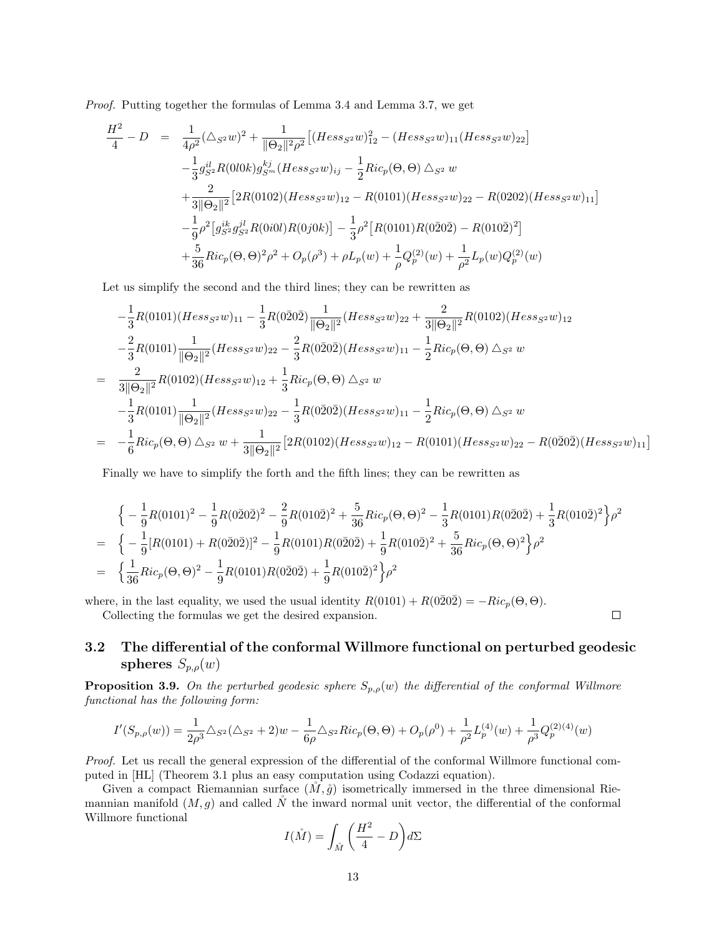Proof. Putting together the formulas of Lemma 3.4 and Lemma 3.7, we get

$$
\frac{H^2}{4} - D = \frac{1}{4\rho^2} (\triangle_{S^2} w)^2 + \frac{1}{\|\Theta_2\|^2 \rho^2} \left[ (Hess_{S^2} w)^2_{12} - (Hess_{S^2} w)_{11} (Hess_{S^2} w)_{22} \right]
$$
  
\n
$$
- \frac{1}{3} g_{S^2}^{il} R(000k) g_{S^m}^{kj} (Hess_{S^2} w)_{ij} - \frac{1}{2} Ric_p(\Theta, \Theta) \triangle_{S^2} w
$$
  
\n
$$
+ \frac{2}{3\|\Theta_2\|^2} \left[ 2R(0102)(Hess_{S^2} w)_{12} - R(0101)(Hess_{S^2} w)_{22} - R(0202)(Hess_{S^2} w)_{11} \right]
$$
  
\n
$$
- \frac{1}{9} \rho^2 \left[ g_{S^2}^{ik} g_{S^2}^{jl} R(0i0l) R(0j0k) \right] - \frac{1}{3} \rho^2 \left[ R(0101) R(0\overline{2}0\overline{2}) - R(010\overline{2})^2 \right]
$$
  
\n
$$
+ \frac{5}{36} Ric_p(\Theta, \Theta)^2 \rho^2 + O_p(\rho^3) + \rho L_p(w) + \frac{1}{\rho} Q_p^{(2)}(w) + \frac{1}{\rho^2} L_p(w) Q_p^{(2)}(w)
$$

Let us simplify the second and the third lines; they can be rewritten as

$$
-\frac{1}{3}R(0101)(Hess_{S^2}w)_{11} - \frac{1}{3}R(0\bar{2}0\bar{2})\frac{1}{\|\Theta_2\|^2}(Hess_{S^2}w)_{22} + \frac{2}{3\|\Theta_2\|^2}R(0102)(Hess_{S^2}w)_{12}
$$
  

$$
-\frac{2}{3}R(0101)\frac{1}{\|\Theta_2\|^2}(Hess_{S^2}w)_{22} - \frac{2}{3}R(0\bar{2}0\bar{2})(Hess_{S^2}w)_{11} - \frac{1}{2}Ric_p(\Theta,\Theta) \triangle_{S^2}w
$$
  

$$
= \frac{2}{3\|\Theta_2\|^2}R(0102)(Hess_{S^2}w)_{12} + \frac{1}{3}Ric_p(\Theta,\Theta) \triangle_{S^2}w
$$
  

$$
-\frac{1}{3}R(0101)\frac{1}{\|\Theta_2\|^2}(Hess_{S^2}w)_{22} - \frac{1}{3}R(0\bar{2}0\bar{2})(Hess_{S^2}w)_{11} - \frac{1}{2}Ric_p(\Theta,\Theta) \triangle_{S^2}w
$$
  

$$
= -\frac{1}{6}Ric_p(\Theta,\Theta) \triangle_{S^2}w + \frac{1}{3\|\Theta_2\|^2}[2R(0102)(Hess_{S^2}w)_{12} - R(0101)(Hess_{S^2}w)_{22} - R(0\bar{2}0\bar{2})(Hess_{S^2}w)_{11}]
$$

Finally we have to simplify the forth and the fifth lines; they can be rewritten as

$$
\begin{split}\n&\Big\{-\frac{1}{9}R(0101)^2-\frac{1}{9}R(0\bar{2}0\bar{2})^2-\frac{2}{9}R(010\bar{2})^2+\frac{5}{36}Ric_p(\Theta,\Theta)^2-\frac{1}{3}R(0101)R(0\bar{2}0\bar{2})+\frac{1}{3}R(010\bar{2})^2\Big\}\rho^2\\ &=\Big\{-\frac{1}{9}[R(0101)+R(0\bar{2}0\bar{2})]^2-\frac{1}{9}R(0101)R(0\bar{2}0\bar{2})+\frac{1}{9}R(010\bar{2})^2+\frac{5}{36}Ric_p(\Theta,\Theta)^2\Big\}\rho^2\\ &=\Big\{\frac{1}{36}Ric_p(\Theta,\Theta)^2-\frac{1}{9}R(0101)R(0\bar{2}0\bar{2})+\frac{1}{9}R(010\bar{2})^2\Big\}\rho^2\n\end{split}
$$

where, in the last equality, we used the usual identity  $R(0101) + R(0\overline{2}0\overline{2}) = -Ric_p(\Theta, \Theta)$ . Collecting the formulas we get the desired expansion.

# 3.2 The differential of the conformal Willmore functional on perturbed geodesic spheres  $S_{p,\rho}(w)$

 $\Box$ 

**Proposition 3.9.** On the perturbed geodesic sphere  $S_{p,\rho}(w)$  the differential of the conformal Willmore functional has the following form:

$$
I'(S_{p,\rho}(w))=\frac{1}{2\rho^3}\triangle_{S^2}(\triangle_{S^2}+2)w-\frac{1}{6\rho}\triangle_{S^2}Ric_p(\Theta,\Theta)+O_p(\rho^0)+\frac{1}{\rho^2}L^{(4)}_p(w)+\frac{1}{\rho^3}Q^{(2)(4)}_p(w)
$$

Proof. Let us recall the general expression of the differential of the conformal Willmore functional computed in [HL] (Theorem 3.1 plus an easy computation using Codazzi equation).

Given a compact Riemannian surface  $(M, \mathring{g})$  isometrically immersed in the three dimensional Riemannian manifold  $(M, g)$  and called N<sup>v</sup> the inward normal unit vector, the differential of the conformal Willmore functional

$$
I(\mathring{M}) = \int_{\mathring{M}} \left( \frac{H^2}{4} - D \right) d\Sigma
$$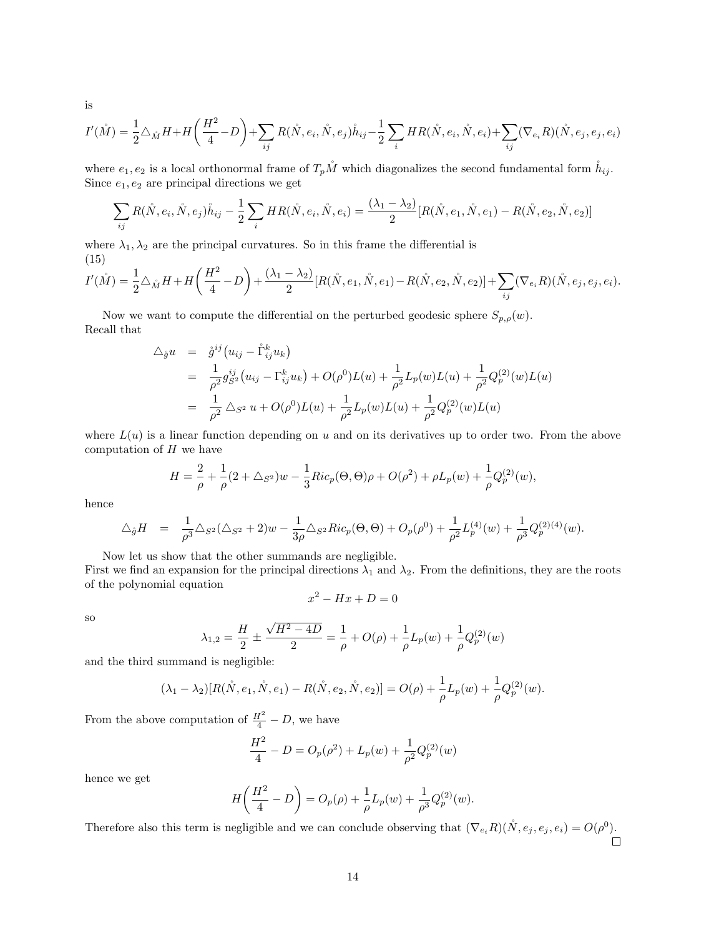$$
I'(\mathring{M}) = \frac{1}{2} \triangle_{\mathring{M}} H + H\left(\frac{H^2}{4} - D\right) + \sum_{ij} R(\mathring{N}, e_i, \mathring{N}, e_j) \mathring{h}_{ij} - \frac{1}{2} \sum_i H R(\mathring{N}, e_i, \mathring{N}, e_i) + \sum_{ij} (\nabla_{e_i} R)(\mathring{N}, e_j, e_j, e_i)
$$

where  $e_1, e_2$  is a local orthonormal frame of  $T_pM$ <sup>n</sup> which diagonalizes the second fundamental form  $\hat{h}_{ij}$ . Since  $e_1, e_2$  are principal directions we get

$$
\sum_{ij} R(\mathring{N}, e_i, \mathring{N}, e_j) \mathring{h}_{ij} - \frac{1}{2} \sum_i HR(\mathring{N}, e_i, \mathring{N}, e_i) = \frac{(\lambda_1 - \lambda_2)}{2} [R(\mathring{N}, e_1, \mathring{N}, e_1) - R(\mathring{N}, e_2, \mathring{N}, e_2)]
$$

where  $\lambda_1, \lambda_2$  are the principal curvatures. So in this frame the differential is (15)

$$
I'(\mathring{M}) = \frac{1}{2}\triangle_{\mathring{M}}H + H\left(\frac{H^2}{4} - D\right) + \frac{(\lambda_1 - \lambda_2)}{2}[R(\mathring{N}, e_1, \mathring{N}, e_1) - R(\mathring{N}, e_2, \mathring{N}, e_2)] + \sum_{ij}(\nabla_{e_i}R)(\mathring{N}, e_j, e_j, e_i).
$$

Now we want to compute the differential on the perturbed geodesic sphere  $S_{p,\rho}(w)$ . Recall that

$$
\Delta_{\hat{g}} u = \mathring{g}^{ij} (u_{ij} - \mathring{\Gamma}_{ij}^k u_k)
$$
  
\n
$$
= \frac{1}{\rho^2} g_{S^2}^{ij} (u_{ij} - \Gamma_{ij}^k u_k) + O(\rho^0) L(u) + \frac{1}{\rho^2} L_p(w) L(u) + \frac{1}{\rho^2} Q_p^{(2)}(w) L(u)
$$
  
\n
$$
= \frac{1}{\rho^2} \Delta_{S^2} u + O(\rho^0) L(u) + \frac{1}{\rho^2} L_p(w) L(u) + \frac{1}{\rho^2} Q_p^{(2)}(w) L(u)
$$

where  $L(u)$  is a linear function depending on u and on its derivatives up to order two. From the above computation of  $H$  we have

$$
H = \frac{2}{\rho} + \frac{1}{\rho}(2 + \triangle_{S^2})w - \frac{1}{3}Ric_p(\Theta, \Theta)\rho + O(\rho^2) + \rho L_p(w) + \frac{1}{\rho}Q_p^{(2)}(w),
$$

hence

$$
\Delta_{\mathring{g}}H = \frac{1}{\rho^3} \Delta_{S^2} (\Delta_{S^2} + 2) w - \frac{1}{3\rho} \Delta_{S^2} Ric_p(\Theta, \Theta) + O_p(\rho^0) + \frac{1}{\rho^2} L_p^{(4)}(w) + \frac{1}{\rho^3} Q_p^{(2)(4)}(w).
$$

Now let us show that the other summands are negligible.

First we find an expansion for the principal directions  $\lambda_1$  and  $\lambda_2$ . From the definitions, they are the roots of the polynomial equation

$$
x^2 - Hx + D = 0
$$

so

$$
\lambda_{1,2} = \frac{H}{2} \pm \frac{\sqrt{H^2 - 4D}}{2} = \frac{1}{\rho} + O(\rho) + \frac{1}{\rho}L_p(w) + \frac{1}{\rho}Q_p^{(2)}(w)
$$

and the third summand is negligible:

$$
(\lambda_1 - \lambda_2)[R(\mathring{N}, e_1, \mathring{N}, e_1) - R(\mathring{N}, e_2, \mathring{N}, e_2)] = O(\rho) + \frac{1}{\rho}L_p(w) + \frac{1}{\rho}Q_p^{(2)}(w).
$$

From the above computation of  $\frac{H^2}{4} - D$ , we have

$$
\frac{H^2}{4} - D = O_p(\rho^2) + L_p(w) + \frac{1}{\rho^2} Q_p^{(2)}(w)
$$

hence we get

$$
H\left(\frac{H^2}{4} - D\right) = O_p(\rho) + \frac{1}{\rho}L_p(w) + \frac{1}{\rho^3}Q_p^{(2)}(w).
$$

Therefore also this term is negligible and we can conclude observing that  $(\nabla_{e_i} R)(\mathring{N}, e_j, e_i) = O(\rho^0)$ .

is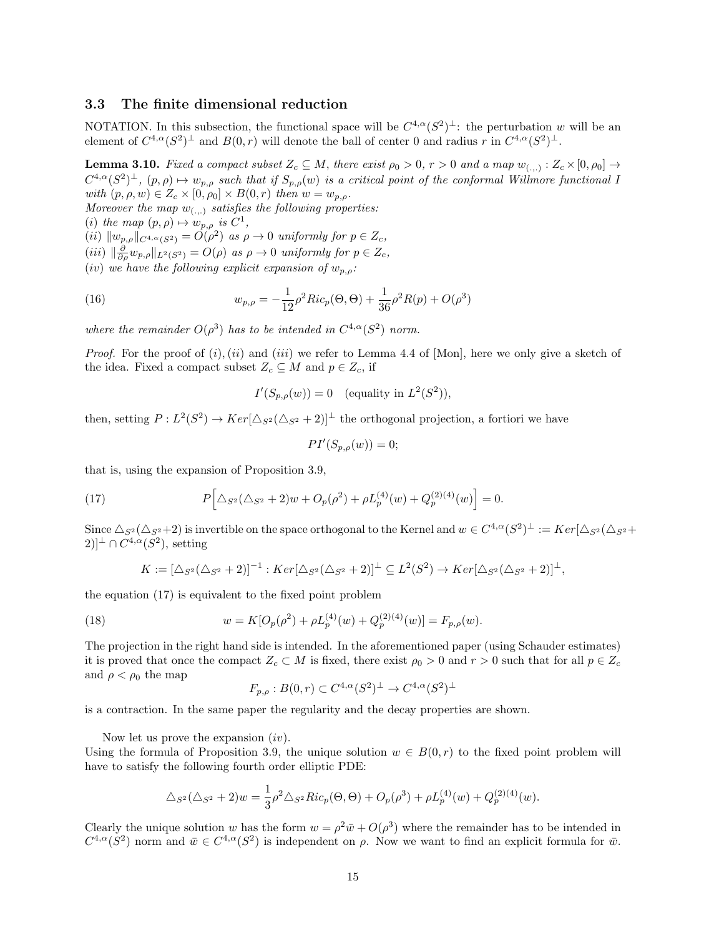# 3.3 The finite dimensional reduction

NOTATION. In this subsection, the functional space will be  $C^{4,\alpha}(S^2)^{\perp}$ : the perturbation w will be an element of  $C^{4,\alpha}(S^2)^{\perp}$  and  $B(0,r)$  will denote the ball of center 0 and radius r in  $C^{4,\alpha}(S^2)^{\perp}$ .

**Lemma 3.10.** Fixed a compact subset  $Z_c \subseteq M$ , there exist  $\rho_0 > 0$ ,  $r > 0$  and a map  $w_{(.,.)}: Z_c \times [0, \rho_0] \to$  $C^{4,\alpha}(S^2)^{\perp}$ ,  $(p, \rho) \mapsto w_{p,\rho}$  such that if  $S_{p,\rho}(w)$  is a critical point of the conformal Willmore functional I with  $(p, \rho, w) \in Z_c \times [0, \rho_0] \times B(0, r)$  then  $w = w_{p,\rho}$ .

Moreover the map  $w_{(\ldots)}$  satisfies the following properties:

(i) the map  $(p, \rho) \mapsto w_{p,\rho}$  is  $C^1$ ,

(ii)  $||w_{p,\rho}||_{C^{4,\alpha}(S^2)} = O(\rho^2)$  as  $\rho \to 0$  uniformly for  $p \in Z_c$ ,

- (iii)  $\|\frac{\partial}{\partial \rho} w_{p,\rho}\|_{L^2(S^2)} = O(\rho)$  as  $\rho \to 0$  uniformly for  $p \in Z_c$ ,
- (iv) we have the following explicit expansion of  $w_{n,o}$ :

(16) 
$$
w_{p,\rho} = -\frac{1}{12}\rho^2 Ric_p(\Theta, \Theta) + \frac{1}{36}\rho^2 R(p) + O(\rho^3)
$$

where the remainder  $O(\rho^3)$  has to be intended in  $C^{4,\alpha}(S^2)$  norm.

*Proof.* For the proof of  $(i)$ ,  $(ii)$  and  $(iii)$  we refer to Lemma 4.4 of [Mon], here we only give a sketch of the idea. Fixed a compact subset  $Z_c \subseteq M$  and  $p \in Z_c$ , if

$$
I'(S_{p,\rho}(w)) = 0 \quad \text{(equality in } L^2(S^2)),
$$

then, setting  $P: L^2(S^2) \to Ker[\Delta_{S^2}(\Delta_{S^2}+2)]^{\perp}$  the orthogonal projection, a fortiori we have

$$
PI'(S_{p,\rho}(w)) = 0;
$$

that is, using the expansion of Proposition 3.9,

(17) 
$$
P\Big[\Delta_{S^2}(\Delta_{S^2}+2)w+O_p(\rho^2)+\rho L_p^{(4)}(w)+Q_p^{(2)(4)}(w)\Big]=0.
$$

Since  $\Delta_{S^2}(\Delta_{S^2}+2)$  is invertible on the space orthogonal to the Kernel and  $w \in C^{4,\alpha}(S^2)^{\perp} := Ker[\Delta_{S^2}(\Delta_{S^2}+2)]$  $(2)$ <sup> $\perp \cap C^{4,\alpha}(S^2)$ , setting</sup>

$$
K := [\Delta_{S^2}(\Delta_{S^2} + 2)]^{-1} : Ker[\Delta_{S^2}(\Delta_{S^2} + 2)]^{\perp} \subseteq L^2(S^2) \to Ker[\Delta_{S^2}(\Delta_{S^2} + 2)]^{\perp},
$$

the equation (17) is equivalent to the fixed point problem

(18) 
$$
w = K[O_p(\rho^2) + \rho L_p^{(4)}(w) + Q_p^{(2)(4)}(w)] = F_{p,\rho}(w).
$$

The projection in the right hand side is intended. In the aforementioned paper (using Schauder estimates) it is proved that once the compact  $Z_c \subset M$  is fixed, there exist  $\rho_0 > 0$  and  $r > 0$  such that for all  $p \in Z_c$ and  $\rho < \rho_0$  the map

$$
F_{p,\rho}: B(0,r) \subset C^{4,\alpha}(S^2)^{\perp} \to C^{4,\alpha}(S^2)^{\perp}
$$

is a contraction. In the same paper the regularity and the decay properties are shown.

Now let us prove the expansion  $(iv)$ .

Using the formula of Proposition 3.9, the unique solution  $w \in B(0,r)$  to the fixed point problem will have to satisfy the following fourth order elliptic PDE:

$$
\Delta_{S^2}(\Delta_{S^2} + 2)w = \frac{1}{3}\rho^2 \Delta_{S^2} Ric_p(\Theta, \Theta) + O_p(\rho^3) + \rho L_p^{(4)}(w) + Q_p^{(2)(4)}(w).
$$

Clearly the unique solution w has the form  $w = \rho^2 \bar{w} + O(\rho^3)$  where the remainder has to be intended in  $C^{4,\alpha}(S^2)$  norm and  $\bar{w} \in C^{4,\alpha}(S^2)$  is independent on  $\rho$ . Now we want to find an explicit formula for  $\bar{w}$ .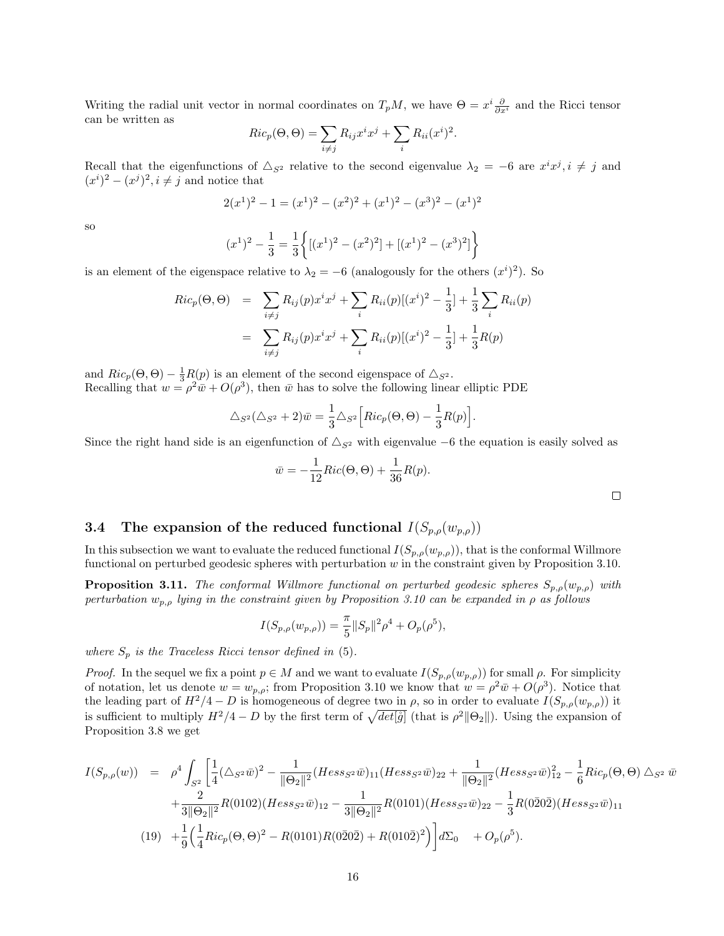Writing the radial unit vector in normal coordinates on  $T_pM$ , we have  $\Theta = x^i \frac{\partial}{\partial x^i}$  and the Ricci tensor can be written as

$$
Ric_p(\Theta, \Theta) = \sum_{i \neq j} R_{ij} x^i x^j + \sum_i R_{ii} (x^i)^2.
$$

Recall that the eigenfunctions of  $\triangle_{S^2}$  relative to the second eigenvalue  $\lambda_2 = -6$  are  $x^i x^j, i \neq j$  and  $(x^{i})^{2} - (x^{j})^{2}, i \neq j$  and notice that

$$
2(x1)2 - 1 = (x1)2 - (x2)2 + (x1)2 - (x3)2 - (x1)2
$$

so

$$
(x1)2 - \frac{1}{3} = \frac{1}{3} \left\{ [(x1)2 - (x2)2] + [(x1)2 - (x3)2] \right\}
$$

is an element of the eigenspace relative to  $\lambda_2 = -6$  (analogously for the others  $(x^i)^2$ ). So

$$
Ric_p(\Theta, \Theta) = \sum_{i \neq j} R_{ij}(p)x^i x^j + \sum_i R_{ii}(p)[(x^i)^2 - \frac{1}{3}] + \frac{1}{3} \sum_i R_{ii}(p)
$$
  
= 
$$
\sum_{i \neq j} R_{ij}(p)x^i x^j + \sum_i R_{ii}(p)[(x^i)^2 - \frac{1}{3}] + \frac{1}{3}R(p)
$$

and  $Ric_p(\Theta, \Theta) - \frac{1}{3}R(p)$  is an element of the second eigenspace of  $\triangle_{S^2}$ . Recalling that  $w = \rho^2 \bar{w} + O(\rho^3)$ , then  $\bar{w}$  has to solve the following linear elliptic PDE

$$
\Delta_{S^2}(\Delta_{S^2} + 2)\overline{w} = \frac{1}{3}\Delta_{S^2} \Big[ Ric_p(\Theta, \Theta) - \frac{1}{3}R(p) \Big].
$$

Since the right hand side is an eigenfunction of  $\Delta_{S^2}$  with eigenvalue –6 the equation is easily solved as

$$
\bar{w} = -\frac{1}{12}Ric(\Theta, \Theta) + \frac{1}{36}R(p).
$$

# 3.4 The expansion of the reduced functional  $I(S_{p,\rho}(w_{p,\rho}))$

In this subsection we want to evaluate the reduced functional  $I(S_{p,\rho}(w_{p,\rho}))$ , that is the conformal Willmore functional on perturbed geodesic spheres with perturbation  $w$  in the constraint given by Proposition 3.10.

**Proposition 3.11.** The conformal Willmore functional on perturbed geodesic spheres  $S_{p,\rho}(w_{p,\rho})$  with perturbation  $w_{p,\rho}$  lying in the constraint given by Proposition 3.10 can be expanded in  $\rho$  as follows

$$
I(S_{p,\rho}(w_{p,\rho})) = \frac{\pi}{5} ||S_p||^2 \rho^4 + O_p(\rho^5),
$$

where  $S_p$  is the Traceless Ricci tensor defined in (5).

*Proof.* In the sequel we fix a point  $p \in M$  and we want to evaluate  $I(S_{p,\rho}(w_{p,\rho}))$  for small  $\rho$ . For simplicity of notation, let us denote  $w = w_{p,\rho}$ ; from Proposition 3.10 we know that  $w = \rho^2 \bar{w} + O(\rho^3)$ . Notice that the leading part of  $H^2/4 - D$  is homogeneous of degree two in  $\rho$ , so in order to evaluate  $I(S_{p,\rho}(w_{p,\rho}))$  it is sufficient to multiply  $H^2/4 - D$  by the first term of  $\sqrt{det[\tilde{g}]}$  (that is  $\rho^2 ||\Theta_2||$ ). Using the expansion of Proposition 3.8 we get

$$
I(S_{p,\rho}(w)) = \rho^4 \int_{S^2} \left[ \frac{1}{4} (\Delta_{S^2} \bar{w})^2 - \frac{1}{\|\Theta_2\|^2} (Hess_{S^2} \bar{w})_{11} (Hess_{S^2} \bar{w})_{22} + \frac{1}{\|\Theta_2\|^2} (Hess_{S^2} \bar{w})_{12}^2 - \frac{1}{6} Ric_p(\Theta, \Theta) \Delta_{S^2} \bar{w} \right]
$$
  
+ 
$$
\frac{2}{3\|\Theta_2\|^2} R(0102)(Hess_{S^2} \bar{w})_{12} - \frac{1}{3\|\Theta_2\|^2} R(0101)(Hess_{S^2} \bar{w})_{22} - \frac{1}{3} R(0\bar{2}0\bar{2})(Hess_{S^2} \bar{w})_{11}
$$
  
(19) 
$$
+ \frac{1}{9} \Big( \frac{1}{4} Ric_p(\Theta, \Theta)^2 - R(0101)R(0\bar{2}0\bar{2}) + R(010\bar{2})^2 \Big) \Big] d\Sigma_0 + O_p(\rho^5).
$$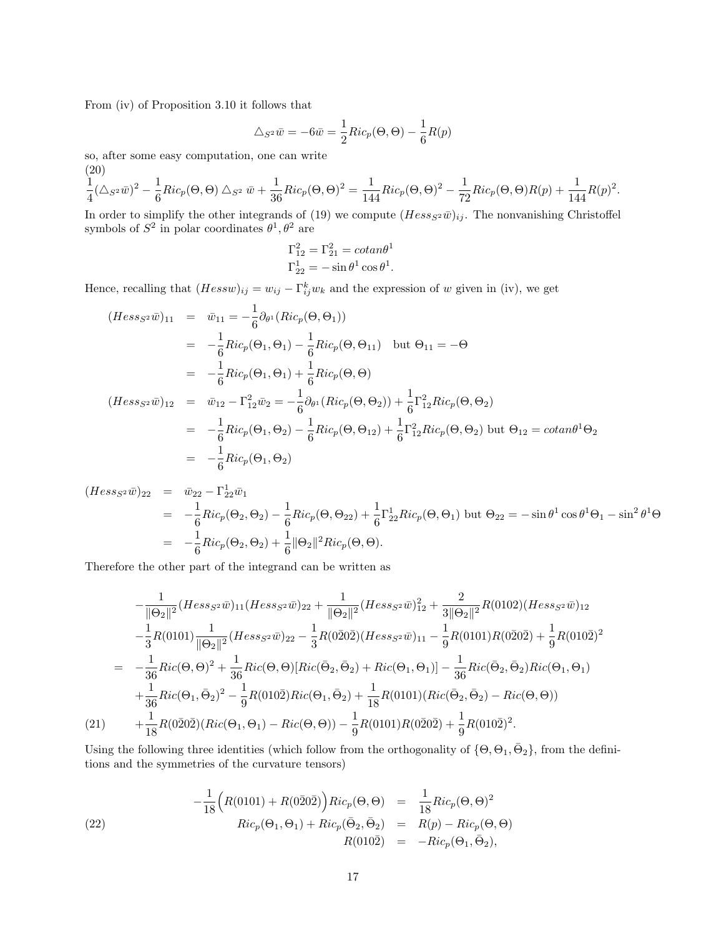From (iv) of Proposition 3.10 it follows that

$$
\Delta_{S^2}\bar{w} = -6\bar{w} = \frac{1}{2}Ric_p(\Theta, \Theta) - \frac{1}{6}R(p)
$$

so, after some easy computation, one can write

(20)  
\n
$$
\frac{1}{4}(\triangle_{S^2}\bar{w})^2 - \frac{1}{6}Ric_p(\Theta, \Theta) \triangle_{S^2}\bar{w} + \frac{1}{36}Ric_p(\Theta, \Theta)^2 = \frac{1}{144}Ric_p(\Theta, \Theta)^2 - \frac{1}{72}Ric_p(\Theta, \Theta)R(p) + \frac{1}{144}R(p)^2.
$$

In order to simplify the other integrands of (19) we compute  $(Hess_{S^2}\bar{w})_{ij}$ . The nonvanishing Christoffel symbols of  $S^2$  in polar coordinates  $\theta^1, \theta^2$  are

$$
\Gamma_{12}^2 = \Gamma_{21}^2 = \cot \theta^1
$$
  

$$
\Gamma_{22}^1 = -\sin \theta^1 \cos \theta^1.
$$

Hence, recalling that  $(Hessw)_{ij} = w_{ij} - \Gamma_{ij}^k w_k$  and the expression of w given in (iv), we get

$$
(Hess_{S^2}\bar{w})_{11} = \bar{w}_{11} = -\frac{1}{6}\partial_{\theta^1}(Ric_p(\Theta, \Theta_1))
$$
  
\n
$$
= -\frac{1}{6}Ric_p(\Theta_1, \Theta_1) - \frac{1}{6}Ric_p(\Theta, \Theta_{11}) \text{ but } \Theta_{11} = -\Theta
$$
  
\n
$$
= -\frac{1}{6}Ric_p(\Theta_1, \Theta_1) + \frac{1}{6}Ric_p(\Theta, \Theta)
$$
  
\n
$$
(Hess_{S^2}\bar{w})_{12} = \bar{w}_{12} - \Gamma_{12}^2\bar{w}_2 = -\frac{1}{6}\partial_{\theta^1}(Ric_p(\Theta, \Theta_2)) + \frac{1}{6}\Gamma_{12}^2Ric_p(\Theta, \Theta_2)
$$
  
\n
$$
= -\frac{1}{6}Ric_p(\Theta_1, \Theta_2) - \frac{1}{6}Ric_p(\Theta, \Theta_{12}) + \frac{1}{6}\Gamma_{12}^2Ric_p(\Theta, \Theta_2) \text{ but } \Theta_{12} = cotan\theta^1\Theta_2
$$
  
\n
$$
= -\frac{1}{6}Ric_p(\Theta_1, \Theta_2)
$$

$$
(Hess_{S^2}\bar{w})_{22} = \bar{w}_{22} - \Gamma_{22}^1\bar{w}_1
$$
  
=  $-\frac{1}{6}Ric_p(\Theta_2, \Theta_2) - \frac{1}{6}Ric_p(\Theta, \Theta_{22}) + \frac{1}{6}\Gamma_{22}^1Ric_p(\Theta, \Theta_1)$  but  $\Theta_{22} = -\sin\theta^1\cos\theta^1\Theta_1 - \sin^2\theta^1\Theta$   
=  $-\frac{1}{6}Ric_p(\Theta_2, \Theta_2) + \frac{1}{6}\|\Theta_2\|^2Ric_p(\Theta, \Theta).$ 

Therefore the other part of the integrand can be written as

$$
-\frac{1}{\|\Theta_2\|^2}(Hess_{S^2}\bar{w})_{11}(Hess_{S^2}\bar{w})_{22} + \frac{1}{\|\Theta_2\|^2}(Hess_{S^2}\bar{w})_{12}^2 + \frac{2}{3\|\Theta_2\|^2}R(0102)(Hess_{S^2}\bar{w})_{12}
$$
  

$$
-\frac{1}{3}R(0101)\frac{1}{\|\Theta_2\|^2}(Hess_{S^2}\bar{w})_{22} - \frac{1}{3}R(0\bar{2}0\bar{2})(Hess_{S^2}\bar{w})_{11} - \frac{1}{9}R(0101)R(0\bar{2}0\bar{2}) + \frac{1}{9}R(010\bar{2})^2
$$
  

$$
= -\frac{1}{36}Ric(\Theta,\Theta)^2 + \frac{1}{36}Ric(\Theta,\Theta)[Ric(\bar{\Theta}_2,\bar{\Theta}_2) + Ric(\Theta_1,\Theta_1)] - \frac{1}{36}Ric(\bar{\Theta}_2,\bar{\Theta}_2)Ric(\Theta_1,\Theta_1)
$$
  

$$
+\frac{1}{36}Ric(\Theta_1,\bar{\Theta}_2)^2 - \frac{1}{9}R(010\bar{2})Ric(\Theta_1,\bar{\Theta}_2) + \frac{1}{18}R(0101)(Ric(\bar{\Theta}_2,\bar{\Theta}_2) - Ric(\Theta,\Theta))
$$
  

$$
(21) \qquad + \frac{1}{18}R(0\bar{2}0\bar{2})(Ric(\Theta_1,\Theta_1) - Ric(\Theta,\Theta)) - \frac{1}{9}R(0101)R(0\bar{2}0\bar{2}) + \frac{1}{9}R(010\bar{2})^2.
$$

Using the following three identities (which follow from the orthogonality of  $\{\Theta, \Theta_1, \bar{\Theta}_2\}$ , from the definitions and the symmetries of the curvature tensors)

(22) 
$$
-\frac{1}{18}\Big(R(0101) + R(0\overline{2}0\overline{2})\Big)Ric_p(\Theta, \Theta) = \frac{1}{18}Ric_p(\Theta, \Theta)^2
$$

$$
Ric_p(\Theta_1, \Theta_1) + Ric_p(\overline{\Theta}_2, \overline{\Theta}_2) = R(p) - Ric_p(\Theta, \Theta)
$$

$$
R(010\overline{2}) = -Ric_p(\Theta_1, \overline{\Theta}_2),
$$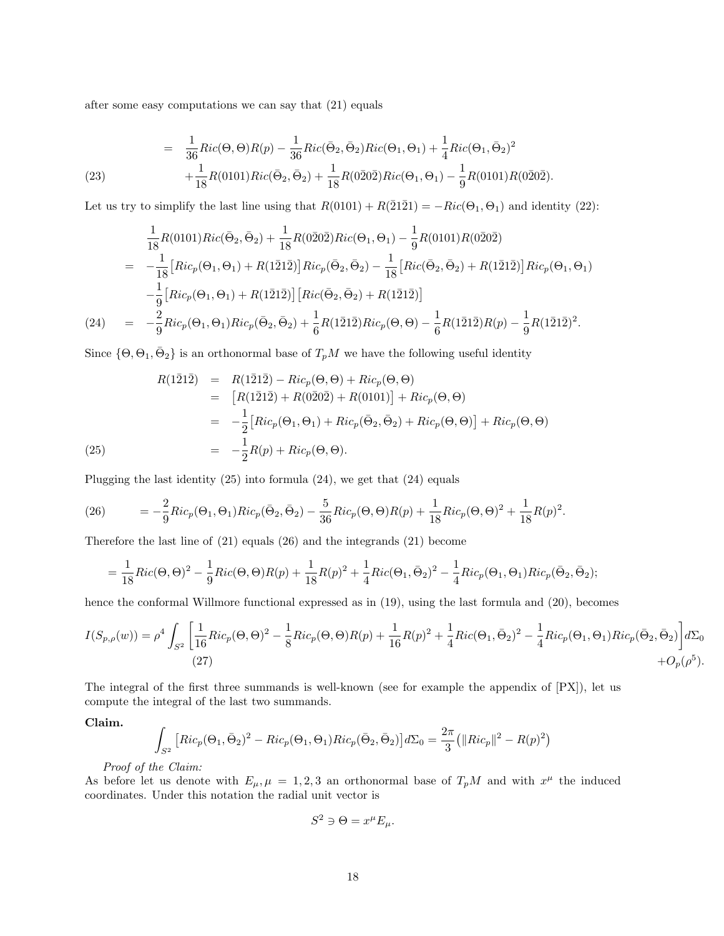after some easy computations we can say that (21) equals

(23) 
$$
= \frac{1}{36}Ric(\Theta,\Theta)R(p) - \frac{1}{36}Ric(\bar{\Theta}_2,\bar{\Theta}_2)Ric(\Theta_1,\Theta_1) + \frac{1}{4}Ric(\Theta_1,\bar{\Theta}_2)^2 + \frac{1}{18}R(0101)Ric(\bar{\Theta}_2,\bar{\Theta}_2) + \frac{1}{18}R(0\bar{2}0\bar{2})Ric(\Theta_1,\Theta_1) - \frac{1}{9}R(0101)R(0\bar{2}0\bar{2}).
$$

Let us try to simplify the last line using that  $R(0101) + R(2121) = -Ric(\Theta_1, \Theta_1)$  and identity (22):

$$
\frac{1}{18}R(0101)Ric(\bar{\Theta}_2, \bar{\Theta}_2) + \frac{1}{18}R(0\bar{2}0\bar{2})Ric(\Theta_1, \Theta_1) - \frac{1}{9}R(0101)R(0\bar{2}0\bar{2})
$$
\n
$$
= -\frac{1}{18}\left[Ric_p(\Theta_1, \Theta_1) + R(1\bar{2}1\bar{2})\right]Ric_p(\bar{\Theta}_2, \bar{\Theta}_2) - \frac{1}{18}\left[Ric(\bar{\Theta}_2, \bar{\Theta}_2) + R(1\bar{2}1\bar{2})\right]Ric_p(\Theta_1, \Theta_1)
$$
\n
$$
-\frac{1}{9}\left[Ric_p(\Theta_1, \Theta_1) + R(1\bar{2}1\bar{2})\right]\left[Ric(\bar{\Theta}_2, \bar{\Theta}_2) + R(1\bar{2}1\bar{2})\right]
$$
\n
$$
(24) \quad = -\frac{2}{9}Ric_p(\Theta_1, \Theta_1)Ric_p(\bar{\Theta}_2, \bar{\Theta}_2) + \frac{1}{6}R(1\bar{2}1\bar{2})Ric_p(\Theta, \Theta) - \frac{1}{6}R(1\bar{2}1\bar{2})R(p) - \frac{1}{9}R(1\bar{2}1\bar{2})^2.
$$

Since  $\{\Theta, \Theta_1, \bar{\Theta}_2\}$  is an orthonormal base of  $T_pM$  we have the following useful identity

(1212) = 
$$
R(1\overline{2}1\overline{2}) - Ric_p(\Theta, \Theta) + Ric_p(\Theta, \Theta)
$$
  
\n=  $[R(1\overline{2}1\overline{2}) + R(0\overline{2}0\overline{2}) + R(0101)] + Ric_p(\Theta, \Theta)$   
\n=  $-\frac{1}{2}[Ric_p(\Theta_1, \Theta_1) + Ric_p(\overline{\Theta}_2, \overline{\Theta}_2) + Ric_p(\Theta, \Theta)] + Ric_p(\Theta, \Theta)$   
\n(25) =  $-\frac{1}{2}R(p) + Ric_p(\Theta, \Theta).$ 

Plugging the last identity (25) into formula (24), we get that (24) equals

(26) 
$$
= -\frac{2}{9}Ric_p(\Theta_1, \Theta_1)Ric_p(\bar{\Theta}_2, \bar{\Theta}_2) - \frac{5}{36}Ric_p(\Theta, \Theta)R(p) + \frac{1}{18}Ric_p(\Theta, \Theta)^2 + \frac{1}{18}R(p)^2.
$$

Therefore the last line of (21) equals (26) and the integrands (21) become

$$
= \frac{1}{18}Ric(\Theta, \Theta)^2 - \frac{1}{9}Ric(\Theta, \Theta)R(p) + \frac{1}{18}R(p)^2 + \frac{1}{4}Ric(\Theta_1, \bar{\Theta}_2)^2 - \frac{1}{4}Ric_p(\Theta_1, \Theta_1)Ric_p(\bar{\Theta}_2, \bar{\Theta}_2);
$$

hence the conformal Willmore functional expressed as in (19), using the last formula and (20), becomes

$$
I(S_{p,\rho}(w)) = \rho^4 \int_{S^2} \left[ \frac{1}{16} Ric_p(\Theta, \Theta)^2 - \frac{1}{8} Ric_p(\Theta, \Theta)R(p) + \frac{1}{16} R(p)^2 + \frac{1}{4} Ric(\Theta_1, \bar{\Theta}_2)^2 - \frac{1}{4} Ric_p(\Theta_1, \Theta_1) Ric_p(\bar{\Theta}_2, \bar{\Theta}_2) \right] d\Sigma_0
$$
\n(27)

The integral of the first three summands is well-known (see for example the appendix of [PX]), let us compute the integral of the last two summands.

Claim.

$$
\int_{S^2} \left[ Ric_p(\Theta_1, \bar{\Theta}_2)^2 - Ric_p(\Theta_1, \Theta_1) Ric_p(\bar{\Theta}_2, \bar{\Theta}_2) \right] d\Sigma_0 = \frac{2\pi}{3} (||Ric_p||^2 - R(p)^2)
$$

Proof of the Claim:

As before let us denote with  $E_{\mu}, \mu = 1, 2, 3$  an orthonormal base of  $T_pM$  and with  $x^{\mu}$  the induced coordinates. Under this notation the radial unit vector is

$$
S^2 \ni \Theta = x^{\mu} E_{\mu}.
$$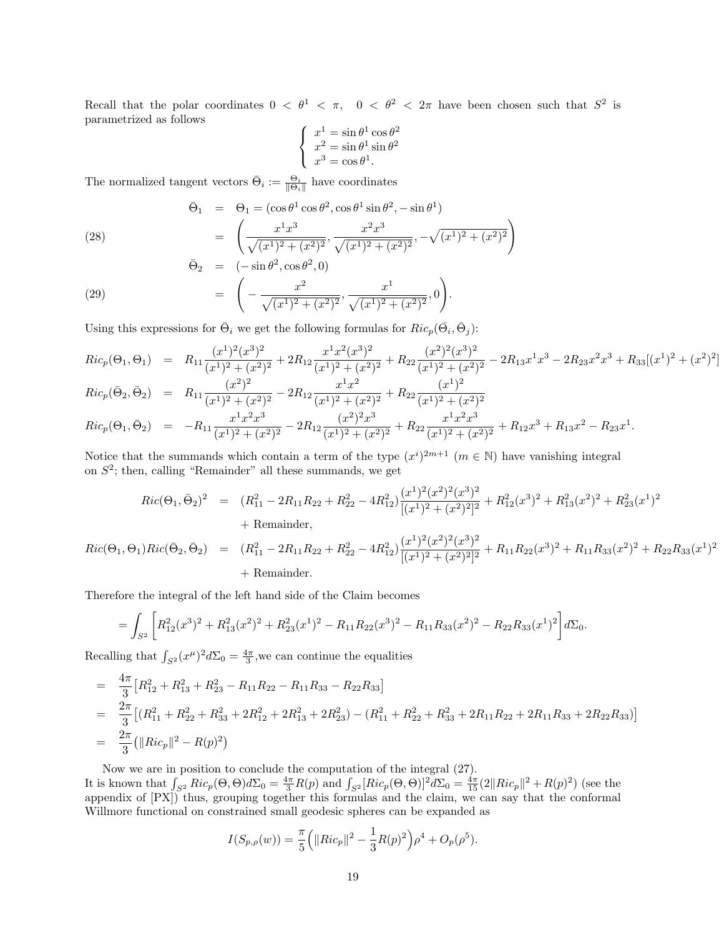Recall that the polar coordinates  $0 < \theta^1 < \pi$ ,  $0 < \theta^2 < 2\pi$  have been chosen such that  $S^2$  is parametrized as follows

$$
\begin{cases}\n x^1 = \sin \theta^1 \cos \theta^2 \\
 x^2 = \sin \theta^1 \sin \theta^2 \\
 x^3 = \cos \theta^1.\n\end{cases}
$$

The normalized tangent vectors  $\bar{\Theta}_i := \frac{\Theta_i}{\|\Theta_i\|}$  have coordinates

(28)  
\n
$$
\bar{\Theta}_1 = \Theta_1 = (\cos \theta^1 \cos \theta^2, \cos \theta^1 \sin \theta^2, -\sin \theta^1)
$$
\n
$$
= \left( \frac{x^1 x^3}{\sqrt{(x^1)^2 + (x^2)^2}}, \frac{x^2 x^3}{\sqrt{(x^1)^2 + (x^2)^2}}, -\sqrt{(x^1)^2 + (x^2)^2} \right)
$$
\n
$$
\bar{\Theta}_2 = (-\sin \theta^2, \cos \theta^2, 0)
$$

(29) 
$$
= \left(-\frac{x^2}{\sqrt{(x^1)^2 + (x^2)^2}}, \frac{x^1}{\sqrt{(x^1)^2 + (x^2)^2}}, 0\right).
$$

Using this expressions for  $\bar{\Theta}_i$  we get the following formulas for  $Ric_p(\bar{\Theta}_i, \bar{\Theta}_j)$ :

$$
Ric_p(\Theta_1, \Theta_1) = R_{11} \frac{(x^1)^2 (x^3)^2}{(x^1)^2 + (x^2)^2} + 2R_{12} \frac{x^1 x^2 (x^3)^2}{(x^1)^2 + (x^2)^2} + R_{22} \frac{(x^2)^2 (x^3)^2}{(x^1)^2 + (x^2)^2} - 2R_{13} x^1 x^3 - 2R_{23} x^2 x^3 + R_{33} [(x^1)^2 + (x^2)^2]
$$
  
\n
$$
Ric_p(\bar{\Theta}_2, \bar{\Theta}_2) = R_{11} \frac{(x^2)^2}{(x^1)^2 + (x^2)^2} - 2R_{12} \frac{x^1 x^2}{(x^1)^2 + (x^2)^2} + R_{22} \frac{(x^1)^2}{(x^1)^2 + (x^2)^2}
$$
  
\n
$$
Ric_p(\Theta_1, \bar{\Theta}_2) = -R_{11} \frac{x^1 x^2 x^3}{(x^1)^2 + (x^2)^2} - 2R_{12} \frac{(x^2)^2 x^3}{(x^1)^2 + (x^2)^2} + R_{22} \frac{x^1 x^2 x^3}{(x^1)^2 + (x^2)^2} + R_{12} x^3 + R_{13} x^2 - R_{23} x^1.
$$

Notice that the summands which contain a term of the type  $(x^{i})^{2m+1}$   $(m \in \mathbb{N})$  have vanishing integral on  $S^2$ ; then, calling "Remainder" all these summands, we get

$$
Ric(\Theta_1, \bar{\Theta}_2)^2 = (R_{11}^2 - 2R_{11}R_{22} + R_{22}^2 - 4R_{12}^2) \frac{(x^1)^2 (x^2)^2 (x^3)^2}{[(x^1)^2 + (x^2)^2]^2} + R_{12}^2 (x^3)^2 + R_{13}^2 (x^2)^2 + R_{23}^2 (x^1)^2
$$
  
+ Remainder,  

$$
\Theta_1) Ric(\bar{\Theta}_2, \bar{\Theta}_2) = (R_{11}^2 - 2R_{11}R_{22} + R_{22}^2 - 4R_{12}^2) \frac{(x^1)^2 (x^2)^2 (x^3)^2}{[(x^1)^2 + (x^2)^2]^2} + R_{11}R_{22} (x^3)^2 + R_{11}R_{33} (x^2)^2 + R_{22}R_{33} (x^1)^2
$$

## + Remainder.

Therefore the integral of the left hand side of the Claim becomes

 $Ric(\Theta_1,$ 

$$
= \int_{S^2} \left[ R_{12}^2(x^3)^2 + R_{13}^2(x^2)^2 + R_{23}^2(x^1)^2 - R_{11}R_{22}(x^3)^2 - R_{11}R_{33}(x^2)^2 - R_{22}R_{33}(x^1)^2 \right] d\Sigma_0.
$$

Recalling that  $\int_{S^2} (x^{\mu})^2 d\Sigma_0 = \frac{4\pi}{3}$ , we can continue the equalities

$$
= \frac{4\pi}{3} [R_{12}^2 + R_{13}^2 + R_{23}^2 - R_{11}R_{22} - R_{11}R_{33} - R_{22}R_{33}]
$$
  
\n
$$
= \frac{2\pi}{3} [(R_{11}^2 + R_{22}^2 + R_{33}^2 + 2R_{12}^2 + 2R_{13}^2 + 2R_{23}^2) - (R_{11}^2 + R_{22}^2 + R_{33}^2 + 2R_{11}R_{22} + 2R_{11}R_{33} + 2R_{22}R_{33})]
$$
  
\n
$$
= \frac{2\pi}{3} (||Ric_p||^2 - R(p)^2)
$$

Now we are in position to conclude the computation of the integral (27).

It is known that  $\int_{S^2} Ric_p(\Theta, \Theta) d\Sigma_0 = \frac{4\pi}{3} R(p)$  and  $\int_{S^2} [Ric_p(\Theta, \Theta)]^2 d\Sigma_0 = \frac{4\pi}{15} (2||Ric_p||^2 + R(p)^2)$  (see the appendix of [PX]) thus, grouping together this formulas and the claim, we can say that the conformal Willmore functional on constrained small geodesic spheres can be expanded as

$$
I(S_{p,\rho}(w)) = \frac{\pi}{5} \left( ||Ric_p||^2 - \frac{1}{3}R(p)^2 \right) \rho^4 + O_p(\rho^5).
$$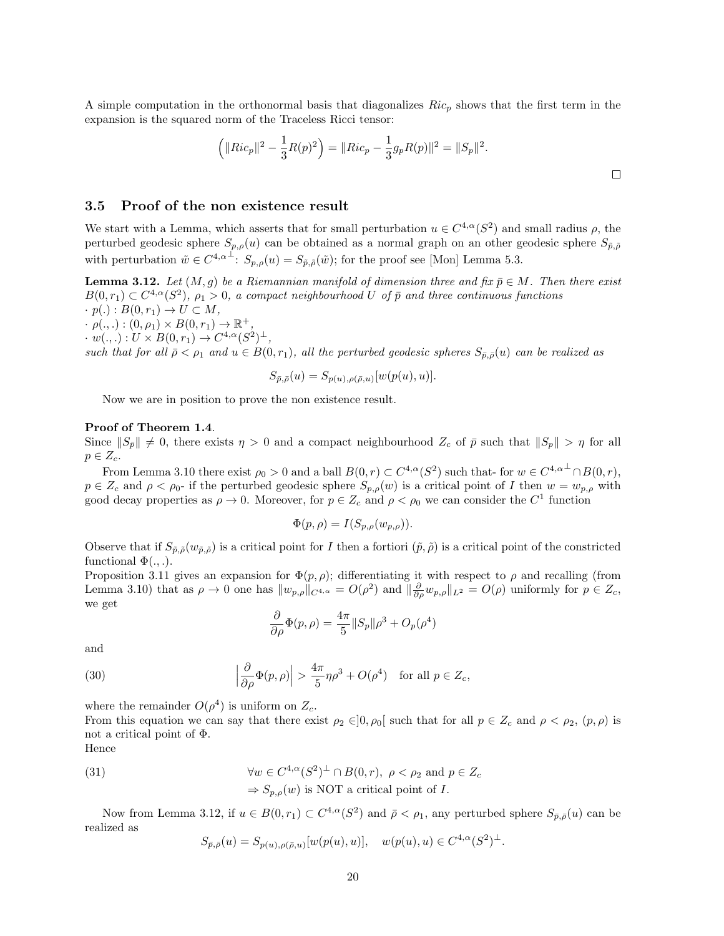A simple computation in the orthonormal basis that diagonalizes  $Ric_p$  shows that the first term in the expansion is the squared norm of the Traceless Ricci tensor:

$$
\left(\|Ric_p\|^2 - \frac{1}{3}R(p)^2\right) = \|Ric_p - \frac{1}{3}g_pR(p)\|^2 = \|S_p\|^2.
$$

## 3.5 Proof of the non existence result

We start with a Lemma, which asserts that for small perturbation  $u \in C^{4,\alpha}(S^2)$  and small radius  $\rho$ , the perturbed geodesic sphere  $S_{p,\rho}(u)$  can be obtained as a normal graph on an other geodesic sphere  $S_{\tilde{p},\tilde{\rho}}$ with perturbation  $\tilde{w} \in C^{4,\alpha^{\perp}}$ :  $S_{p,\rho}(u) = S_{\tilde{p},\tilde{\rho}}(\tilde{w})$ ; for the proof see [Mon] Lemma 5.3.

**Lemma 3.12.** Let  $(M, g)$  be a Riemannian manifold of dimension three and fix  $\bar{p} \in M$ . Then there exist  $B(0,r_1) \subset C^{4,\alpha}(S^2)$ ,  $\rho_1 > 0$ , a compact neighbourhood U of  $\bar{p}$  and three continuous functions  $\cdot p(.) : B(0,r_1) \rightarrow U \subset M,$ 

 $\cdot \rho(.,.): (0, \rho_1) \times B(0, r_1) \to \mathbb{R}^+,$ 

 $\cdot w(.,.): U \times B(0,r_1) \to C^{4,\alpha}(S^2)^{\perp},$ 

such that for all  $\bar{\rho} < \rho_1$  and  $u \in B(0,r_1)$ , all the perturbed geodesic spheres  $S_{\bar{p},\bar{\rho}}(u)$  can be realized as

$$
S_{\bar{p},\bar{\rho}}(u) = S_{p(u),\rho(\bar{\rho},u)}[w(p(u),u)].
$$

Now we are in position to prove the non existence result.

#### Proof of Theorem 1.4.

Since  $||S_{\tilde{p}}|| \neq 0$ , there exists  $\eta > 0$  and a compact neighbourhood  $Z_c$  of  $\tilde{p}$  such that  $||S_p|| > \eta$  for all  $p \in Z_c$ .

From Lemma 3.10 there exist  $\rho_0 > 0$  and a ball  $B(0,r) \subset C^{4,\alpha}(S^2)$  such that- for  $w \in C^{4,\alpha^{\perp}} \cap B(0,r)$ ,  $p \in Z_c$  and  $\rho < \rho_0$ - if the perturbed geodesic sphere  $S_{p,\rho}(w)$  is a critical point of I then  $w = w_{p,\rho}$  with good decay properties as  $\rho \to 0$ . Moreover, for  $p \in Z_c$  and  $\rho < \rho_0$  we can consider the  $C^1$  function

$$
\Phi(p,\rho) = I(S_{p,\rho}(w_{p,\rho})).
$$

Observe that if  $S_{\tilde{p},\tilde{\rho}}(w_{\tilde{p},\tilde{\rho}})$  is a critical point for I then a fortiori  $(\tilde{p},\tilde{\rho})$  is a critical point of the constricted functional  $\Phi(.,.)$ .

Proposition 3.11 gives an expansion for  $\Phi(p, \rho)$ ; differentiating it with respect to  $\rho$  and recalling (from Lemma 3.10) that as  $\rho \to 0$  one has  $||w_{p,\rho}||_{C^{4,\alpha}} = O(\rho^2)$  and  $||\frac{\partial}{\partial \rho}w_{p,\rho}||_{L^2} = O(\rho)$  uniformly for  $p \in Z_c$ , we get

$$
\frac{\partial}{\partial \rho} \Phi(p,\rho) = \frac{4\pi}{5} ||S_p|| \rho^3 + O_p(\rho^4)
$$

and

(30) 
$$
\left|\frac{\partial}{\partial \rho}\Phi(p,\rho)\right| > \frac{4\pi}{5}\eta\rho^3 + O(\rho^4) \text{ for all } p \in Z_c,
$$

where the remainder  $O(\rho^4)$  is uniform on  $Z_c$ .

From this equation we can say that there exist  $\rho_2 \in ]0, \rho_0[$  such that for all  $p \in Z_c$  and  $\rho < \rho_2$ ,  $(p, \rho)$  is not a critical point of Φ.

Hence

(31) 
$$
\forall w \in C^{4,\alpha}(S^2)^{\perp} \cap B(0,r), \ \rho < \rho_2 \text{ and } p \in Z_c
$$

$$
\Rightarrow S_{p,\rho}(w) \text{ is NOT a critical point of } I.
$$

Now from Lemma 3.12, if  $u \in B(0,r_1) \subset C^{4,\alpha}(S^2)$  and  $\bar{\rho} < \rho_1$ , any perturbed sphere  $S_{\bar{p},\bar{\rho}}(u)$  can be realized as

$$
S_{\bar{p},\bar{\rho}}(u) = S_{p(u),\rho(\bar{\rho},u)}[w(p(u),u)], \quad w(p(u),u) \in C^{4,\alpha}(S^2)^{\perp}.
$$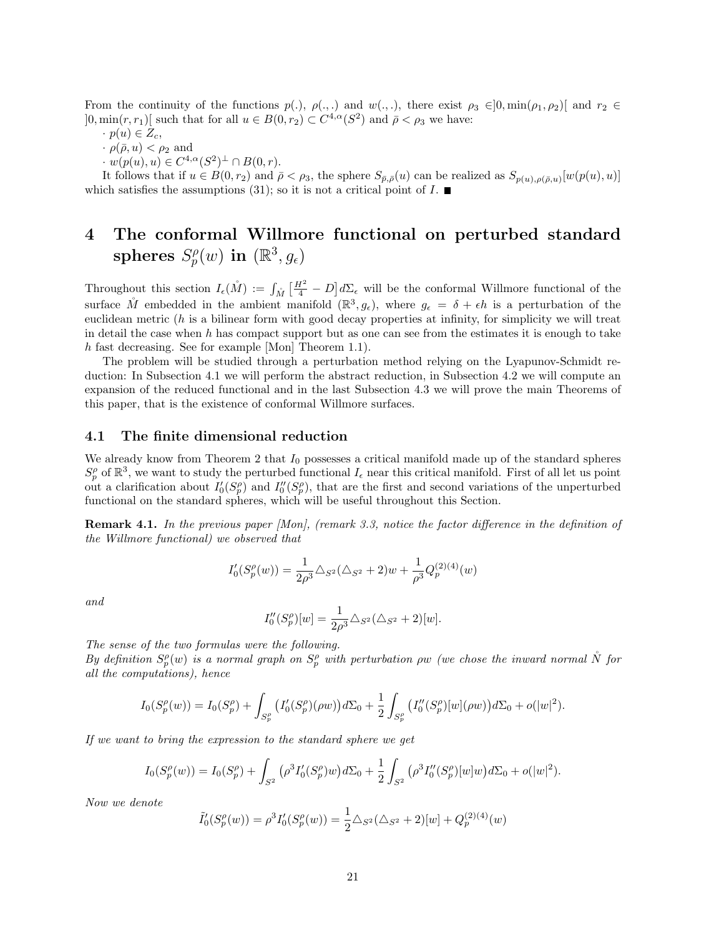From the continuity of the functions  $p(.)$ ,  $\rho(.,.)$  and  $w(.,.)$ , there exist  $\rho_3 \in ]0, \min(\rho_1, \rho_2)]$  and  $r_2 \in$  $]0, \min(r, r_1)[$  such that for all  $u \in B(0, r_2) \subset C^{4,\alpha}(S^2)$  and  $\bar{\rho} < \rho_3$  we have:

- $\cdot p(u) \in Z_c$
- $\cdot$   $\rho(\bar{\rho}, u) < \rho_2$  and
- $\cdot w(p(u), u) \in C^{4,\alpha}(S^2)^{\perp} \cap B(0,r).$

It follows that if  $u \in B(0,r_2)$  and  $\bar{\rho} < \rho_3$ , the sphere  $S_{\bar{p},\bar{\rho}}(u)$  can be realized as  $S_{p(u),\rho(\bar{\rho},u)}[w(p(u),u)]$ which satisfies the assumptions (31); so it is not a critical point of  $I$ .

# 4 The conformal Willmore functional on perturbed standard spheres  $S_p^{\rho}$  $p^{\rho}_{p}(w)$  in  $(\mathbb{R}^3, g_\epsilon)$

Throughout this section  $I_{\epsilon}(\mathring{M}) := \int_{\mathring{M}} \left[ \frac{H^2}{4} - D \right] d\Sigma_{\epsilon}$  will be the conformal Willmore functional of the surface  $\mathring{M}$  embedded in the ambient manifold  $(\mathbb{R}^3, g_\epsilon)$ , where  $g_\epsilon = \delta + \epsilon h$  is a perturbation of the euclidean metric  $(h$  is a bilinear form with good decay properties at infinity, for simplicity we will treat in detail the case when h has compact support but as one can see from the estimates it is enough to take h fast decreasing. See for example [Mon] Theorem 1.1).

The problem will be studied through a perturbation method relying on the Lyapunov-Schmidt reduction: In Subsection 4.1 we will perform the abstract reduction, in Subsection 4.2 we will compute an expansion of the reduced functional and in the last Subsection 4.3 we will prove the main Theorems of this paper, that is the existence of conformal Willmore surfaces.

## 4.1 The finite dimensional reduction

We already know from Theorem 2 that  $I_0$  possesses a critical manifold made up of the standard spheres  $S_p^{\rho}$  of  $\mathbb{R}^3$ , we want to study the perturbed functional  $I_{\epsilon}$  near this critical manifold. First of all let us point out a clarification about  $I'_0(S_p^{\rho})$  and  $I''_0(S_p^{\rho})$ , that are the first and second variations of the unperturbed functional on the standard spheres, which will be useful throughout this Section.

**Remark 4.1.** In the previous paper [Mon], (remark 3.3, notice the factor difference in the definition of the Willmore functional) we observed that

$$
I_0'(S_p^{\rho}(w)) = \frac{1}{2\rho^3} \triangle_{S^2} (\triangle_{S^2} + 2)w + \frac{1}{\rho^3} Q_p^{(2)(4)}(w)
$$

and

$$
I_0''(S_p^{\rho})[w] = \frac{1}{2\rho^3} \Delta_{S^2}(\Delta_{S^2} + 2)[w].
$$

The sense of the two formulas were the following.

By definition  $S_p^{\rho}(w)$  is a normal graph on  $S_p^{\rho}$  with perturbation  $\rho w$  (we chose the inward normal  $\stackrel{\circ}{N}$  for all the computations), hence

$$
I_0(S_p^{\rho}(w)) = I_0(S_p^{\rho}) + \int_{S_p^{\rho}} \left( I_0'(S_p^{\rho})(\rho w) \right) d\Sigma_0 + \frac{1}{2} \int_{S_p^{\rho}} \left( I_0''(S_p^{\rho})[w](\rho w) \right) d\Sigma_0 + o(|w|^2).
$$

If we want to bring the expression to the standard sphere we get

$$
I_0(S_p^{\rho}(w)) = I_0(S_p^{\rho}) + \int_{S^2} (\rho^3 I_0'(S_p^{\rho})w) d\Sigma_0 + \frac{1}{2} \int_{S^2} (\rho^3 I_0''(S_p^{\rho})[w]w) d\Sigma_0 + o(|w|^2).
$$

Now we denote

$$
\tilde{I}'_0(S_p^{\rho}(w)) = \rho^3 I'_0(S_p^{\rho}(w)) = \frac{1}{2} \Delta_{S^2}(\Delta_{S^2} + 2)[w] + Q_p^{(2)(4)}(w)
$$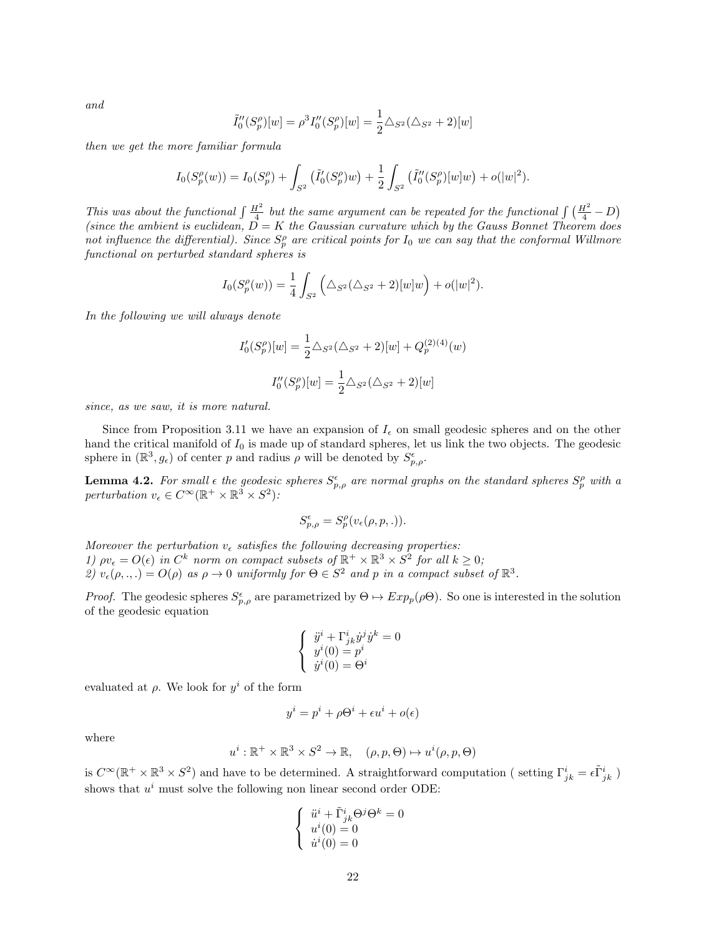and

$$
\tilde{I}_0''(S_p^{\rho})[w] = \rho^3 I_0''(S_p^{\rho})[w] = \frac{1}{2} \Delta_{S^2} (\Delta_{S^2} + 2)[w]
$$

then we get the more familiar formula

$$
I_0(S_p^{\rho}(w)) = I_0(S_p^{\rho}) + \int_{S^2} (\tilde{I}'_0(S_p^{\rho})w) + \frac{1}{2} \int_{S^2} (\tilde{I}''_0(S_p^{\rho})[w]w) + o(|w|^2).
$$

This was about the functional  $\int \frac{H^2}{4}$  but the same argument can be repeated for the functional  $\int (\frac{H^2}{4} - D)$ (since the ambient is euclidean,  $D = K$  the Gaussian curvature which by the Gauss Bonnet Theorem does not influence the differential). Since  $S_p^{\rho}$  are critical points for  $I_0$  we can say that the conformal Willmore functional on perturbed standard spheres is

$$
I_0(S_p^{\rho}(w)) = \frac{1}{4} \int_{S^2} \left( \Delta_{S^2}(\Delta_{S^2} + 2)[w]w \right) + o(|w|^2).
$$

In the following we will always denote

$$
I'_0(S_p^{\rho})[w] = \frac{1}{2} \triangle_{S^2} (\triangle_{S^2} + 2)[w] + Q_p^{(2)(4)}(w)
$$

$$
I''_0(S_p^{\rho})[w] = \frac{1}{2} \triangle_{S^2} (\triangle_{S^2} + 2)[w]
$$

since, as we saw, it is more natural.

Since from Proposition 3.11 we have an expansion of  $I_{\epsilon}$  on small geodesic spheres and on the other hand the critical manifold of  $I_0$  is made up of standard spheres, let us link the two objects. The geodesic sphere in  $(\mathbb{R}^3, g_{\epsilon})$  of center p and radius  $\rho$  will be denoted by  $S_{p,\rho}^{\epsilon}$ .

**Lemma 4.2.** For small  $\epsilon$  the geodesic spheres  $S_{p,\rho}^{\epsilon}$  are normal graphs on the standard spheres  $S_p^{\rho}$  with a perturbation  $v_{\epsilon} \in C^{\infty}(\mathbb{R}^{+} \times \mathbb{R}^{3} \times S^{2})$ :

$$
S_{p,\rho}^{\epsilon} = S_p^{\rho}(v_{\epsilon}(\rho, p,.)).
$$

Moreover the perturbation  $v_{\epsilon}$  satisfies the following decreasing properties: 1)  $\rho v_{\epsilon} = O(\epsilon)$  in  $C^{k}$  norm on compact subsets of  $\mathbb{R}^{+} \times \mathbb{R}^{3} \times S^{2}$  for all  $k \geq 0$ ; 2)  $v_{\epsilon}(\rho, \ldots) = O(\rho)$  as  $\rho \to 0$  uniformly for  $\Theta \in S^2$  and p in a compact subset of  $\mathbb{R}^3$ .

*Proof.* The geodesic spheres  $S_{p,\rho}^{\epsilon}$  are parametrized by  $\Theta \mapsto Exp_p(\rho \Theta)$ . So one is interested in the solution of the geodesic equation

$$
\left\{\begin{array}{l} \ddot{y}^i+\Gamma^i_{jk}\dot{y}^j\dot{y}^k=0\\ y^i(0)=p^i\\ \dot{y}^i(0)=\Theta^i \end{array}\right.
$$

evaluated at  $\rho$ . We look for  $y^i$  of the form

$$
y^i = p^i + \rho \Theta^i + \epsilon u^i + o(\epsilon)
$$

where

$$
u^{i} : \mathbb{R}^{+} \times \mathbb{R}^{3} \times S^{2} \to \mathbb{R}, \quad (\rho, p, \Theta) \mapsto u^{i}(\rho, p, \Theta)
$$

is  $C^{\infty}(\mathbb{R}^+ \times \mathbb{R}^3 \times S^2)$  and have to be determined. A straightforward computation (setting  $\Gamma^i_{jk} = \epsilon \tilde{\Gamma}^i_{jk}$ ) shows that  $u^i$  must solve the following non linear second order ODE:

$$
\left\{\begin{array}{ll} \ddot{u}^i+\tilde{\Gamma}^i_{jk}\Theta^j\Theta^k=0\\ u^i(0)=0\\ \dot{u}^i(0)=0 \end{array}\right.
$$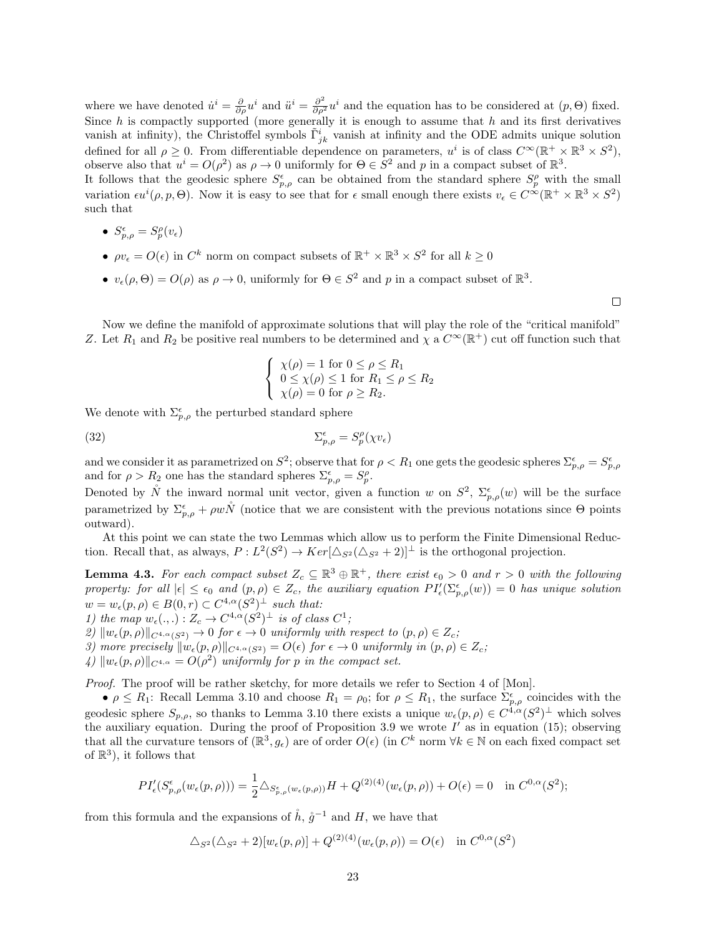where we have denoted  $\dot{u}^i = \frac{\partial}{\partial \rho} u^i$  and  $\ddot{u}^i = \frac{\partial^2}{\partial \rho^2} u^i$  and the equation has to be considered at  $(p, \Theta)$  fixed. Since  $h$  is compactly supported (more generally it is enough to assume that  $h$  and its first derivatives vanish at infinity), the Christoffel symbols  $\tilde{\Gamma}^i_{jk}$  vanish at infinity and the ODE admits unique solution defined for all  $\rho \geq 0$ . From differentiable dependence on parameters,  $u^i$  is of class  $C^{\infty}(\mathbb{R}^+ \times \mathbb{R}^3 \times S^2)$ , observe also that  $u^i = O(\rho^2)$  as  $\rho \to 0$  uniformly for  $\Theta \in S^2$  and p in a compact subset of  $\mathbb{R}^3$ .

It follows that the geodesic sphere  $S_{p,\rho}^{\epsilon}$  can be obtained from the standard sphere  $S_p^{\rho}$  with the small variation  $\epsilon u^i(\rho, p, \Theta)$ . Now it is easy to see that for  $\epsilon$  small enough there exists  $v_{\epsilon} \in C^{\infty}(\mathbb{R}^+ \times \mathbb{R}^3 \times S^2)$ such that

- $S_{p,\rho}^{\epsilon} = S_p^{\rho}(v_{\epsilon})$
- $\rho v_{\epsilon} = O(\epsilon)$  in  $C^k$  norm on compact subsets of  $\mathbb{R}^+ \times \mathbb{R}^3 \times S^2$  for all  $k \geq 0$
- $v_{\epsilon}(\rho, \Theta) = O(\rho)$  as  $\rho \to 0$ , uniformly for  $\Theta \in S^2$  and p in a compact subset of  $\mathbb{R}^3$ .

 $\Box$ 

Now we define the manifold of approximate solutions that will play the role of the "critical manifold" Z. Let  $R_1$  and  $R_2$  be positive real numbers to be determined and  $\chi$  a  $C^{\infty}(\mathbb{R}^+)$  cut off function such that

$$
\begin{cases} \n\chi(\rho) = 1 \text{ for } 0 \le \rho \le R_1 \\ \n0 \le \chi(\rho) \le 1 \text{ for } R_1 \le \rho \le R_2 \\ \n\chi(\rho) = 0 \text{ for } \rho \ge R_2. \n\end{cases}
$$

We denote with  $\Sigma_{p,\rho}^{\epsilon}$  the perturbed standard sphere

$$
\Sigma_{p,\rho}^{\epsilon} = S_p^{\rho}(\chi v_{\epsilon})
$$

and we consider it as parametrized on  $S^2$ ; observe that for  $\rho < R_1$  one gets the geodesic spheres  $\Sigma_{p,\rho}^{\epsilon} = S_{p,\rho}^{\epsilon}$ and for  $\rho > R_2$  one has the standard spheres  $\Sigma_{p,\rho}^{\epsilon} = S_p^{\rho}$ .

Denoted by  $\mathring{N}$  the inward normal unit vector, given a function w on  $S^2$ ,  $\Sigma_{p,\rho}^{\epsilon}(w)$  will be the surface parametrized by  $\Sigma_{p,\rho}^{\epsilon} + \rho w \mathring{N}$  (notice that we are consistent with the previous notations since  $\Theta$  points outward).

At this point we can state the two Lemmas which allow us to perform the Finite Dimensional Reduction. Recall that, as always,  $P: L^2(S^2) \to Ker[\Delta_{S^2}(\Delta_{S^2}+2)]^{\perp}$  is the orthogonal projection.

**Lemma 4.3.** For each compact subset  $Z_c \subseteq \mathbb{R}^3 \oplus \mathbb{R}^+$ , there exist  $\epsilon_0 > 0$  and  $r > 0$  with the following property: for all  $|\epsilon| \leq \epsilon_0$  and  $(p, \rho) \in Z_c$ , the auxiliary equation  $PI'_{\epsilon}(\Sigma_{p,\rho}^{\epsilon}(w)) = 0$  has unique solution  $w = w_{\epsilon}(p, \rho) \in B(0, r) \subset C^{4,\alpha}(S^2)^{\perp}$  such that:

- 1) the map  $w_{\epsilon}(\cdot, \cdot) : Z_c \to C^{4,\alpha}(S^2)^{\perp}$  is of class  $C^1$ ;
- 2)  $\|w_{\epsilon}(p, \rho)\|_{C^{4,\alpha}(S^2)} \to 0$  for  $\epsilon \to 0$  uniformly with respect to  $(p, \rho) \in Z_c$ ;
- 3) more precisely  $||w_{\epsilon}(p, \rho)||_{C^{4,\alpha}(S^2)} = O(\epsilon)$  for  $\epsilon \to 0$  uniformly in  $(p, \rho) \in Z_c$ ;
- $\| \langle \mu \rangle \| w_{\epsilon}(p,\rho) \|_{C^{4,\alpha}} = O(\rho^2)$  uniformly for p in the compact set.

Proof. The proof will be rather sketchy, for more details we refer to Section 4 of [Mon].

•  $\rho \le R_1$ : Recall Lemma 3.10 and choose  $R_1 = \rho_0$ ; for  $\rho \le R_1$ , the surface  $\Sigma_{p,\rho}^{\epsilon}$  coincides with the geodesic sphere  $S_{p,\rho}$ , so thanks to Lemma 3.10 there exists a unique  $w_{\epsilon}(p,\rho) \in C^{4,\alpha}(S^2)^{\perp}$  which solves the auxiliary equation. During the proof of Proposition 3.9 we wrote  $I'$  as in equation (15); observing that all the curvature tensors of  $(\mathbb{R}^3, g_\epsilon)$  are of order  $O(\epsilon)$  (in  $C^k$  norm  $\forall k \in \mathbb{N}$  on each fixed compact set of  $\mathbb{R}^3$ , it follows that

$$
PI'_{\epsilon}(S_{p,\rho}^{\epsilon}(w_{\epsilon}(p,\rho))) = \frac{1}{2} \Delta_{S_{p,\rho}^{\epsilon}(w_{\epsilon}(p,\rho))} H + Q^{(2)(4)}(w_{\epsilon}(p,\rho)) + O(\epsilon) = 0 \quad \text{in } C^{0,\alpha}(S^2);
$$

from this formula and the expansions of  $\mathring{h}$ ,  $\mathring{g}^{-1}$  and H, we have that

$$
\Delta_{S^2}(\Delta_{S^2} + 2)[w_{\epsilon}(p,\rho)] + Q^{(2)(4)}(w_{\epsilon}(p,\rho)) = O(\epsilon) \text{ in } C^{0,\alpha}(S^2)
$$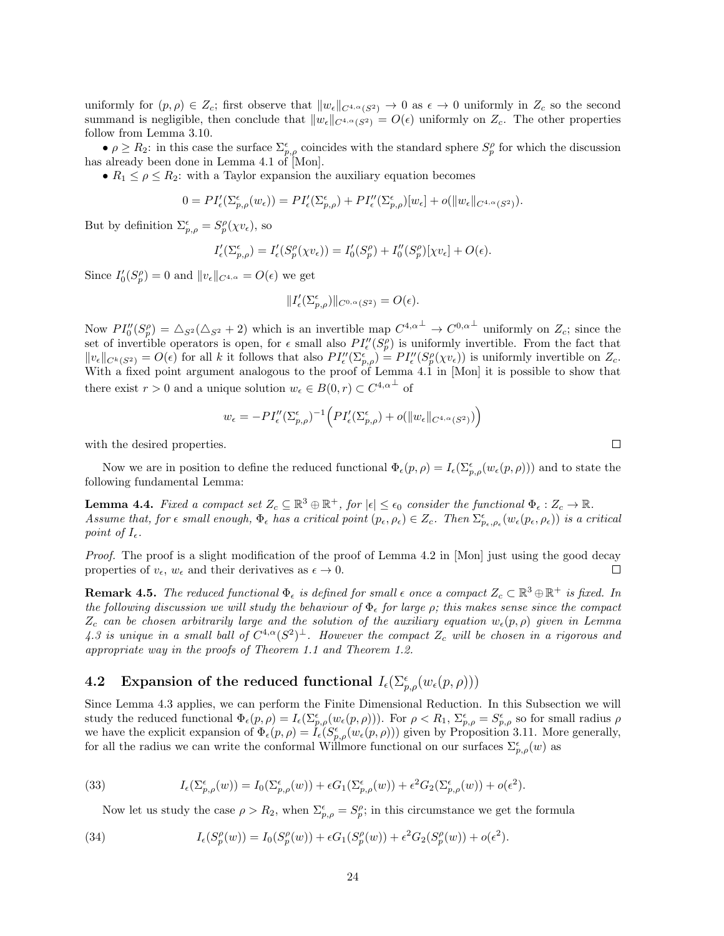uniformly for  $(p, \rho) \in Z_c$ ; first observe that  $||w_{\epsilon}||_{C^{4,\alpha}(S^2)} \to 0$  as  $\epsilon \to 0$  uniformly in  $Z_c$  so the second summand is negligible, then conclude that  $||w_{\epsilon}||_{C^{4,\alpha}(S^2)} = O(\epsilon)$  uniformly on  $Z_c$ . The other properties follow from Lemma 3.10.

•  $\rho \geq R_2$ : in this case the surface  $\Sigma_{p,\rho}^{\epsilon}$  coincides with the standard sphere  $S_p^{\rho}$  for which the discussion has already been done in Lemma 4.1 of [Mon].

•  $R_1 \leq \rho \leq R_2$ : with a Taylor expansion the auxiliary equation becomes

$$
0 = PI'_{\epsilon}(\Sigma_{p,\rho}^{\epsilon}(w_{\epsilon})) = PI'_{\epsilon}(\Sigma_{p,\rho}^{\epsilon}) + PI''_{\epsilon}(\Sigma_{p,\rho}^{\epsilon})[w_{\epsilon}] + o(||w_{\epsilon}||_{C^{4,\alpha}(S^2)}).
$$

But by definition  $\Sigma_{p,\rho}^{\epsilon} = S_p^{\rho}(\chi v_{\epsilon}),$  so

$$
I'_{\epsilon}(\Sigma_{p,\rho}^{\epsilon}) = I'_{\epsilon}(S_p^{\rho}(\chi v_{\epsilon})) = I'_{0}(S_p^{\rho}) + I''_{0}(S_p^{\rho})[\chi v_{\epsilon}] + O(\epsilon).
$$

Since  $I_0'(S_p^{\rho}) = 0$  and  $||v_{\epsilon}||_{C^{4,\alpha}} = O(\epsilon)$  we get

$$
||I'_{\epsilon}(\Sigma_{p,\rho}^{\epsilon})||_{C^{0,\alpha}(S^2)} = O(\epsilon).
$$

Now  $PI''_0(S_p^{\rho}) = \Delta_{S^2}(\Delta_{S^2} + 2)$  which is an invertible map  $C^{4,\alpha^{\perp}} \to C^{0,\alpha^{\perp}}$  uniformly on  $Z_c$ ; since the set of invertible operators is open, for  $\epsilon$  small also  $PI''_{\epsilon}(S_p^{\rho})$  is uniformly invertible. From the fact that  $||v_{\epsilon}||_{C^{k}(S^{2})} = O(\epsilon)$  for all k it follows that also  $PI''_{\epsilon}(\Sigma_{p,\rho}^{\epsilon}) = PI''_{\epsilon}(S_{p}^{\rho}(\chi v_{\epsilon}))$  is uniformly invertible on  $Z_{c}$ . With a fixed point argument analogous to the proof of Lemma 4.1 in [Mon] it is possible to show that there exist  $r > 0$  and a unique solution  $w_{\epsilon} \in B(0, r) \subset C^{4, \alpha^{\perp}}$  of

$$
w_{\epsilon} = -PI_{\epsilon}^{\prime\prime}(\Sigma_{p,\rho}^{\epsilon})^{-1} \Big( PI_{\epsilon}'(\Sigma_{p,\rho}^{\epsilon}) + o(||w_{\epsilon}||_{C^{4,\alpha}(S^2)}) \Big)
$$

with the desired properties.

Now we are in position to define the reduced functional  $\Phi_{\epsilon}(p,\rho) = I_{\epsilon}(\Sigma_{p,\rho}^{\epsilon}(w_{\epsilon}(p,\rho)))$  and to state the following fundamental Lemma:

**Lemma 4.4.** Fixed a compact set  $Z_c \subseteq \mathbb{R}^3 \oplus \mathbb{R}^+$ , for  $|\epsilon| \leq \epsilon_0$  consider the functional  $\Phi_{\epsilon}: Z_c \to \mathbb{R}$ . Assume that, for  $\epsilon$  small enough,  $\Phi_{\epsilon}$  has a critical point  $(p_{\epsilon}, \rho_{\epsilon}) \in Z_c$ . Then  $\Sigma_{p_{\epsilon}, \rho_{\epsilon}}^{\epsilon}(w_{\epsilon}(p_{\epsilon}, \rho_{\epsilon}))$  is a critical point of  $I_{\epsilon}$ .

Proof. The proof is a slight modification of the proof of Lemma 4.2 in [Mon] just using the good decay properties of  $v_{\epsilon}$ ,  $w_{\epsilon}$  and their derivatives as  $\epsilon \to 0$ . П

**Remark 4.5.** The reduced functional  $\Phi_{\epsilon}$  is defined for small  $\epsilon$  once a compact  $Z_c \subset \mathbb{R}^3 \oplus \mathbb{R}^+$  is fixed. In the following discussion we will study the behaviour of  $\Phi_{\epsilon}$  for large  $\rho$ ; this makes sense since the compact  $Z_c$  can be chosen arbitrarily large and the solution of the auxiliary equation  $w_{\epsilon}(p, \rho)$  given in Lemma 4.3 is unique in a small ball of  $C^{4,\alpha}(S^2)^{\perp}$ . However the compact  $Z_c$  will be chosen in a rigorous and appropriate way in the proofs of Theorem 1.1 and Theorem 1.2.

# 4.2 Expansion of the reduced functional  $I_{\epsilon}(\Sigma_{p,\rho}^{\epsilon}(w_{\epsilon}(p,\rho)))$

Since Lemma 4.3 applies, we can perform the Finite Dimensional Reduction. In this Subsection we will study the reduced functional  $\Phi_{\epsilon}(p,\rho) = I_{\epsilon}(\Sigma_{p,\rho}^{\epsilon}(w_{\epsilon}(p,\rho)))$ . For  $\rho < R_1$ ,  $\Sigma_{p,\rho}^{\epsilon} = S_{p,\rho}^{\epsilon}$  so for small radius  $\rho$ we have the explicit expansion of  $\Phi_{\epsilon}(p,\rho) = \tilde{I}_{\epsilon}(S_{p,\rho}^{\epsilon}(w_{\epsilon}(p,\rho)))$  given by Proposition 3.11. More generally, for all the radius we can write the conformal Willmore functional on our surfaces  $\Sigma_{p,\rho}^{\epsilon}(w)$  as

(33) 
$$
I_{\epsilon}(\Sigma_{p,\rho}^{\epsilon}(w)) = I_0(\Sigma_{p,\rho}^{\epsilon}(w)) + \epsilon G_1(\Sigma_{p,\rho}^{\epsilon}(w)) + \epsilon^2 G_2(\Sigma_{p,\rho}^{\epsilon}(w)) + o(\epsilon^2).
$$

Now let us study the case  $\rho > R_2$ , when  $\Sigma_{p,\rho}^{\epsilon} = S_p^{\rho}$ ; in this circumstance we get the formula

(34) 
$$
I_{\epsilon}(S_{p}^{\rho}(w)) = I_{0}(S_{p}^{\rho}(w)) + \epsilon G_{1}(S_{p}^{\rho}(w)) + \epsilon^{2} G_{2}(S_{p}^{\rho}(w)) + o(\epsilon^{2}).
$$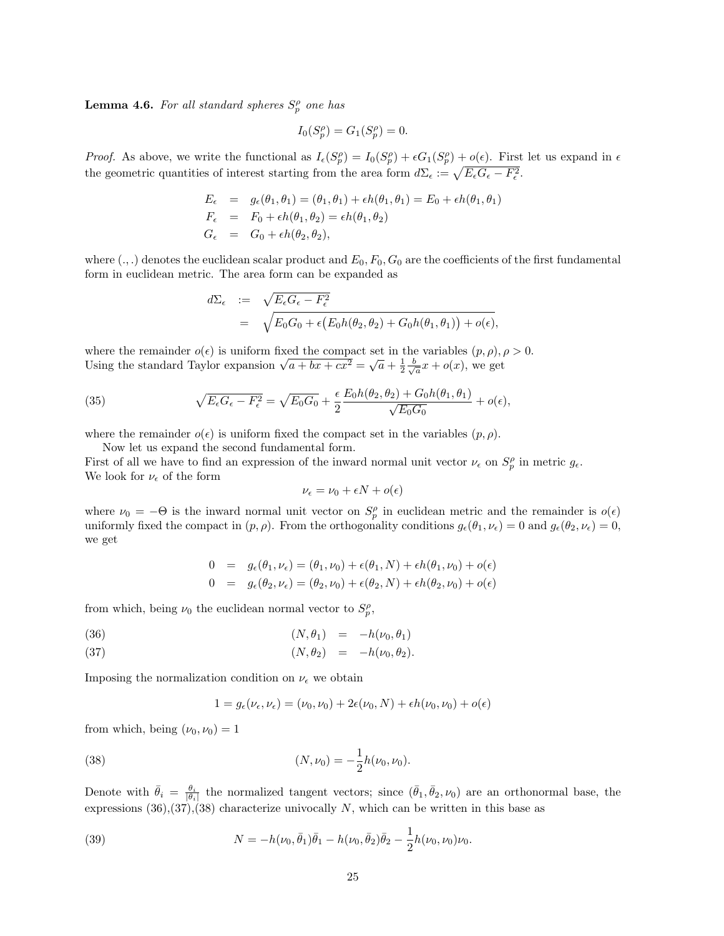**Lemma 4.6.** For all standard spheres  $S_p^{\rho}$  one has

$$
I_0(S_p^{\rho}) = G_1(S_p^{\rho}) = 0.
$$

*Proof.* As above, we write the functional as  $I_{\epsilon}(S_p^{\rho}) = I_0(S_p^{\rho}) + \epsilon G_1(S_p^{\rho}) + o(\epsilon)$ . First let us expand in  $\epsilon$ the geometric quantities of interest starting from the area form  $d\Sigma_{\epsilon} := \sqrt{E_{\epsilon}G_{\epsilon} - F_{\epsilon}^2}$ .

$$
E_{\epsilon} = g_{\epsilon}(\theta_1, \theta_1) = (\theta_1, \theta_1) + \epsilon h(\theta_1, \theta_1) = E_0 + \epsilon h(\theta_1, \theta_1)
$$
  
\n
$$
F_{\epsilon} = F_0 + \epsilon h(\theta_1, \theta_2) = \epsilon h(\theta_1, \theta_2)
$$
  
\n
$$
G_{\epsilon} = G_0 + \epsilon h(\theta_2, \theta_2),
$$

where  $(.,.)$  denotes the euclidean scalar product and  $E_0, F_0, G_0$  are the coefficients of the first fundamental form in euclidean metric. The area form can be expanded as

$$
d\Sigma_{\epsilon} := \sqrt{E_{\epsilon}G_{\epsilon} - F_{\epsilon}^2}
$$
  
= 
$$
\sqrt{E_0G_0 + \epsilon (E_0h(\theta_2, \theta_2) + G_0h(\theta_1, \theta_1)) + o(\epsilon)},
$$

where the remainder  $o(\epsilon)$  is uniform fixed the compact set in the variables  $(p, \rho), \rho > 0$ . where the remainder  $o(\epsilon)$  is uniform fixed the compact set in the variables  $(p, \rho)$ ,  $p$ ,  $\theta$  Using the standard Taylor expansion  $\sqrt{a + bx + cx^2} = \sqrt{a} + \frac{1}{2} \frac{b}{\sqrt{a}} x + o(x)$ , we get

(35) 
$$
\sqrt{E_{\epsilon}G_{\epsilon} - F_{\epsilon}^2} = \sqrt{E_0G_0} + \frac{\epsilon}{2} \frac{E_0h(\theta_2, \theta_2) + G_0h(\theta_1, \theta_1)}{\sqrt{E_0G_0}} + o(\epsilon),
$$

where the remainder  $o(\epsilon)$  is uniform fixed the compact set in the variables  $(p, \rho)$ .

Now let us expand the second fundamental form.

First of all we have to find an expression of the inward normal unit vector  $\nu_{\epsilon}$  on  $S_p^{\rho}$  in metric  $g_{\epsilon}$ . We look for  $\nu_{\epsilon}$  of the form

$$
\nu_\epsilon = \nu_0 + \epsilon N + o(\epsilon)
$$

where  $\nu_0 = -\Theta$  is the inward normal unit vector on  $S_p^{\rho}$  in euclidean metric and the remainder is  $o(\epsilon)$ uniformly fixed the compact in  $(p, \rho)$ . From the orthogonality conditions  $g_{\epsilon}(\theta_1, \nu_{\epsilon}) = 0$  and  $g_{\epsilon}(\theta_2, \nu_{\epsilon}) = 0$ , we get

$$
0 = g_{\epsilon}(\theta_1, \nu_{\epsilon}) = (\theta_1, \nu_0) + \epsilon(\theta_1, N) + \epsilon h(\theta_1, \nu_0) + o(\epsilon)
$$
  
\n
$$
0 = g_{\epsilon}(\theta_2, \nu_{\epsilon}) = (\theta_2, \nu_0) + \epsilon(\theta_2, N) + \epsilon h(\theta_2, \nu_0) + o(\epsilon)
$$

from which, being  $\nu_0$  the euclidean normal vector to  $S_p^{\rho}$ ,

$$
(36) \qquad (N, \theta_1) = -h(\nu_0, \theta_1)
$$

$$
(37) \t\t\t (N, \theta_2) = -h(\nu_0, \theta_2).
$$

Imposing the normalization condition on  $\nu_{\epsilon}$  we obtain

$$
1 = g_{\epsilon}(\nu_{\epsilon}, \nu_{\epsilon}) = (\nu_0, \nu_0) + 2\epsilon(\nu_0, N) + \epsilon h(\nu_0, \nu_0) + o(\epsilon)
$$

from which, being  $(\nu_0, \nu_0) = 1$ 

(38) 
$$
(N, \nu_0) = -\frac{1}{2}h(\nu_0, \nu_0).
$$

Denote with  $\bar{\theta}_i = \frac{\theta_i}{|\theta_i|}$  the normalized tangent vectors; since  $(\bar{\theta}_1, \bar{\theta}_2, \nu_0)$  are an orthonormal base, the expressions  $(36),(37),(38)$  characterize univocally N, which can be written in this base as

(39) 
$$
N = -h(\nu_0, \bar{\theta}_1)\bar{\theta}_1 - h(\nu_0, \bar{\theta}_2)\bar{\theta}_2 - \frac{1}{2}h(\nu_0, \nu_0)\nu_0.
$$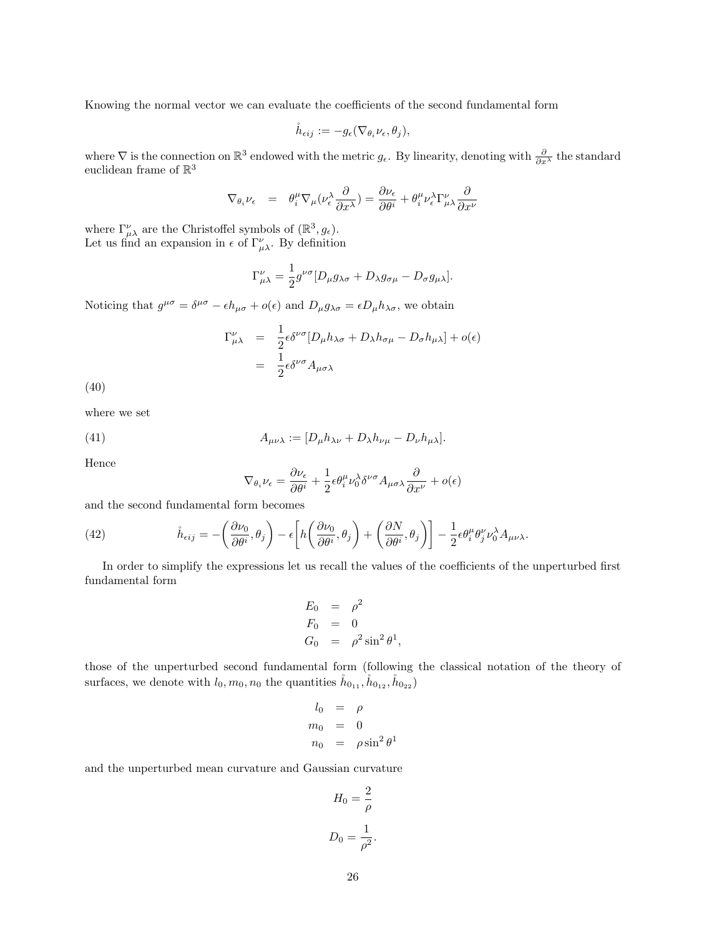Knowing the normal vector we can evaluate the coefficients of the second fundamental form

$$
\mathring{h}_{\epsilon ij} := -g_{\epsilon}(\nabla_{\theta_i} \nu_{\epsilon}, \theta_j),
$$

where  $\nabla$  is the connection on  $\mathbb{R}^3$  endowed with the metric  $g_{\epsilon}$ . By linearity, denoting with  $\frac{\partial}{\partial x^{\lambda}}$  the standard euclidean frame of  $\mathbb{R}^3$ 

$$
\nabla_{\theta_i} \nu_{\epsilon} = \theta_i^{\mu} \nabla_{\mu} (\nu_{\epsilon}^{\lambda} \frac{\partial}{\partial x^{\lambda}}) = \frac{\partial \nu_{\epsilon}}{\partial \theta^i} + \theta_i^{\mu} \nu_{\epsilon}^{\lambda} \Gamma_{\mu\lambda}^{\nu} \frac{\partial}{\partial x^{\nu}}
$$

where  $\Gamma^{\nu}_{\mu\lambda}$  are the Christoffel symbols of  $(\mathbb{R}^3, g_{\epsilon})$ . Let us find an expansion in  $\epsilon$  of  $\Gamma^{\nu}_{\mu\lambda}$ . By definition

$$
\Gamma^{\nu}_{\mu\lambda} = \frac{1}{2} g^{\nu\sigma} [D_{\mu} g_{\lambda\sigma} + D_{\lambda} g_{\sigma\mu} - D_{\sigma} g_{\mu\lambda}].
$$

Noticing that  $g^{\mu\sigma} = \delta^{\mu\sigma} - \epsilon h_{\mu\sigma} + o(\epsilon)$  and  $D_{\mu}g_{\lambda\sigma} = \epsilon D_{\mu}h_{\lambda\sigma}$ , we obtain

$$
\Gamma^{\nu}_{\mu\lambda} = \frac{1}{2} \epsilon \delta^{\nu\sigma} [D_{\mu} h_{\lambda\sigma} + D_{\lambda} h_{\sigma\mu} - D_{\sigma} h_{\mu\lambda}] + o(\epsilon)
$$
  
= 
$$
\frac{1}{2} \epsilon \delta^{\nu\sigma} A_{\mu\sigma\lambda}
$$

(40)

where we set

(41) 
$$
A_{\mu\nu\lambda} := [D_{\mu}h_{\lambda\nu} + D_{\lambda}h_{\nu\mu} - D_{\nu}h_{\mu\lambda}].
$$

Hence

$$
\nabla_{\theta_i} \nu_{\epsilon} = \frac{\partial \nu_{\epsilon}}{\partial \theta^i} + \frac{1}{2} \epsilon \theta_i^{\mu} \nu_0^{\lambda} \delta^{\nu \sigma} A_{\mu \sigma \lambda} \frac{\partial}{\partial x^{\nu}} + o(\epsilon)
$$

and the second fundamental form becomes

(42) 
$$
\dot{h}_{\epsilon ij} = -\left(\frac{\partial \nu_0}{\partial \theta^i}, \theta_j\right) - \epsilon \left[h\left(\frac{\partial \nu_0}{\partial \theta^i}, \theta_j\right) + \left(\frac{\partial N}{\partial \theta^i}, \theta_j\right)\right] - \frac{1}{2} \epsilon \theta_i^{\mu} \theta_j^{\nu} \nu_0^{\lambda} A_{\mu\nu\lambda}.
$$

In order to simplify the expressions let us recall the values of the coefficients of the unperturbed first fundamental form

$$
E_0 = \rho^2
$$
  
\n
$$
F_0 = 0
$$
  
\n
$$
G_0 = \rho^2 \sin^2 \theta^1,
$$

those of the unperturbed second fundamental form (following the classical notation of the theory of surfaces, we denote with  $l_0, m_0, n_0$  the quantities  $\dot{h}_{0_{11}}, \dot{h}_{0_{12}}, \dot{h}_{0_{22}})$ 

$$
l_0 = \rho
$$
  
\n
$$
m_0 = 0
$$
  
\n
$$
n_0 = \rho \sin^2 \theta^1
$$

and the unperturbed mean curvature and Gaussian curvature

$$
H_0 = \frac{2}{\rho}
$$
  

$$
D_0 = \frac{1}{\rho^2}.
$$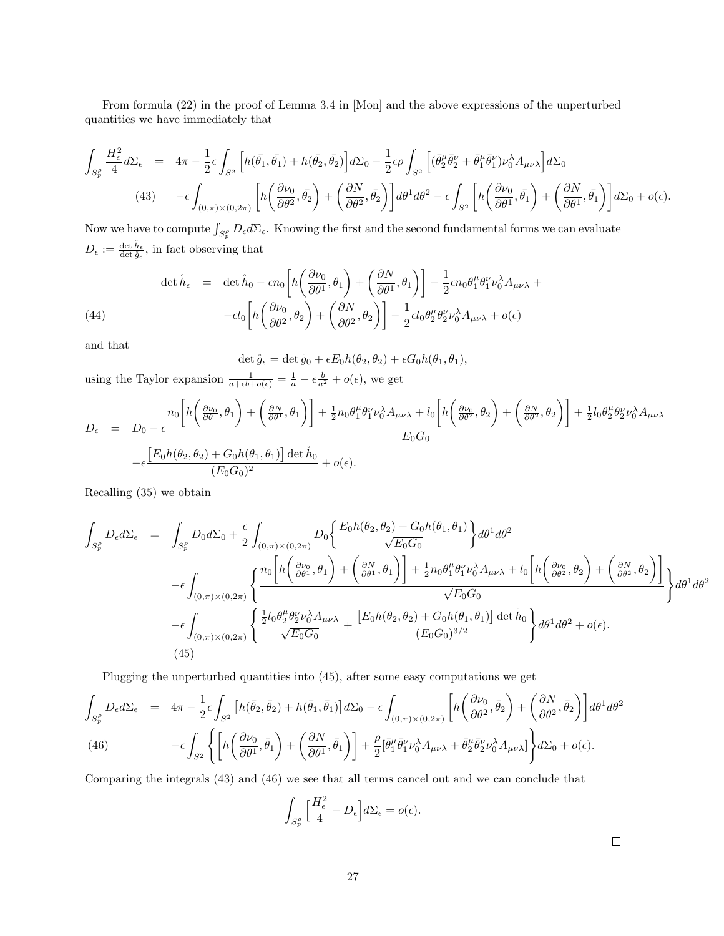From formula (22) in the proof of Lemma 3.4 in [Mon] and the above expressions of the unperturbed quantities we have immediately that

$$
\int_{S_p^{\rho}} \frac{H_{\epsilon}^2}{4} d\Sigma_{\epsilon} = 4\pi - \frac{1}{2} \epsilon \int_{S^2} \left[ h(\bar{\theta}_1, \bar{\theta}_1) + h(\bar{\theta}_2, \bar{\theta}_2) \right] d\Sigma_0 - \frac{1}{2} \epsilon \rho \int_{S^2} \left[ (\bar{\theta}_2^{\mu} \bar{\theta}_2^{\nu} + \bar{\theta}_1^{\mu} \bar{\theta}_1^{\nu}) \nu_0^{\lambda} A_{\mu\nu\lambda} \right] d\Sigma_0
$$
\n
$$
(43) \qquad -\epsilon \int_{(0,\pi)\times(0,2\pi)} \left[ h \left( \frac{\partial \nu_0}{\partial \theta^2}, \bar{\theta}_2 \right) + \left( \frac{\partial N}{\partial \theta^2}, \bar{\theta}_2 \right) \right] d\theta^1 d\theta^2 - \epsilon \int_{S^2} \left[ h \left( \frac{\partial \nu_0}{\partial \theta^1}, \bar{\theta}_1 \right) + \left( \frac{\partial N}{\partial \theta^1}, \bar{\theta}_1 \right) \right] d\Sigma_0 + o(\epsilon).
$$

Now we have to compute  $\int_{S_p^{\rho}} D_{\epsilon} d\Sigma_{\epsilon}$ . Knowing the first and the second fundamental forms we can evaluate  $D_{\epsilon} := \frac{\det \hat{h}_{\epsilon}}{\det \hat{g}_{\epsilon}},$  in fact observing that

(44)  
\n
$$
\det \mathring{h}_{\epsilon} = \det \mathring{h}_{0} - \epsilon n_{0} \left[ h \left( \frac{\partial \nu_{0}}{\partial \theta^{1}}, \theta_{1} \right) + \left( \frac{\partial N}{\partial \theta^{1}}, \theta_{1} \right) \right] - \frac{1}{2} \epsilon n_{0} \theta_{1}^{\mu} \theta_{1}^{\nu} \nu_{0}^{\lambda} A_{\mu\nu\lambda} +
$$
\n
$$
- \epsilon l_{0} \left[ h \left( \frac{\partial \nu_{0}}{\partial \theta^{2}}, \theta_{2} \right) + \left( \frac{\partial N}{\partial \theta^{2}}, \theta_{2} \right) \right] - \frac{1}{2} \epsilon l_{0} \theta_{2}^{\mu} \theta_{2}^{\nu} \nu_{0}^{\lambda} A_{\mu\nu\lambda} + o(\epsilon)
$$

and that

det  $\mathring{g}_{\epsilon} = \det \mathring{g}_0 + \epsilon E_0 h(\theta_2, \theta_2) + \epsilon G_0 h(\theta_1, \theta_1),$ 

using the Taylor expansion  $\frac{1}{a+\epsilon b+o(\epsilon)} = \frac{1}{a} - \epsilon \frac{b}{a^2} + o(\epsilon)$ , we get

$$
D_{\epsilon} = D_0 - \epsilon \frac{n_0 \left[ h \left( \frac{\partial \nu_0}{\partial \theta^1}, \theta_1 \right) + \left( \frac{\partial N}{\partial \theta^1}, \theta_1 \right) \right] + \frac{1}{2} n_0 \theta_1^{\mu} \theta_1^{\nu} \nu_0^{\lambda} A_{\mu\nu\lambda} + l_0 \left[ h \left( \frac{\partial \nu_0}{\partial \theta^2}, \theta_2 \right) + \left( \frac{\partial N}{\partial \theta^2}, \theta_2 \right) \right] + \frac{1}{2} l_0 \theta_2^{\mu} \theta_2^{\nu} \nu_0^{\lambda} A_{\mu\nu\lambda}}{E_0 G_0} - \epsilon \frac{\left[ E_0 h(\theta_2, \theta_2) + G_0 h(\theta_1, \theta_1) \right] \det \dot{h}_0}{(E_0 G_0)^2} + o(\epsilon).
$$

Recalling (35) we obtain

$$
\int_{S_p^{\rho}} D_{\epsilon} d\Sigma_{\epsilon} = \int_{S_p^{\rho}} D_0 d\Sigma_0 + \frac{\epsilon}{2} \int_{(0,\pi)\times(0,2\pi)} D_0 \left\{ \frac{E_0 h(\theta_2,\theta_2) + G_0 h(\theta_1,\theta_1)}{\sqrt{E_0 G_0}} \right\} d\theta^1 d\theta^2
$$
\n
$$
-\epsilon \int_{(0,\pi)\times(0,2\pi)} \left\{ \frac{n_0 \left[ h\left(\frac{\partial \nu_0}{\partial \theta^1},\theta_1\right) + \left(\frac{\partial N}{\partial \theta^1},\theta_1\right) \right] + \frac{1}{2} n_0 \theta_1^{\mu} \theta_1^{\nu} \nu_0^{\lambda} A_{\mu\nu\lambda} + l_0 \left[ h\left(\frac{\partial \nu_0}{\partial \theta^2},\theta_2\right) + \left(\frac{\partial N}{\partial \theta^2},\theta_2\right) \right] \right\} d\theta^1 d\theta^2
$$
\n
$$
-\epsilon \int_{(0,\pi)\times(0,2\pi)} \left\{ \frac{\frac{1}{2} l_0 \theta_2^{\mu} \theta_2^{\nu} \nu_0^{\lambda} A_{\mu\nu\lambda}}{\sqrt{E_0 G_0}} + \frac{[E_0 h(\theta_2,\theta_2) + G_0 h(\theta_1,\theta_1)] \det \mathring{h}_0}{(E_0 G_0)^{3/2}} \right\} d\theta^1 d\theta^2 + o(\epsilon).
$$
\n(45)

Plugging the unperturbed quantities into (45), after some easy computations we get

$$
\int_{S_p^{\rho}} D_{\epsilon} d\Sigma_{\epsilon} = 4\pi - \frac{1}{2} \epsilon \int_{S^2} \left[ h(\bar{\theta}_2, \bar{\theta}_2) + h(\bar{\theta}_1, \bar{\theta}_1) \right] d\Sigma_0 - \epsilon \int_{(0,\pi)\times(0,2\pi)} \left[ h\left( \frac{\partial \nu_0}{\partial \theta^2}, \bar{\theta}_2 \right) + \left( \frac{\partial N}{\partial \theta^2}, \bar{\theta}_2 \right) \right] d\theta^1 d\theta^2
$$
\n
$$
(46) \qquad -\epsilon \int_{S^2} \left\{ \left[ h\left( \frac{\partial \nu_0}{\partial \theta^1}, \bar{\theta}_1 \right) + \left( \frac{\partial N}{\partial \theta^1}, \bar{\theta}_1 \right) \right] + \frac{\rho}{2} [\bar{\theta}_1^{\mu} \bar{\theta}_1^{\nu} \nu_0^{\lambda} A_{\mu\nu\lambda} + \bar{\theta}_2^{\mu} \bar{\theta}_2^{\nu} \nu_0^{\lambda} A_{\mu\nu\lambda}] \right\} d\Sigma_0 + o(\epsilon).
$$

Comparing the integrals (43) and (46) we see that all terms cancel out and we can conclude that

$$
\int_{S_p^{\rho}} \left[ \frac{H_{\epsilon}^2}{4} - D_{\epsilon} \right] d\Sigma_{\epsilon} = o(\epsilon).
$$

 $\Box$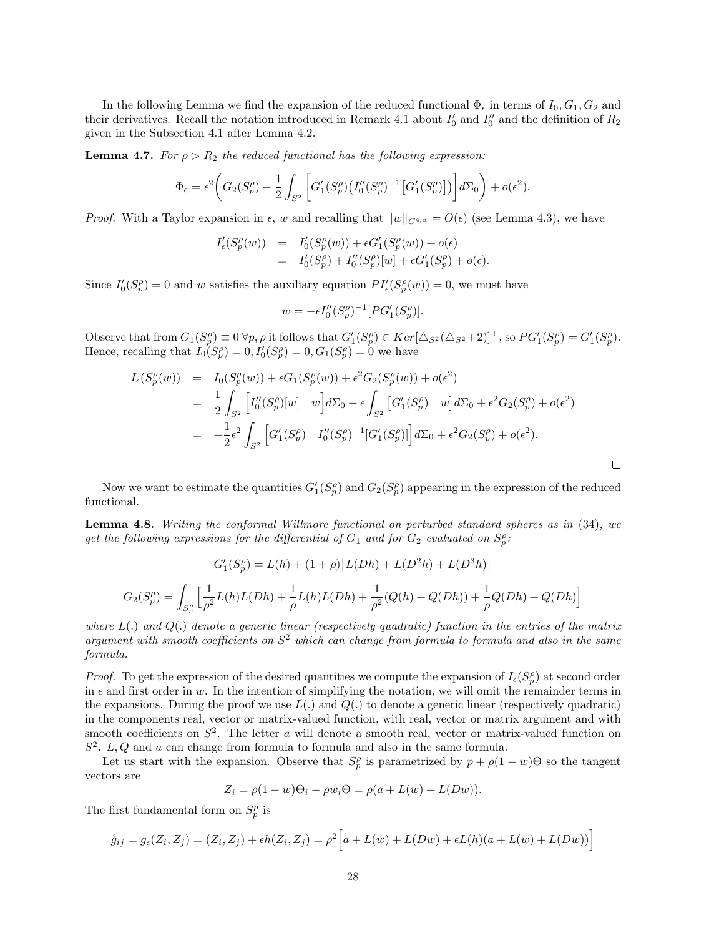In the following Lemma we find the expansion of the reduced functional  $\Phi_{\epsilon}$  in terms of  $I_0, G_1, G_2$  and their derivatives. Recall the notation introduced in Remark 4.1 about  $I'_0$  and  $I''_0$  and the definition of  $R_2$ given in the Subsection 4.1 after Lemma 4.2.

**Lemma 4.7.** For  $\rho > R_2$  the reduced functional has the following expression:

$$
\Phi_{\epsilon} = \epsilon^2 \bigg( G_2(S_p^{\rho}) - \frac{1}{2} \int_{S^2} \bigg[ G_1'(S_p^{\rho}) \big( I_0''(S_p^{\rho})^{-1} \big[ G_1'(S_p^{\rho}) \big] \big) \bigg] d\Sigma_0 \bigg) + o(\epsilon^2).
$$

*Proof.* With a Taylor expansion in  $\epsilon$ , w and recalling that  $||w||_{C^{4,\alpha}} = O(\epsilon)$  (see Lemma 4.3), we have

$$
\begin{array}{lcl} I'_{\epsilon}(S^{\rho}_p(w)) & = & I'_0(S^{\rho}_p(w)) + \epsilon G'_1(S^{\rho}_p(w)) + o(\epsilon) \\ \\ & = & I'_0(S^{\rho}_p) + I''_0(S^{\rho}_p)[w] + \epsilon G'_1(S^{\rho}_p) + o(\epsilon). \end{array}
$$

Since  $I'_0(S_p^{\rho}) = 0$  and w satisfies the auxiliary equation  $PI'_{\epsilon}(S_p^{\rho}(w)) = 0$ , we must have

$$
w = -\epsilon I_0'' (S_p^{\rho})^{-1} [PG'_1(S_p^{\rho})].
$$

Observe that from  $G_1(S_p^{\rho}) \equiv 0 \,\forall p, \rho$  it follows that  $G'_1(S_p^{\rho}) \in Ker[\Delta_{S^2}(\Delta_{S^2}+2)]^{\perp}$ , so  $PG'_1(S_p^{\rho}) = G'_1(S_p^{\rho})$ . Hence, recalling that  $I_0(S_p^{\rho}) = 0, I'_0(S_p^{\rho}) = 0, G_1(S_p^{\rho}) = 0$  we have

$$
I_{\epsilon}(S_{p}^{\rho}(w)) = I_{0}(S_{p}^{\rho}(w)) + \epsilon G_{1}(S_{p}^{\rho}(w)) + \epsilon^{2} G_{2}(S_{p}^{\rho}(w)) + o(\epsilon^{2})
$$
  
\n
$$
= \frac{1}{2} \int_{S^{2}} \left[ I_{0}^{\prime\prime}(S_{p}^{\rho})[w] \right] w dx_{0} + \epsilon \int_{S^{2}} \left[ G_{1}^{\prime}(S_{p}^{\rho}) \right] w dx_{0} + \epsilon^{2} G_{2}(S_{p}^{\rho}) + o(\epsilon^{2})
$$
  
\n
$$
= -\frac{1}{2} \epsilon^{2} \int_{S^{2}} \left[ G_{1}^{\prime}(S_{p}^{\rho}) \right] I_{0}^{\prime\prime}(S_{p}^{\rho})^{-1} \left[ G_{1}^{\prime}(S_{p}^{\rho}) \right] d\Sigma_{0} + \epsilon^{2} G_{2}(S_{p}^{\rho}) + o(\epsilon^{2}).
$$

 $\Box$ 

Now we want to estimate the quantities  $G'_{1}(S_{p}^{\rho})$  and  $G_{2}(S_{p}^{\rho})$  appearing in the expression of the reduced functional.

Lemma 4.8. Writing the conformal Willmore functional on perturbed standard spheres as in (34), we get the following expressions for the differential of  $G_1$  and for  $G_2$  evaluated on  $S_p^{\rho}$ :

$$
G_1'(S_p^{\rho}) = L(h) + (1 + \rho) [L(Dh) + L(D^2h) + L(D^3h)]
$$
  

$$
G_2(S_p^{\rho}) = \int_{S_p^{\rho}} \left[ \frac{1}{\rho^2} L(h)L(Dh) + \frac{1}{\rho} L(h)L(Dh) + \frac{1}{\rho^2} (Q(h) + Q(Dh)) + \frac{1}{\rho} Q(Dh) + Q(Dh) \right]
$$

where  $L(.)$  and  $Q(.)$  denote a generic linear (respectively quadratic) function in the entries of the matrix argument with smooth coefficients on  $S<sup>2</sup>$  which can change from formula to formula and also in the same formula.

*Proof.* To get the expression of the desired quantities we compute the expansion of  $I_{\epsilon}(S_p^{\rho})$  at second order in  $\epsilon$  and first order in w. In the intention of simplifying the notation, we will omit the remainder terms in the expansions. During the proof we use  $L(.)$  and  $Q(.)$  to denote a generic linear (respectively quadratic) in the components real, vector or matrix-valued function, with real, vector or matrix argument and with smooth coefficients on  $S^2$ . The letter a will denote a smooth real, vector or matrix-valued function on  $S<sup>2</sup>$ . L, Q and a can change from formula to formula and also in the same formula.

Let us start with the expansion. Observe that  $S_p^{\rho}$  is parametrized by  $p + \rho(1 - w)\Theta$  so the tangent vectors are

$$
Z_i = \rho(1 - w)\Theta_i - \rho w_i \Theta = \rho(a + L(w) + L(Dw)).
$$

The first fundamental form on  $S_p^{\rho}$  is

$$
\mathring{g}_{ij} = g_{\epsilon}(Z_i, Z_j) = (Z_i, Z_j) + \epsilon h(Z_i, Z_j) = \rho^2 \Big[ a + L(w) + L(Dw) + \epsilon L(h)(a + L(w) + L(Dw)) \Big]
$$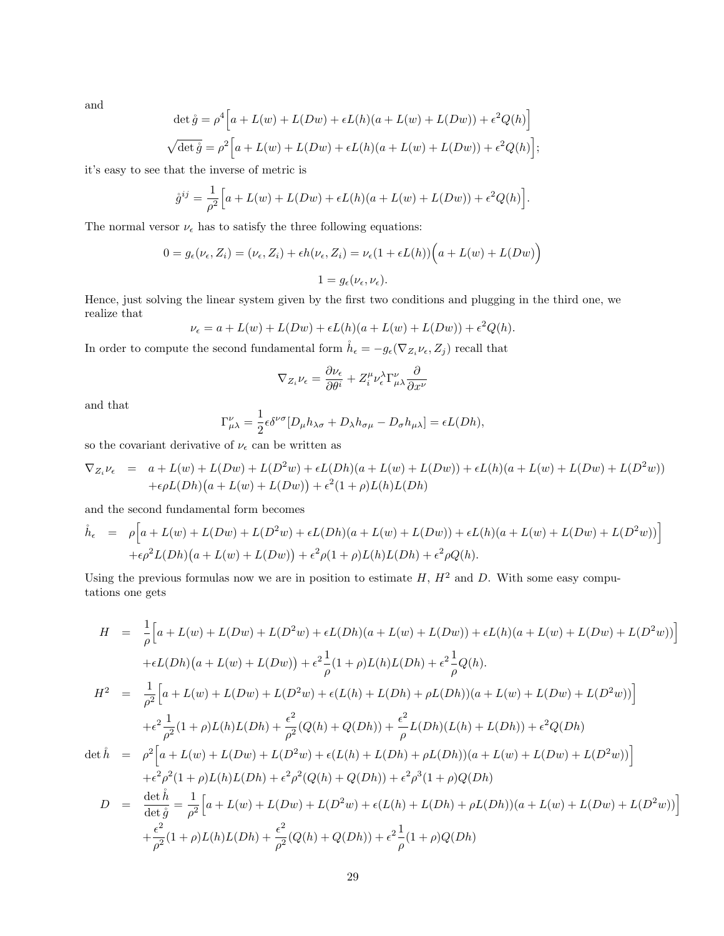and

$$
\det \mathring{g} = \rho^4 \Big[ a + L(w) + L(Dw) + \epsilon L(h)(a + L(w) + L(Dw)) + \epsilon^2 Q(h) \Big]
$$
  

$$
\sqrt{\det \mathring{g}} = \rho^2 \Big[ a + L(w) + L(Dw) + \epsilon L(h)(a + L(w) + L(Dw)) + \epsilon^2 Q(h) \Big];
$$

it's easy to see that the inverse of metric is

$$
\mathring{g}^{ij} = \frac{1}{\rho^2} \Big[ a + L(w) + L(Dw) + \epsilon L(h)(a + L(w) + L(Dw)) + \epsilon^2 Q(h) \Big].
$$

The normal versor  $\nu_{\epsilon}$  has to satisfy the three following equations:

$$
0 = g_{\epsilon}(\nu_{\epsilon}, Z_i) = (\nu_{\epsilon}, Z_i) + \epsilon h(\nu_{\epsilon}, Z_i) = \nu_{\epsilon}(1 + \epsilon L(h)) \Big(a + L(w) + L(Dw)\Big)
$$
  

$$
1 = g_{\epsilon}(\nu_{\epsilon}, \nu_{\epsilon}).
$$

Hence, just solving the linear system given by the first two conditions and plugging in the third one, we realize that

$$
\nu_{\epsilon} = a + L(w) + L(Dw) + \epsilon L(h)(a + L(w) + L(Dw)) + \epsilon^2 Q(h).
$$

In order to compute the second fundamental form  $\mathring{h}_{\epsilon} = -g_{\epsilon}(\nabla_{Z_i}\nu_{\epsilon}, Z_j)$  recall that

$$
\nabla_{Z_i}\nu_\epsilon=\frac{\partial \nu_\epsilon}{\partial \theta^i}+Z_i^\mu\nu^\lambda_\epsilon\Gamma^\nu_{\mu\lambda}\frac{\partial}{\partial x^\nu}
$$

and that

$$
\Gamma^{\nu}_{\mu\lambda} = \frac{1}{2} \epsilon \delta^{\nu\sigma} [D_{\mu} h_{\lambda\sigma} + D_{\lambda} h_{\sigma\mu} - D_{\sigma} h_{\mu\lambda}] = \epsilon L(Dh),
$$

so the covariant derivative of  $\nu_\epsilon$  can be written as

$$
\nabla_{Z_i}\nu_{\epsilon} = a + L(w) + L(Dw) + L(D^2w) + \epsilon L(Dh)(a + L(w) + L(Dw)) + \epsilon L(h)(a + L(w) + L(Dw) + L(D^2w))
$$
  
+ $\epsilon \rho L(Dh)(a + L(w) + L(Dw)) + \epsilon^2 (1 + \rho)L(h)L(Dh)$ 

and the second fundamental form becomes

$$
\dot{h}_{\epsilon} = \rho \Big[ a + L(w) + L(Dw) + L(D^2w) + \epsilon L(Dh)(a + L(w) + L(Dw)) + \epsilon L(h)(a + L(w) + L(Dw) + L(D^2w)) \Big] \n+ \epsilon \rho^2 L(Dh)(a + L(w) + L(Dw)) + \epsilon^2 \rho (1 + \rho)L(h)L(Dh) + \epsilon^2 \rho Q(h).
$$

Using the previous formulas now we are in position to estimate  $H$ ,  $H^2$  and  $D$ . With some easy computations one gets

$$
H = \frac{1}{\rho} \Big[ a + L(w) + L(Dw) + L(D^2w) + \epsilon L(Dh)(a + L(w) + L(Dw)) + \epsilon L(h)(a + L(w) + L(Dw) + L(D^2w)) \Big]
$$
  
+ $\epsilon L(Dh)(a + L(w) + L(Dw)) + \epsilon^2 \frac{1}{\rho}(1 + \rho)L(h)L(Dh) + \epsilon^2 \frac{1}{\rho}Q(h).$   

$$
H^2 = \frac{1}{\rho^2} \Big[ a + L(w) + L(Dw) + L(D^2w) + \epsilon (L(h) + L(Dh) + \rho L(Dh))(a + L(w) + L(Dw) + L(D^2w)) \Big]
$$
  
+ $\epsilon^2 \frac{1}{\rho^2}(1 + \rho)L(h)L(Dh) + \frac{\epsilon^2}{\rho^2}(Q(h) + Q(Dh)) + \frac{\epsilon^2}{\rho}L(Dh)(L(h) + L(Dh)) + \epsilon^2 Q(Dh)$   
 $\det \hat{h} = \rho^2 \Big[ a + L(w) + L(Dw) + L(D^2w) + \epsilon (L(h) + L(Dh) + \rho L(Dh))(a + L(w) + L(Dw) + L(D^2w)) \Big]$   
+ $\epsilon^2 \rho^2(1 + \rho)L(h)L(Dh) + \epsilon^2 \rho^2(Q(h) + Q(Dh)) + \epsilon^2 \rho^3(1 + \rho)Q(Dh)$   
 $D = \frac{\det \hat{h}}{\det \hat{g}} = \frac{1}{\rho^2} \Big[ a + L(w) + L(Dw) + L(D^2w) + \epsilon (L(h) + L(Dh) + \rho L(Dh))(a + L(w) + L(Dw) + L(D^2w)) \Big]$   
+ $\frac{\epsilon^2}{\rho^2}(1 + \rho)L(h)L(Dh) + \frac{\epsilon^2}{\rho^2}(Q(h) + Q(Dh)) + \epsilon^2 \frac{1}{\rho}(1 + \rho)Q(Dh)$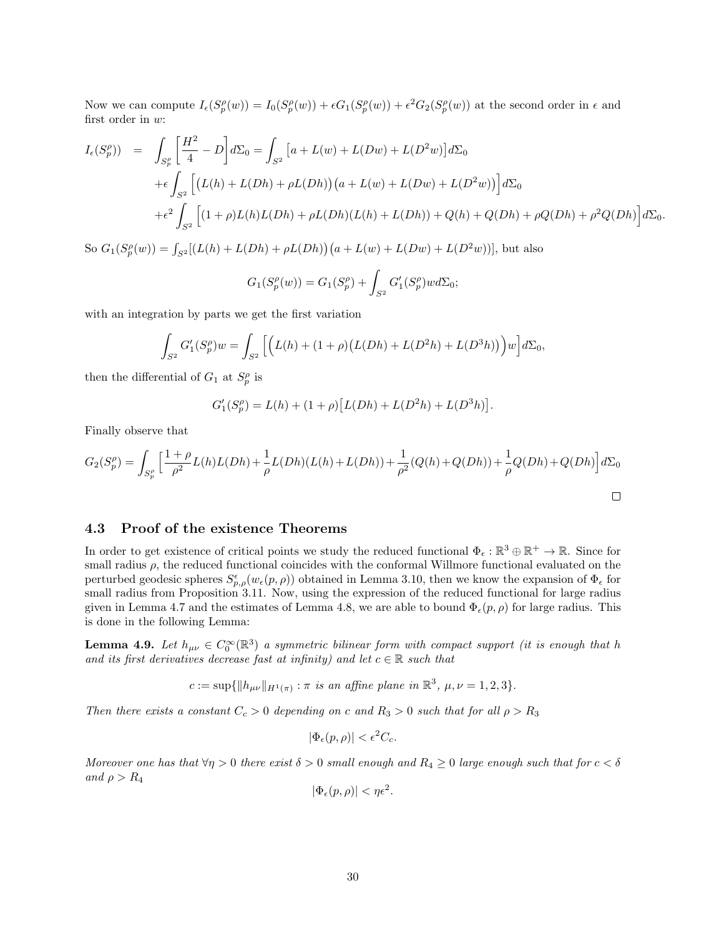Now we can compute  $I_{\epsilon}(S_p^{\rho}(w)) = I_0(S_p^{\rho}(w)) + \epsilon G_1(S_p^{\rho}(w)) + \epsilon^2 G_2(S_p^{\rho}(w))$  at the second order in  $\epsilon$  and first order in w:

$$
I_{\epsilon}(S_{p}^{\rho})) = \int_{S_{p}^{\rho}} \left[ \frac{H^{2}}{4} - D \right] d\Sigma_{0} = \int_{S^{2}} \left[ a + L(w) + L(Dw) + L(D^{2}w) \right] d\Sigma_{0}
$$
  
+  $\epsilon \int_{S^{2}} \left[ (L(h) + L(Dh) + \rho L(Dh)) \left( a + L(w) + L(Dw) + L(D^{2}w) \right) \right] d\Sigma_{0}$   
+  $\epsilon^{2} \int_{S^{2}} \left[ (1 + \rho)L(h)L(Dh) + \rho L(Dh)(L(h) + L(Dh)) + Q(h) + Q(Dh) + \rho^{2} Q(Dh) \right] d\Sigma_{0}.$ 

So  $G_1(S_p^{\rho}(w)) = \int_{S^2} [(L(h) + L(Dh) + \rho L(Dh))(a + L(w) + L(Dw) + L(D^2w))]$ , but also

$$
G_1(S_p^{\rho}(w)) = G_1(S_p^{\rho}) + \int_{S^2} G'_1(S_p^{\rho}) w d\Sigma_0;
$$

with an integration by parts we get the first variation

$$
\int_{S^2} G_1'(S_p^{\rho})w = \int_{S^2} \left[ \left( L(h) + (1+\rho)\left( L(Dh) + L(D^2h) + L(D^3h) \right) \right) w \right] d\Sigma_0,
$$

then the differential of  $G_1$  at  $S_p^{\rho}$  is

$$
G'_{1}(S_{p}^{\rho}) = L(h) + (1 + \rho) [L(Dh) + L(D^{2}h) + L(D^{3}h)].
$$

Finally observe that

$$
G_2(S_p^{\rho}) = \int_{S_p^{\rho}} \left[ \frac{1+\rho}{\rho^2} L(h)L(Dh) + \frac{1}{\rho} L(Dh)(L(h) + L(Dh)) + \frac{1}{\rho^2} (Q(h) + Q(Dh)) + \frac{1}{\rho} Q(Dh) + Q(Dh) \right] d\Sigma_0
$$

## 4.3 Proof of the existence Theorems

In order to get existence of critical points we study the reduced functional  $\Phi_{\epsilon}: \mathbb{R}^3 \oplus \mathbb{R}^+ \to \mathbb{R}$ . Since for small radius  $\rho$ , the reduced functional coincides with the conformal Willmore functional evaluated on the perturbed geodesic spheres  $S_{p,\rho}^{\epsilon}(w_{\epsilon}(p,\rho))$  obtained in Lemma 3.10, then we know the expansion of  $\Phi_{\epsilon}$  for small radius from Proposition 3.11. Now, using the expression of the reduced functional for large radius given in Lemma 4.7 and the estimates of Lemma 4.8, we are able to bound  $\Phi_{\epsilon}(p,\rho)$  for large radius. This is done in the following Lemma:

**Lemma 4.9.** Let  $h_{\mu\nu} \in C_0^{\infty}(\mathbb{R}^3)$  a symmetric bilinear form with compact support (it is enough that h and its first derivatives decrease fast at infinity) and let  $c \in \mathbb{R}$  such that

 $c := \sup \{ ||h_{\mu\nu}||_{H^1(\pi)} : \pi \text{ is an affine plane in } \mathbb{R}^3, \mu, \nu = 1, 2, 3 \}.$ 

Then there exists a constant  $C_c > 0$  depending on c and  $R_3 > 0$  such that for all  $\rho > R_3$ 

$$
|\Phi_\epsilon(p,\rho)| < \epsilon^2 C_c.
$$

Moreover one has that  $\forall \eta > 0$  there exist  $\delta > 0$  small enough and  $R_4 \geq 0$  large enough such that for  $c < \delta$ and  $\rho > R_4$ 

$$
|\Phi_{\epsilon}(p,\rho)| < \eta \epsilon^2.
$$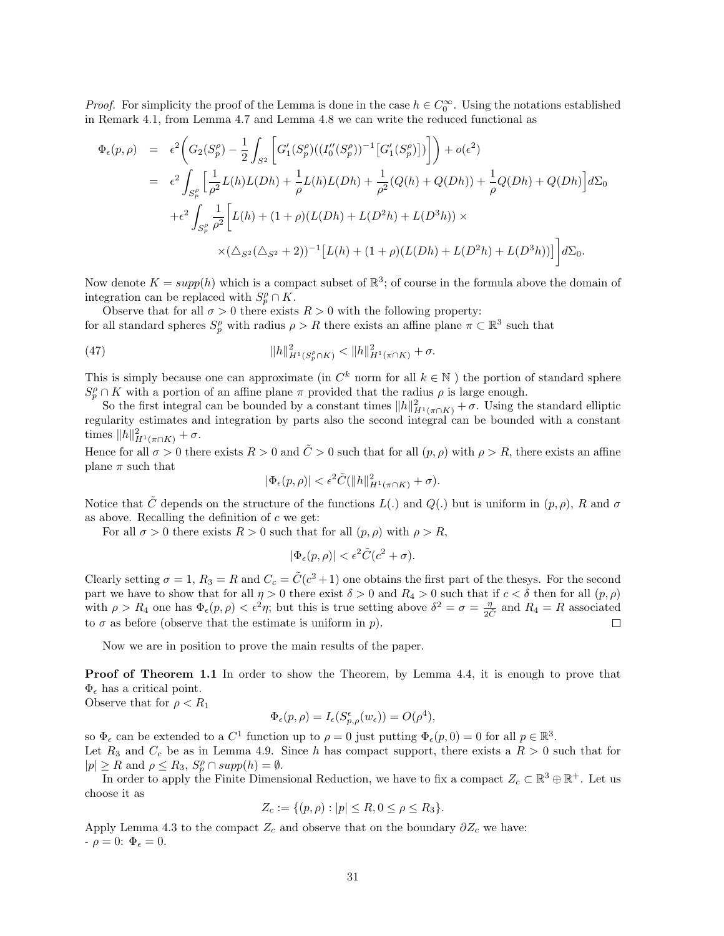*Proof.* For simplicity the proof of the Lemma is done in the case  $h \in C_0^{\infty}$ . Using the notations established in Remark 4.1, from Lemma 4.7 and Lemma 4.8 we can write the reduced functional as

$$
\Phi_{\epsilon}(p,\rho) = \epsilon^{2} \Big( G_{2}(S_{p}^{\rho}) - \frac{1}{2} \int_{S^{2}} \Big[ G'_{1}(S_{p}^{\rho})((I_{0}^{\prime\prime}(S_{p}^{\rho}))^{-1} [G'_{1}(S_{p}^{\rho})]) \Big] \Big) + o(\epsilon^{2})
$$
\n
$$
= \epsilon^{2} \int_{S_{p}^{\rho}} \Big[ \frac{1}{\rho^{2}} L(h)L(Dh) + \frac{1}{\rho} L(h)L(Dh) + \frac{1}{\rho^{2}} (Q(h) + Q(Dh)) + \frac{1}{\rho} Q(Dh) + Q(Dh) \Big] d\Sigma_{0}
$$
\n
$$
+ \epsilon^{2} \int_{S_{p}^{\rho}} \frac{1}{\rho^{2}} \Big[ L(h) + (1 + \rho)(L(Dh) + L(D^{2}h) + L(D^{3}h)) \times \times (\Delta_{S^{2}}(\Delta_{S^{2}} + 2))^{-1} [L(h) + (1 + \rho)(L(Dh) + L(D^{2}h) + L(D^{3}h))] \Big] d\Sigma_{0}.
$$

Now denote  $K = supp(h)$  which is a compact subset of  $\mathbb{R}^3$ ; of course in the formula above the domain of integration can be replaced with  $S_p^{\rho} \cap K$ .

Observe that for all  $\sigma > 0$  there exists  $R > 0$  with the following property: for all standard spheres  $S_p^{\rho}$  with radius  $\rho > R$  there exists an affine plane  $\pi \subset \mathbb{R}^3$  such that

(47) 
$$
||h||_{H^1(S_p^{\rho} \cap K)}^2 < ||h||_{H^1(\pi \cap K)}^2 + \sigma.
$$

This is simply because one can approximate (in  $C^k$  norm for all  $k \in \mathbb{N}$ ) the portion of standard sphere  $S_p^{\rho} \cap K$  with a portion of an affine plane  $\pi$  provided that the radius  $\rho$  is large enough.

So the first integral can be bounded by a constant times  $||h||_{H^1(\pi \cap K)}^2 + \sigma$ . Using the standard elliptic regularity estimates and integration by parts also the second integral can be bounded with a constant times  $||h||_{H^1(\pi \cap K)}^2 + \sigma$ .

Hence for all  $\sigma > 0$  there exists  $R > 0$  and  $\tilde{C} > 0$  such that for all  $(p, \rho)$  with  $\rho > R$ , there exists an affine plane  $\pi$  such that

$$
|\Phi_{\epsilon}(p,\rho)| < \epsilon^2 \tilde{C}(\|h\|_{H^1(\pi \cap K)}^2 + \sigma).
$$

Notice that  $\tilde{C}$  depends on the structure of the functions  $L(.)$  and  $Q(.)$  but is uniform in  $(p, \rho)$ , R and  $\sigma$ as above. Recalling the definition of  $c$  we get:

For all  $\sigma > 0$  there exists  $R > 0$  such that for all  $(p, \rho)$  with  $\rho > R$ ,

$$
|\Phi_\epsilon(p,\rho)| < \epsilon^2 \tilde{C}(c^2+\sigma).
$$

Clearly setting  $\sigma = 1$ ,  $R_3 = R$  and  $C_c = \tilde{C}(c^2 + 1)$  one obtains the first part of the thesys. For the second part we have to show that for all  $\eta > 0$  there exist  $\delta > 0$  and  $R_4 > 0$  such that if  $c < \delta$  then for all  $(p, \rho)$ with  $\rho > R_4$  one has  $\Phi_{\epsilon}(p, \rho) < \epsilon^2 \eta$ ; but this is true setting above  $\delta^2 = \sigma = \frac{\eta}{2C}$  and  $R_4 = R$  associated to  $\sigma$  as before (observe that the estimate is uniform in  $p$ ).  $\Box$ 

Now we are in position to prove the main results of the paper.

Proof of Theorem 1.1 In order to show the Theorem, by Lemma 4.4, it is enough to prove that  $\Phi_{\epsilon}$  has a critical point.

Observe that for 
$$
\rho < R_1
$$

$$
\Phi_{\epsilon}(p,\rho) = I_{\epsilon}(S^{\epsilon}_{p,\rho}(w_{\epsilon})) = O(\rho^{4}),
$$

so  $\Phi_{\epsilon}$  can be extended to a  $C^{1}$  function up to  $\rho = 0$  just putting  $\Phi_{\epsilon}(p,0) = 0$  for all  $p \in \mathbb{R}^{3}$ . Let  $R_3$  and  $C_c$  be as in Lemma 4.9. Since h has compact support, there exists a  $R > 0$  such that for  $|p| \ge R$  and  $\rho \le R_3$ ,  $S_p^{\rho} \cap supp(h) = \emptyset$ .

In order to apply the Finite Dimensional Reduction, we have to fix a compact  $Z_c \subset \mathbb{R}^3 \oplus \mathbb{R}^+$ . Let us choose it as

$$
Z_c := \{ (p, \rho) : |p| \le R, 0 \le \rho \le R_3 \}.
$$

Apply Lemma 4.3 to the compact  $Z_c$  and observe that on the boundary  $\partial Z_c$  we have:  $-\rho = 0$ :  $\Phi_{\epsilon} = 0$ .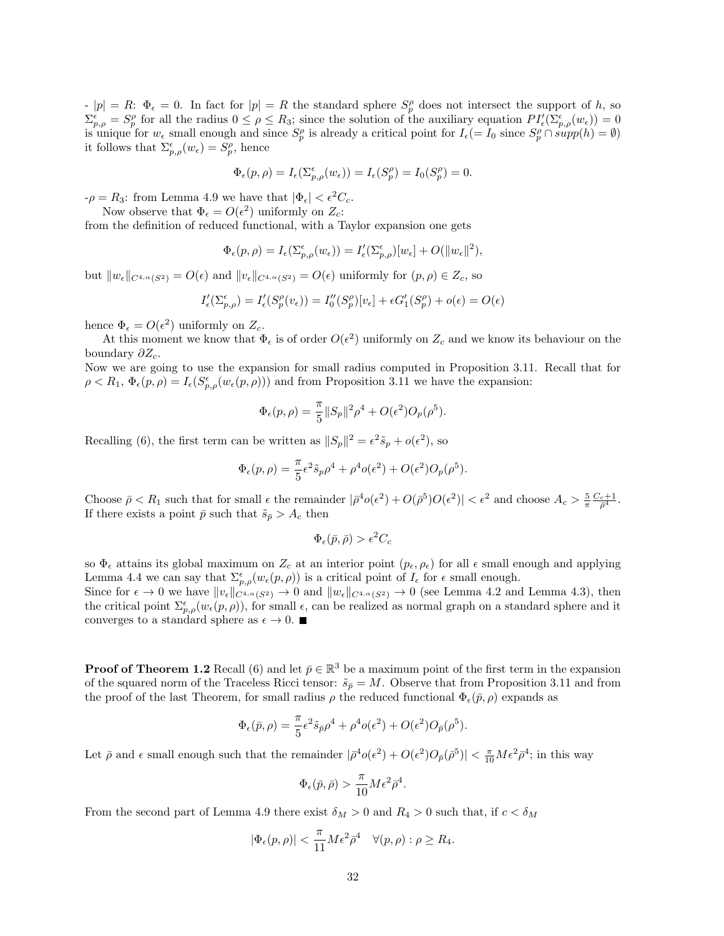$|p| = R$ :  $\Phi_{\epsilon} = 0$ . In fact for  $|p| = R$  the standard sphere  $S_p^{\rho}$  does not intersect the support of h, so  $\Sigma_{p,\rho}^{\epsilon} = S_p^{\rho}$  for all the radius  $0 \leq \rho \leq R_3$ ; since the solution of the auxiliary equation  $PI_{\epsilon}'(\Sigma_{p,\rho}^{\epsilon}(w_{\epsilon})) = 0$ is unique for  $w_{\epsilon}$  small enough and since  $S_p^{\rho}$  is already a critical point for  $I_{\epsilon} (= I_0 \text{ since } S_p^{\rho} \cap supp(h) = \emptyset)$ it follows that  $\Sigma_{p,\rho}^{\epsilon}(w_{\epsilon}) = S_p^{\rho}$ , hence

$$
\Phi_{\epsilon}(p,\rho) = I_{\epsilon}(\Sigma_{p,\rho}^{\epsilon}(w_{\epsilon})) = I_{\epsilon}(S_{p}^{\rho}) = I_{0}(S_{p}^{\rho}) = 0.
$$

 $-\rho = R_3$ : from Lemma 4.9 we have that  $|\Phi_{\epsilon}| < \epsilon^2 C_c$ .

Now observe that  $\Phi_{\epsilon} = O(\epsilon^2)$  uniformly on  $Z_c$ :

from the definition of reduced functional, with a Taylor expansion one gets

$$
\Phi_{\epsilon}(p,\rho) = I_{\epsilon}(\Sigma_{p,\rho}^{\epsilon}(w_{\epsilon})) = I'_{\epsilon}(\Sigma_{p,\rho}^{\epsilon})[w_{\epsilon}] + O(||w_{\epsilon}||^2),
$$

but  $||w_{\epsilon}||_{C^{4,\alpha}(S^2)} = O(\epsilon)$  and  $||v_{\epsilon}||_{C^{4,\alpha}(S^2)} = O(\epsilon)$  uniformly for  $(p, \rho) \in Z_c$ , so

$$
I'_{\epsilon}(\Sigma^{\epsilon}_{p,\rho}) = I'_{\epsilon}(S^{\rho}_{p}(v_{\epsilon})) = I''_{0}(S^{\rho}_{p})[v_{\epsilon}] + \epsilon G'_{1}(S^{\rho}_{p}) + o(\epsilon) = O(\epsilon)
$$

hence  $\Phi_{\epsilon} = O(\epsilon^2)$  uniformly on  $Z_c$ .

At this moment we know that  $\Phi_{\epsilon}$  is of order  $O(\epsilon^2)$  uniformly on  $Z_c$  and we know its behaviour on the boundary  $\partial Z_c$ .

Now we are going to use the expansion for small radius computed in Proposition 3.11. Recall that for  $\rho < R_1, \Phi_{\epsilon}(p, \rho) = I_{\epsilon}(S^{\epsilon}_{p, \rho}(w_{\epsilon}(p, \rho)))$  and from Proposition 3.11 we have the expansion:

$$
\Phi_{\epsilon}(p,\rho) = \frac{\pi}{5} ||S_p||^2 \rho^4 + O(\epsilon^2) O_p(\rho^5).
$$

Recalling (6), the first term can be written as  $||S_p||^2 = \epsilon^2 \tilde{s}_p + o(\epsilon^2)$ , so

$$
\Phi_{\epsilon}(p,\rho) = \frac{\pi}{5} \epsilon^2 \tilde{s}_p \rho^4 + \rho^4 o(\epsilon^2) + O(\epsilon^2) O_p(\rho^5).
$$

Choose  $\bar{\rho} < R_1$  such that for small  $\epsilon$  the remainder  $|\bar{\rho}^4 o(\epsilon^2) + O(\bar{\rho}^5)O(\epsilon^2)| < \epsilon^2$  and choose  $A_c > \frac{5}{\pi} \frac{C_c+1}{\bar{\rho}^4}$ . If there exists a point  $\bar{p}$  such that  $\tilde{s}_{\bar{p}} > A_c$  then

$$
\Phi_{\epsilon}(\bar{p}, \bar{\rho}) > \epsilon^2 C_c
$$

so  $\Phi_{\epsilon}$  attains its global maximum on  $Z_c$  at an interior point  $(p_{\epsilon}, \rho_{\epsilon})$  for all  $\epsilon$  small enough and applying Lemma 4.4 we can say that  $\Sigma_{p,\rho}^{\epsilon}(w_{\epsilon}(p,\rho))$  is a critical point of  $I_{\epsilon}$  for  $\epsilon$  small enough.

Since for  $\epsilon \to 0$  we have  $||v_{\epsilon}||_{C^{4,\alpha}(S^2)} \to 0$  and  $||w_{\epsilon}||_{C^{4,\alpha}(S^2)} \to 0$  (see Lemma 4.2 and Lemma 4.3), then the critical point  $\Sigma_{p,\rho}^{\epsilon}(w_{\epsilon}(p,\rho))$ , for small  $\epsilon$ , can be realized as normal graph on a standard sphere and it converges to a standard sphere as  $\epsilon \to 0$ .

**Proof of Theorem 1.2** Recall (6) and let  $\bar{p} \in \mathbb{R}^3$  be a maximum point of the first term in the expansion of the squared norm of the Traceless Ricci tensor:  $\tilde{s}_{\bar{p}} = M$ . Observe that from Proposition 3.11 and from the proof of the last Theorem, for small radius  $\rho$  the reduced functional  $\Phi_{\epsilon}(\bar{p},\rho)$  expands as

$$
\Phi_{\epsilon}(\bar{p}, \rho) = \frac{\pi}{5} \epsilon^2 \tilde{s}_{\bar{p}} \rho^4 + \rho^4 o(\epsilon^2) + O(\epsilon^2) O_{\bar{p}}(\rho^5).
$$

Let  $\bar{\rho}$  and  $\epsilon$  small enough such that the remainder  $|\bar{\rho}^4 o(\epsilon^2) + O(\epsilon^2)O_{\bar{p}}(\bar{\rho}^5)| < \frac{\pi}{10}M\epsilon^2\bar{\rho}^4$ ; in this way

$$
\Phi_\epsilon(\bar p,\bar\rho)>\frac{\pi}{10}M\epsilon^2\bar\rho^4.
$$

From the second part of Lemma 4.9 there exist  $\delta_M > 0$  and  $R_4 > 0$  such that, if  $c < \delta_M$ 

$$
|\Phi_{\epsilon}(p,\rho)| < \frac{\pi}{11} M \epsilon^2 \overline{\rho}^4 \quad \forall (p,\rho) : \rho \ge R_4.
$$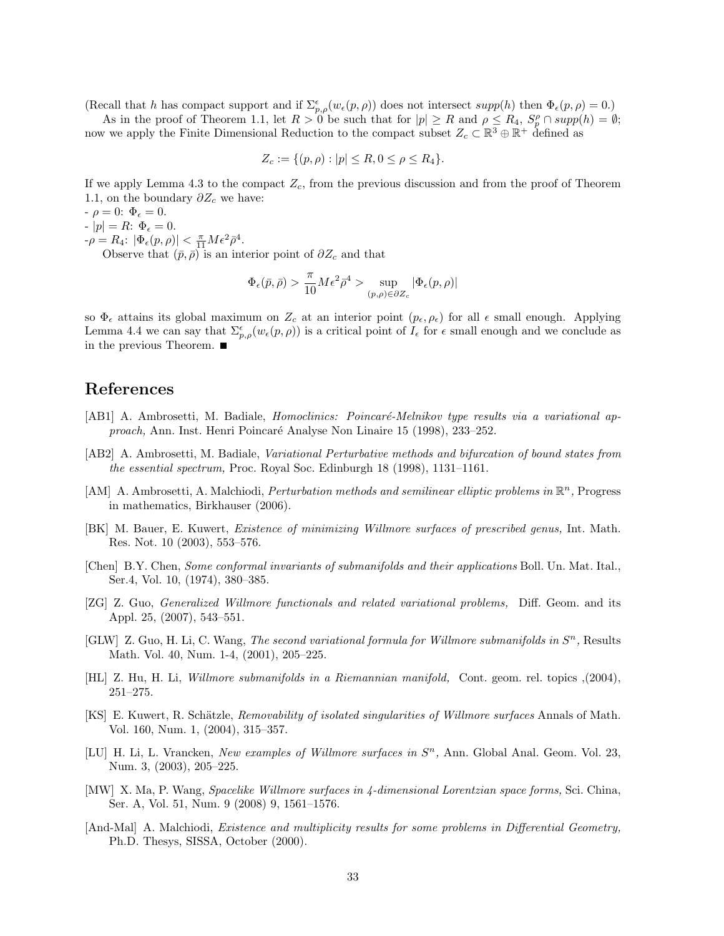(Recall that h has compact support and if  $\Sigma_{p,\rho}^{\epsilon}(w_{\epsilon}(p,\rho))$  does not intersect supp(h) then  $\Phi_{\epsilon}(p,\rho) = 0$ .)

As in the proof of Theorem 1.1, let  $R > 0$  be such that for  $|p| \ge R$  and  $\rho \le R_4$ ,  $S_p^{\rho} \cap supp(h) = \emptyset$ ; now we apply the Finite Dimensional Reduction to the compact subset  $Z_c \subset \mathbb{R}^3 \oplus \mathbb{R}^+$  defined as

$$
Z_c := \{ (p, \rho) : |p| \le R, 0 \le \rho \le R_4 \}.
$$

If we apply Lemma 4.3 to the compact  $Z_c$ , from the previous discussion and from the proof of Theorem 1.1, on the boundary  $\partial Z_c$  we have:

 $-\rho = 0: \Phi_{\epsilon} = 0.$ 

 $-|p| = R: \Phi_{\epsilon} = 0.$ 

 $-\rho = R_4$ :  $|\Phi_{\epsilon}(p,\rho)| < \frac{\pi}{11} M \epsilon^2 \bar{\rho}^4$ .

Observe that  $(\bar{p}, \bar{\rho})$  is an interior point of  $\partial Z_c$  and that

$$
\Phi_{\epsilon}(\bar{p}, \bar{\rho}) > \frac{\pi}{10} M \epsilon^2 \bar{\rho}^4 > \sup_{(p,\rho) \in \partial Z_c} |\Phi_{\epsilon}(p,\rho)|
$$

so  $\Phi_{\epsilon}$  attains its global maximum on  $Z_c$  at an interior point  $(p_{\epsilon}, \rho_{\epsilon})$  for all  $\epsilon$  small enough. Applying Lemma 4.4 we can say that  $\Sigma_{p,\rho}^{\epsilon}(w_{\epsilon}(p,\rho))$  is a critical point of  $I_{\epsilon}$  for  $\epsilon$  small enough and we conclude as in the previous Theorem.

# References

- [AB1] A. Ambrosetti, M. Badiale, *Homoclinics: Poincaré-Melnikov type results via a variational ap*proach, Ann. Inst. Henri Poincar´e Analyse Non Linaire 15 (1998), 233–252.
- [AB2] A. Ambrosetti, M. Badiale, Variational Perturbative methods and bifurcation of bound states from the essential spectrum, Proc. Royal Soc. Edinburgh 18 (1998), 1131–1161.
- [AM] A. Ambrosetti, A. Malchiodi, *Perturbation methods and semilinear elliptic problems in*  $\mathbb{R}^n$ , Progress in mathematics, Birkhauser (2006).
- [BK] M. Bauer, E. Kuwert, Existence of minimizing Willmore surfaces of prescribed genus, Int. Math. Res. Not. 10 (2003), 553–576.
- [Chen] B.Y. Chen, Some conformal invariants of submanifolds and their applications Boll. Un. Mat. Ital., Ser.4, Vol. 10, (1974), 380–385.
- [ZG] Z. Guo, Generalized Willmore functionals and related variational problems, Diff. Geom. and its Appl. 25, (2007), 543–551.
- [GLW] Z. Guo, H. Li, C. Wang, The second variational formula for Willmore submanifolds in  $S<sup>n</sup>$ , Results Math. Vol. 40, Num. 1-4, (2001), 205–225.
- [HL] Z. Hu, H. Li, Willmore submanifolds in a Riemannian manifold, Cont. geom. rel. topics ,(2004), 251–275.
- [KS] E. Kuwert, R. Schätzle, Removability of isolated singularities of Willmore surfaces Annals of Math. Vol. 160, Num. 1, (2004), 315–357.
- [LU] H. Li, L. Vrancken, New examples of Willmore surfaces in  $S<sup>n</sup>$ , Ann. Global Anal. Geom. Vol. 23, Num. 3, (2003), 205–225.
- [MW] X. Ma, P. Wang, Spacelike Willmore surfaces in 4-dimensional Lorentzian space forms, Sci. China, Ser. A, Vol. 51, Num. 9 (2008) 9, 1561–1576.
- [And-Mal] A. Malchiodi, *Existence and multiplicity results for some problems in Differential Geometry,* Ph.D. Thesys, SISSA, October (2000).